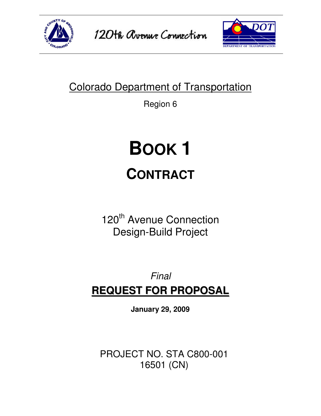



# Colorado Department of Transportation

Region 6

# **BOOK 1 CONTRACT**

120<sup>th</sup> Avenue Connection Design-Build Project

# Final **REQUEST FOR PROPOSAL**

**January 29, 2009** 

PROJECT NO. STA C800-001 16501 (CN)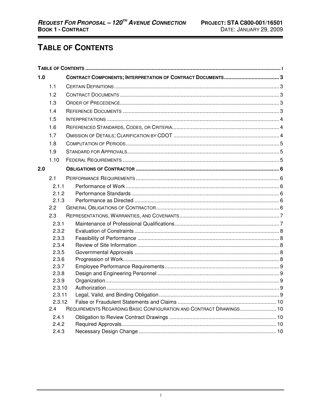# TABLE OF CONTENTS

| 1.0 |        |                                                                     |  |  |  |
|-----|--------|---------------------------------------------------------------------|--|--|--|
|     | 1.1    |                                                                     |  |  |  |
|     | 1.2    |                                                                     |  |  |  |
|     | 1.3    |                                                                     |  |  |  |
|     | 1.4    |                                                                     |  |  |  |
|     | 1.5    |                                                                     |  |  |  |
|     | 1.6    |                                                                     |  |  |  |
|     | 1.7    |                                                                     |  |  |  |
|     | 1.8    |                                                                     |  |  |  |
|     | 1.9    |                                                                     |  |  |  |
|     | 1.10   |                                                                     |  |  |  |
| 2.0 |        |                                                                     |  |  |  |
|     | 2.1    |                                                                     |  |  |  |
|     | 2.1.1  |                                                                     |  |  |  |
|     | 2.1.2  |                                                                     |  |  |  |
|     | 2.1.3  |                                                                     |  |  |  |
|     | 2.2    |                                                                     |  |  |  |
|     | 2.3    |                                                                     |  |  |  |
|     | 2.3.1  |                                                                     |  |  |  |
|     | 2.3.2  |                                                                     |  |  |  |
|     | 2.3.3  |                                                                     |  |  |  |
|     | 2.3.4  |                                                                     |  |  |  |
|     | 2.3.5  |                                                                     |  |  |  |
|     | 2.3.6  |                                                                     |  |  |  |
|     | 2.3.7  |                                                                     |  |  |  |
|     | 2.3.8  |                                                                     |  |  |  |
|     | 2.3.9  |                                                                     |  |  |  |
|     | 2.3.10 |                                                                     |  |  |  |
|     | 2.3.11 |                                                                     |  |  |  |
|     | 2.3.12 |                                                                     |  |  |  |
|     | 2.4    | REQUIREMENTS REGARDING BASIC CONFIGURATION AND CONTRACT DRAWINGS 10 |  |  |  |
|     | 2.4.1  |                                                                     |  |  |  |
|     | 2.4.2  |                                                                     |  |  |  |
|     | 2.4.3  |                                                                     |  |  |  |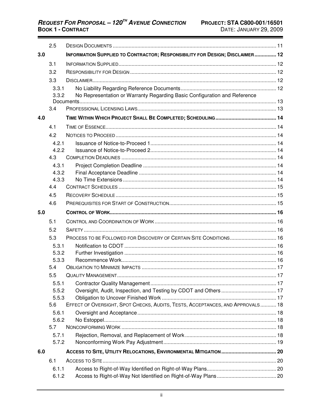|     | 2.5            |                                                                                |  |
|-----|----------------|--------------------------------------------------------------------------------|--|
| 3.0 |                | INFORMATION SUPPLIED TO CONTRACTOR; RESPONSIBILITY FOR DESIGN; DISCLAIMER 12   |  |
|     | 3.1            |                                                                                |  |
|     | 3.2            |                                                                                |  |
|     | 3.3            |                                                                                |  |
|     | 3.3.1          |                                                                                |  |
|     | 3.3.2          | No Representation or Warranty Regarding Basic Configuration and Reference      |  |
|     | 3.4            |                                                                                |  |
| 4.0 |                |                                                                                |  |
|     | 4.1            |                                                                                |  |
|     | 4.2            |                                                                                |  |
|     | 4.2.1          |                                                                                |  |
|     | 4.2.2          |                                                                                |  |
|     | 4.3            |                                                                                |  |
|     | 4.3.1          |                                                                                |  |
|     | 4.3.2          |                                                                                |  |
|     | 4.3.3          |                                                                                |  |
|     | 4.4            |                                                                                |  |
|     | 4.5            |                                                                                |  |
|     | 4.6            |                                                                                |  |
| 5.0 |                |                                                                                |  |
|     | 5.1            |                                                                                |  |
|     | 5.2            |                                                                                |  |
|     | 5.3            | PROCESS TO BE FOLLOWED FOR DISCOVERY OF CERTAIN SITE CONDITIONS 16             |  |
|     | 5.3.1          |                                                                                |  |
|     | 5.3.2<br>5.3.3 |                                                                                |  |
|     | 5.4            |                                                                                |  |
|     | 55             |                                                                                |  |
|     | 5.5.1          |                                                                                |  |
|     | 5.5.2          |                                                                                |  |
|     | 5.5.3          |                                                                                |  |
|     | 5.6            | EFFECT OF OVERSIGHT, SPOT CHECKS, AUDITS, TESTS, ACCEPTANCES, AND APPROVALS 18 |  |
|     | 5.6.1          |                                                                                |  |
|     | 5.6.2          |                                                                                |  |
|     | 5.7            |                                                                                |  |
|     | 5.7.1<br>5.7.2 |                                                                                |  |
|     |                |                                                                                |  |
| 6.0 |                |                                                                                |  |
|     | 6.1            |                                                                                |  |
|     | 6.1.1          |                                                                                |  |
|     | 6.1.2          |                                                                                |  |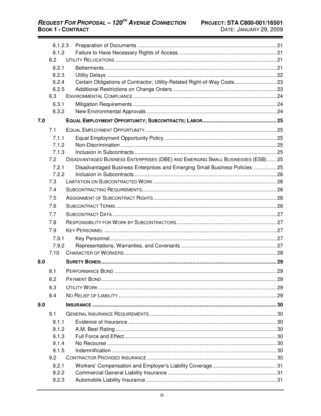|     | 6.1.2.3<br>6.1.3 |                                                                                  |  |
|-----|------------------|----------------------------------------------------------------------------------|--|
|     | 6.2              |                                                                                  |  |
|     | 6.2.1            |                                                                                  |  |
|     | 6.2.3            |                                                                                  |  |
|     | 6.2.4            | Certain Obligations of Contractor; Utility-Related Right-of-Way Costs 23         |  |
|     | 6.2.5            |                                                                                  |  |
|     | 6.3              |                                                                                  |  |
|     | 6.3.1            |                                                                                  |  |
|     | 6.3.2            |                                                                                  |  |
| 7.0 |                  |                                                                                  |  |
|     | 7.1              |                                                                                  |  |
|     | 7.1.1            |                                                                                  |  |
|     | 7.1.2            |                                                                                  |  |
|     | 7.1.3            |                                                                                  |  |
|     | 7.2              | DISADVANTAGED BUSINESS ENTERPRISES (DBE) AND EMERGING SMALL BUSINESSES (ESB)  25 |  |
|     | 7.2.1            | Disadvantaged Business Enterprises and Emerging Small Business Policies  25      |  |
|     | 7.2.2            |                                                                                  |  |
|     | 7.3              |                                                                                  |  |
|     | 7.4              |                                                                                  |  |
|     | 7.5              |                                                                                  |  |
|     | 7.6              |                                                                                  |  |
|     | 7.7              |                                                                                  |  |
|     | 7.8              |                                                                                  |  |
|     | 7.9              |                                                                                  |  |
|     | 7.9.1            |                                                                                  |  |
|     | 7.9.2            |                                                                                  |  |
|     | 7.10             |                                                                                  |  |
| 8.0 |                  |                                                                                  |  |
|     | 8.1              |                                                                                  |  |
|     | 8.2              |                                                                                  |  |
|     | 8.3              |                                                                                  |  |
|     | 8.4              |                                                                                  |  |
| 9.0 |                  |                                                                                  |  |
|     | 9.1              |                                                                                  |  |
|     | 9.1.1            |                                                                                  |  |
|     | 9.1.2            |                                                                                  |  |
|     | 9.1.3            |                                                                                  |  |
|     | 9.1.4            |                                                                                  |  |
|     | 9.1.5            |                                                                                  |  |
|     | 9.2              |                                                                                  |  |
|     | 9.2.1            |                                                                                  |  |
|     | 9.2.2            |                                                                                  |  |
|     | 9.2.3            |                                                                                  |  |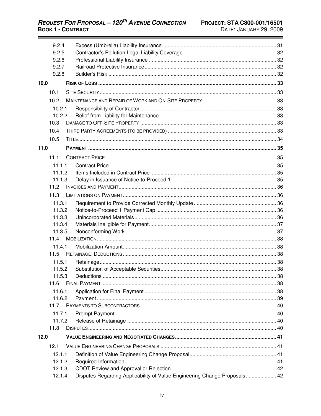|      | 9.2.4  |                                                                           |  |
|------|--------|---------------------------------------------------------------------------|--|
|      | 9.2.5  |                                                                           |  |
|      | 9.2.6  |                                                                           |  |
|      | 9.2.7  |                                                                           |  |
|      | 9.2.8  |                                                                           |  |
| 10.0 |        |                                                                           |  |
|      | 10.1   |                                                                           |  |
|      | 10.2   |                                                                           |  |
|      | 10.2.1 |                                                                           |  |
|      | 10.2.2 |                                                                           |  |
|      | 10.3   |                                                                           |  |
|      | 10.4   |                                                                           |  |
|      | 10.5   |                                                                           |  |
| 11.0 |        |                                                                           |  |
|      | 11.1   |                                                                           |  |
|      | 11.1.1 |                                                                           |  |
|      | 11.1.2 |                                                                           |  |
|      | 11.1.3 |                                                                           |  |
|      | 11.2   |                                                                           |  |
|      | 11.3   |                                                                           |  |
|      | 11.3.1 |                                                                           |  |
|      | 11.3.2 |                                                                           |  |
|      | 11.3.3 |                                                                           |  |
|      | 11.3.4 |                                                                           |  |
|      | 11.3.5 |                                                                           |  |
|      | 11.4   |                                                                           |  |
|      | 11.4.1 |                                                                           |  |
|      | 11.5   |                                                                           |  |
|      | 11.5.1 |                                                                           |  |
|      | 11.5.2 |                                                                           |  |
|      | 11.5.3 |                                                                           |  |
|      | 11.6   |                                                                           |  |
|      | 11.6.1 |                                                                           |  |
|      | 11.6.2 |                                                                           |  |
|      | 11.7   |                                                                           |  |
|      | 11.7.1 |                                                                           |  |
|      | 11.7.2 |                                                                           |  |
|      | 11.8   |                                                                           |  |
| 12.0 |        |                                                                           |  |
|      | 12.1   |                                                                           |  |
|      | 12.1.1 |                                                                           |  |
|      | 12.1.2 |                                                                           |  |
|      | 12.1.3 |                                                                           |  |
|      | 12.1.4 | Disputes Regarding Applicability of Value Engineering Change Proposals 42 |  |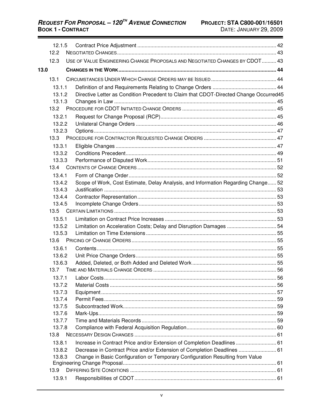**REQUEST FOR PROPOSAL - 120<sup>TH</sup> AVENUE CONNECTION BOOK 1 - CONTRACT** 

|      | 12.1.5 |                                                                                       |  |
|------|--------|---------------------------------------------------------------------------------------|--|
|      | 12.2   |                                                                                       |  |
|      | 12.3   | USE OF VALUE ENGINEERING CHANGE PROPOSALS AND NEGOTIATED CHANGES BY CDOT 43           |  |
| 13.0 |        |                                                                                       |  |
|      | 13.1   |                                                                                       |  |
|      | 13.1.1 |                                                                                       |  |
|      | 13.1.2 | Directive Letter as Condition Precedent to Claim that CDOT-Directed Change Occurred45 |  |
|      | 13.1.3 |                                                                                       |  |
|      | 13.2   |                                                                                       |  |
|      | 13.2.1 |                                                                                       |  |
|      | 13.2.2 |                                                                                       |  |
|      | 13.2.3 |                                                                                       |  |
|      | 13.3   |                                                                                       |  |
|      | 13.3.1 |                                                                                       |  |
|      | 13.3.2 |                                                                                       |  |
|      | 13.3.3 |                                                                                       |  |
|      | 13.4   |                                                                                       |  |
|      | 13.4.1 |                                                                                       |  |
|      | 13.4.2 | Scope of Work, Cost Estimate, Delay Analysis, and Information Regarding Change 52     |  |
|      | 13.4.3 |                                                                                       |  |
|      | 13.4.4 |                                                                                       |  |
|      | 13.4.5 |                                                                                       |  |
|      | 13.5   |                                                                                       |  |
|      | 13.5.1 |                                                                                       |  |
|      | 13.5.2 | Limitation on Acceleration Costs; Delay and Disruption Damages  54                    |  |
|      | 13.5.3 |                                                                                       |  |
|      | 13.6   |                                                                                       |  |
|      | 13.6.1 |                                                                                       |  |
|      | 13.6.2 |                                                                                       |  |
|      | 13.6.3 |                                                                                       |  |
|      | 13.7   |                                                                                       |  |
|      | 13.7.1 |                                                                                       |  |
|      | 13.7.2 |                                                                                       |  |
|      | 13.7.3 |                                                                                       |  |
|      | 13.7.4 |                                                                                       |  |
|      | 13.7.5 |                                                                                       |  |
|      | 13.7.6 |                                                                                       |  |
|      | 13.7.7 |                                                                                       |  |
|      | 13.7.8 |                                                                                       |  |
|      | 13.8   |                                                                                       |  |
|      | 13.8.1 | Increase in Contract Price and/or Extension of Completion Deadlines 61                |  |
|      | 13.8.2 | Decrease in Contract Price and/or Extension of Completion Deadlines  61               |  |
|      | 13.8.3 | Change in Basic Configuration or Temporary Configuration Resulting from Value         |  |
|      | 13.9   |                                                                                       |  |
|      | 13.9.1 |                                                                                       |  |
|      |        |                                                                                       |  |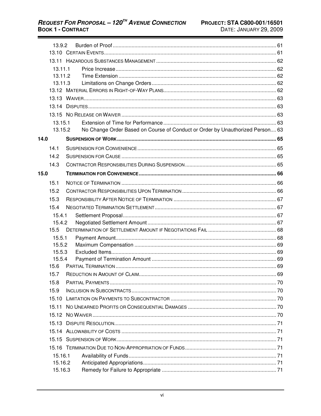|      | 13.9.2             |  |                                                                               |    |
|------|--------------------|--|-------------------------------------------------------------------------------|----|
|      |                    |  |                                                                               |    |
|      |                    |  |                                                                               |    |
|      | 13.11.1<br>13.11.2 |  |                                                                               |    |
|      | 13.11.3            |  |                                                                               |    |
|      |                    |  |                                                                               |    |
|      |                    |  |                                                                               |    |
|      |                    |  |                                                                               |    |
|      |                    |  |                                                                               |    |
|      | 13.15.1            |  |                                                                               |    |
|      | 13.15.2            |  | No Change Order Based on Course of Conduct or Order by Unauthorized Person 63 |    |
| 14.0 |                    |  |                                                                               |    |
|      | 14.1               |  |                                                                               |    |
|      |                    |  |                                                                               |    |
|      | 14.2               |  |                                                                               |    |
|      | 14.3               |  |                                                                               |    |
| 15.0 |                    |  |                                                                               |    |
|      | 15.1               |  |                                                                               |    |
|      | 15.2               |  |                                                                               |    |
|      | 15.3               |  |                                                                               |    |
|      | 15.4               |  |                                                                               |    |
|      | 15.4.1             |  |                                                                               |    |
|      | 15.4.2             |  |                                                                               |    |
|      | 15.5               |  |                                                                               |    |
|      | 15.5.1             |  |                                                                               |    |
|      | 15.5.2             |  |                                                                               |    |
|      | 15.5.3             |  |                                                                               |    |
|      | 15.5.4<br>15.6     |  |                                                                               |    |
|      |                    |  | 15.7 REDUCTION IN AMOUNT OF CLAIM                                             | 69 |
|      |                    |  |                                                                               |    |
|      | 15.8               |  |                                                                               |    |
|      | 15.9               |  |                                                                               |    |
|      | 15.10              |  |                                                                               |    |
|      | 15.11              |  |                                                                               |    |
|      |                    |  |                                                                               |    |
|      |                    |  |                                                                               |    |
|      |                    |  |                                                                               |    |
|      |                    |  |                                                                               |    |
|      |                    |  |                                                                               |    |
|      | 15.16.1            |  |                                                                               |    |
|      | 15.16.2            |  |                                                                               |    |
|      | 15.16.3            |  |                                                                               |    |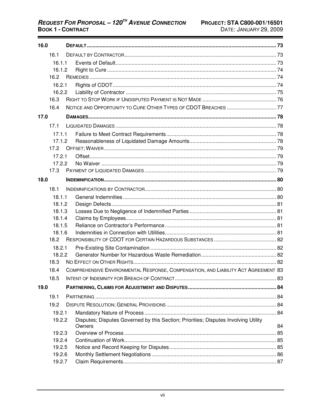| 16.0   |                  |                                                                                     |    |  |  |  |
|--------|------------------|-------------------------------------------------------------------------------------|----|--|--|--|
|        | 16.1             |                                                                                     |    |  |  |  |
|        | 16.1.1           |                                                                                     |    |  |  |  |
|        | 16.1.2           |                                                                                     |    |  |  |  |
|        | 16.2             |                                                                                     |    |  |  |  |
|        | 16.2.1           |                                                                                     |    |  |  |  |
|        | 16.2.2           |                                                                                     |    |  |  |  |
|        | 16.3             |                                                                                     |    |  |  |  |
|        | 16.4             |                                                                                     |    |  |  |  |
| 17.0   |                  |                                                                                     |    |  |  |  |
|        | 17.1             |                                                                                     |    |  |  |  |
|        | 17.1.1           |                                                                                     |    |  |  |  |
|        | 17.1.2           |                                                                                     |    |  |  |  |
|        | 17.2             |                                                                                     |    |  |  |  |
|        | 17.2.1           |                                                                                     |    |  |  |  |
|        | 17.2.2           |                                                                                     |    |  |  |  |
|        | 17.3             |                                                                                     |    |  |  |  |
| 18.0   |                  |                                                                                     |    |  |  |  |
|        | 18.1             |                                                                                     |    |  |  |  |
|        | 18.1.1           |                                                                                     |    |  |  |  |
| 18.1.2 |                  |                                                                                     |    |  |  |  |
|        | 18.1.3           |                                                                                     |    |  |  |  |
|        | 18.1.4           |                                                                                     |    |  |  |  |
|        | 18.1.5<br>18.1.6 |                                                                                     |    |  |  |  |
|        | 18.2             |                                                                                     |    |  |  |  |
|        | 18.2.1           |                                                                                     |    |  |  |  |
|        | 18.2.2           |                                                                                     |    |  |  |  |
|        | 18.3             |                                                                                     |    |  |  |  |
|        | 18.4             | COMPREHENSIVE ENVIRONMENTAL RESPONSE, COMPENSATION, AND LIABILITY ACT AGREEMENT 83  |    |  |  |  |
|        | 18.5             |                                                                                     |    |  |  |  |
| 19.0   |                  |                                                                                     |    |  |  |  |
|        | 19.1             |                                                                                     |    |  |  |  |
|        | 19.2             |                                                                                     |    |  |  |  |
|        | 19.2.1           |                                                                                     |    |  |  |  |
|        | 19.2.2           | Disputes; Disputes Governed by this Section; Priorities; Disputes Involving Utility |    |  |  |  |
|        |                  | Owners                                                                              | 84 |  |  |  |
|        | 19.2.3           |                                                                                     |    |  |  |  |
|        | 19.2.4           |                                                                                     |    |  |  |  |
|        | 19.2.5<br>19.2.6 |                                                                                     |    |  |  |  |
|        | 19.2.7           |                                                                                     |    |  |  |  |
|        |                  |                                                                                     |    |  |  |  |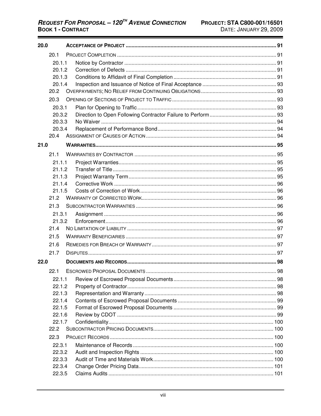| 20.0 |        |  |  |  |
|------|--------|--|--|--|
|      | 20.1   |  |  |  |
|      | 20.1.1 |  |  |  |
|      | 20.1.2 |  |  |  |
|      | 20.1.3 |  |  |  |
|      | 20.1.4 |  |  |  |
|      | 20.2   |  |  |  |
|      | 20.3   |  |  |  |
|      | 20.3.1 |  |  |  |
|      | 20.3.2 |  |  |  |
|      | 20.3.3 |  |  |  |
|      | 20.3.4 |  |  |  |
|      | 20.4   |  |  |  |
| 21.0 |        |  |  |  |
|      | 21.1   |  |  |  |
|      | 21.1.1 |  |  |  |
|      | 21.1.2 |  |  |  |
|      | 21.1.3 |  |  |  |
|      | 21.1.4 |  |  |  |
|      | 21.1.5 |  |  |  |
|      | 21.2   |  |  |  |
|      | 21.3   |  |  |  |
|      | 21.3.1 |  |  |  |
|      | 21.3.2 |  |  |  |
|      | 21.4   |  |  |  |
|      | 21.5   |  |  |  |
|      | 21.6   |  |  |  |
|      | 21.7   |  |  |  |
| 22.0 |        |  |  |  |
|      | 22.1   |  |  |  |
|      | 22.1.1 |  |  |  |
|      | 22.1.2 |  |  |  |
|      | 22.1.3 |  |  |  |
|      | 22.1.4 |  |  |  |
|      | 22.1.5 |  |  |  |
|      | 22.1.6 |  |  |  |
|      | 22.1.7 |  |  |  |
|      | 22.2   |  |  |  |
|      | 22.3   |  |  |  |
|      | 22.3.1 |  |  |  |
|      | 22.3.2 |  |  |  |
|      | 22.3.3 |  |  |  |
|      | 22.3.4 |  |  |  |
|      | 22.3.5 |  |  |  |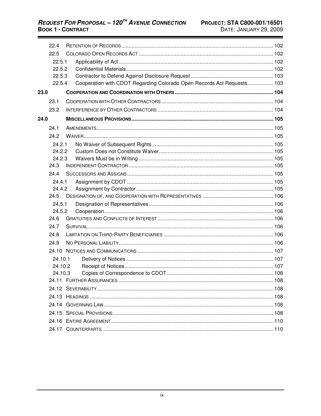|      | 22.4             |  |                                                                        |  |
|------|------------------|--|------------------------------------------------------------------------|--|
|      | 22.5             |  |                                                                        |  |
|      | 22.5.1           |  |                                                                        |  |
|      | 22.5.2           |  |                                                                        |  |
|      | 22.5.3           |  |                                                                        |  |
|      | 22.5.4           |  | Cooperation with CDOT Regarding Colorado Open Records Act Requests 103 |  |
| 23.0 |                  |  |                                                                        |  |
|      | 23.1             |  |                                                                        |  |
|      | 23.2             |  |                                                                        |  |
| 24.0 |                  |  |                                                                        |  |
|      | 24.1             |  |                                                                        |  |
|      | 24.2             |  |                                                                        |  |
|      | 24.2.1           |  |                                                                        |  |
|      | 24.2.2           |  |                                                                        |  |
|      | 24.2.3           |  |                                                                        |  |
|      | 24.3             |  |                                                                        |  |
|      | 244              |  |                                                                        |  |
|      | 24.4.1           |  |                                                                        |  |
|      | 24.4.2           |  |                                                                        |  |
|      | 24.5             |  |                                                                        |  |
|      | 24.5.1<br>24.5.2 |  |                                                                        |  |
|      |                  |  |                                                                        |  |
|      | 24.6             |  |                                                                        |  |
|      | 24.7             |  |                                                                        |  |
|      | 24.8             |  |                                                                        |  |
|      | 24.9             |  |                                                                        |  |
|      | 24 10            |  |                                                                        |  |
|      | 24.10.1          |  |                                                                        |  |
|      | 24.10.2          |  |                                                                        |  |
|      | 24.10.3          |  |                                                                        |  |
|      |                  |  |                                                                        |  |
|      |                  |  |                                                                        |  |
|      |                  |  |                                                                        |  |
|      |                  |  |                                                                        |  |
|      |                  |  |                                                                        |  |
|      |                  |  |                                                                        |  |
|      |                  |  |                                                                        |  |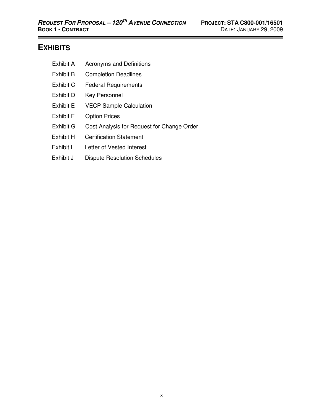# **EXHIBITS**

- Exhibit A Acronyms and Definitions
- Exhibit B Completion Deadlines
- Exhibit C Federal Requirements
- Exhibit D Key Personnel
- Exhibit E VECP Sample Calculation
- Exhibit F Option Prices
- Exhibit G Cost Analysis for Request for Change Order
- Exhibit H Certification Statement
- Exhibit I Letter of Vested Interest
- Exhibit J Dispute Resolution Schedules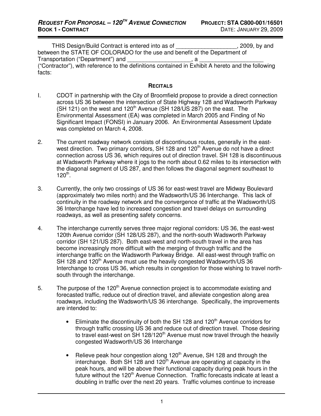THIS Design/Build Contract is entered into as of \_\_\_\_\_\_\_\_\_\_\_\_\_\_\_\_\_\_\_, 2009, by and between the STATE OF COLORADO for the use and benefit of the Department of Transportation ("Department") and **Fransportation** (3) ("Contractor"), with reference to the definitions contained in Exhibit A hereto and the following facts:

#### **RECITALS**

- I. CDOT in partnership with the City of Broomfield propose to provide a direct connection across US 36 between the intersection of State Highway 128 and Wadsworth Parkway (SH 121) on the west and 120<sup>th</sup> Avenue (SH 128/US 287) on the east. The Environmental Assessment (EA) was completed in March 2005 and Finding of No Significant Impact (FONSI) in January 2006. An Environmental Assessment Update was completed on March 4, 2008.
- 2. The current roadway network consists of discontinuous routes, generally in the eastwest direction. Two primary corridors, SH 128 and 120<sup>th</sup> Avenue do not have a direct connection across US 36, which requires out of direction travel. SH 128 is discontinuous at Wadsworth Parkway where it jogs to the north about 0.62 miles to its intersection with the diagonal segment of US 287, and then follows the diagonal segment southeast to  $120^{th}$ .
- 3. Currently, the only two crossings of US 36 for east-west travel are Midway Boulevard (approximately two miles north) and the Wadsworth/US 36 Interchange. This lack of continuity in the roadway network and the convergence of traffic at the Wadsworth/US 36 Interchange have led to increased congestion and travel delays on surrounding roadways, as well as presenting safety concerns.
- 4. The interchange currently serves three major regional corridors: US 36, the east-west 120th Avenue corridor (SH 128/US 287), and the north-south Wadsworth Parkway corridor (SH 121/US 287). Both east-west and north-south travel in the area has become increasingly more difficult with the merging of through traffic and the interchange traffic on the Wadsworth Parkway Bridge. All east-west through traffic on SH 128 and 120 $^{\text{th}}$  Avenue must use the heavily congested Wadsworth/US 36 Interchange to cross US 36, which results in congestion for those wishing to travel northsouth through the interchange.
- 5. The purpose of the 120<sup>th</sup> Avenue connection project is to accommodate existing and forecasted traffic, reduce out of direction travel, and alleviate congestion along area roadways, including the Wadsworth/US 36 interchange. Specifically, the improvements are intended to:
	- Eliminate the discontinuity of both the SH 128 and 120<sup>th</sup> Avenue corridors for through traffic crossing US 36 and reduce out of direction travel. Those desiring to travel east-west on  $SH 128/120<sup>th</sup>$  Avenue must now travel through the heavily congested Wadsworth/US 36 Interchange
	- Relieve peak hour congestion along 120<sup>th</sup> Avenue, SH 128 and through the interchange. Both SH 128 and 120<sup>th</sup> Avenue are operating at capacity in the peak hours, and will be above their functional capacity during peak hours in the future without the 120<sup>th</sup> Avenue Connection. Traffic forecasts indicate at least a doubling in traffic over the next 20 years. Traffic volumes continue to increase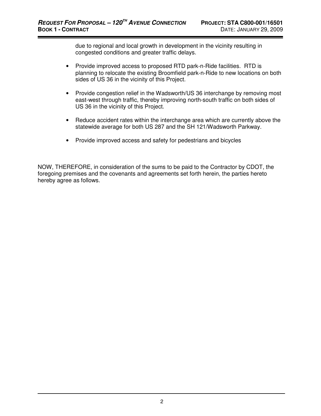due to regional and local growth in development in the vicinity resulting in congested conditions and greater traffic delays.

- Provide improved access to proposed RTD park-n-Ride facilities. RTD is planning to relocate the existing Broomfield park-n-Ride to new locations on both sides of US 36 in the vicinity of this Project.
- Provide congestion relief in the Wadsworth/US 36 interchange by removing most east-west through traffic, thereby improving north-south traffic on both sides of US 36 in the vicinity of this Project.
- Reduce accident rates within the interchange area which are currently above the statewide average for both US 287 and the SH 121/Wadsworth Parkway.
- Provide improved access and safety for pedestrians and bicycles

NOW, THEREFORE, in consideration of the sums to be paid to the Contractor by CDOT, the foregoing premises and the covenants and agreements set forth herein, the parties hereto hereby agree as follows.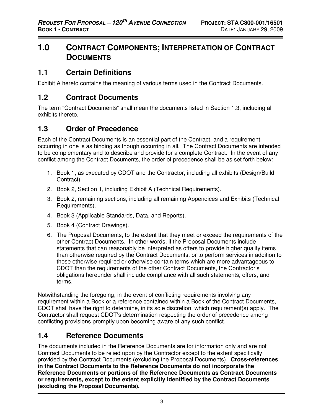# **1.0 CONTRACT COMPONENTS; INTERPRETATION OF CONTRACT DOCUMENTS**

# **1.1 Certain Definitions**

Exhibit A hereto contains the meaning of various terms used in the Contract Documents.

# **1.2 Contract Documents**

The term "Contract Documents" shall mean the documents listed in Section 1.3, including all exhibits thereto.

# **1.3 Order of Precedence**

Each of the Contract Documents is an essential part of the Contract, and a requirement occurring in one is as binding as though occurring in all. The Contract Documents are intended to be complementary and to describe and provide for a complete Contract. In the event of any conflict among the Contract Documents, the order of precedence shall be as set forth below:

- 1. Book 1, as executed by CDOT and the Contractor, including all exhibits (Design/Build Contract).
- 2. Book 2, Section 1, including Exhibit A (Technical Requirements).
- 3. Book 2, remaining sections, including all remaining Appendices and Exhibits (Technical Requirements).
- 4. Book 3 (Applicable Standards, Data, and Reports).
- 5. Book 4 (Contract Drawings).
- 6. The Proposal Documents, to the extent that they meet or exceed the requirements of the other Contract Documents. In other words, if the Proposal Documents include statements that can reasonably be interpreted as offers to provide higher quality items than otherwise required by the Contract Documents, or to perform services in addition to those otherwise required or otherwise contain terms which are more advantageous to CDOT than the requirements of the other Contract Documents, the Contractor's obligations hereunder shall include compliance with all such statements, offers, and terms.

Notwithstanding the foregoing, in the event of conflicting requirements involving any requirement within a Book or a reference contained within a Book of the Contract Documents, CDOT shall have the right to determine, in its sole discretion, which requirement(s) apply. The Contractor shall request CDOT's determination respecting the order of precedence among conflicting provisions promptly upon becoming aware of any such conflict.

# **1.4 Reference Documents**

The documents included in the Reference Documents are for information only and are not Contract Documents to be relied upon by the Contractor except to the extent specifically provided by the Contract Documents (excluding the Proposal Documents). **Cross-references in the Contract Documents to the Reference Documents do not incorporate the Reference Documents or portions of the Reference Documents as Contract Documents or requirements, except to the extent explicitly identified by the Contract Documents (excluding the Proposal Documents).**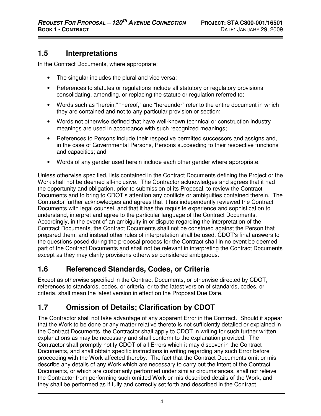# **1.5 Interpretations**

In the Contract Documents, where appropriate:

- The singular includes the plural and vice versa;
- References to statutes or regulations include all statutory or regulatory provisions consolidating, amending, or replacing the statute or regulation referred to;
- Words such as "herein," "hereof," and "hereunder" refer to the entire document in which they are contained and not to any particular provision or section;
- Words not otherwise defined that have well-known technical or construction industry meanings are used in accordance with such recognized meanings;
- References to Persons include their respective permitted successors and assigns and, in the case of Governmental Persons, Persons succeeding to their respective functions and capacities; and
- Words of any gender used herein include each other gender where appropriate.

Unless otherwise specified, lists contained in the Contract Documents defining the Project or the Work shall not be deemed all-inclusive. The Contractor acknowledges and agrees that it had the opportunity and obligation, prior to submission of its Proposal, to review the Contract Documents and to bring to CDOT's attention any conflicts or ambiguities contained therein. The Contractor further acknowledges and agrees that it has independently reviewed the Contract Documents with legal counsel, and that it has the requisite experience and sophistication to understand, interpret and agree to the particular language of the Contract Documents. Accordingly, in the event of an ambiguity in or dispute regarding the interpretation of the Contract Documents, the Contract Documents shall not be construed against the Person that prepared them, and instead other rules of interpretation shall be used. CDOT's final answers to the questions posed during the proposal process for the Contract shall in no event be deemed part of the Contract Documents and shall not be relevant in interpreting the Contract Documents except as they may clarify provisions otherwise considered ambiguous.

# **1.6 Referenced Standards, Codes, or Criteria**

Except as otherwise specified in the Contract Documents, or otherwise directed by CDOT, references to standards, codes, or criteria, or to the latest version of standards, codes, or criteria, shall mean the latest version in effect on the Proposal Due Date.

# **1.7 Omission of Details; Clarification by CDOT**

The Contractor shall not take advantage of any apparent Error in the Contract. Should it appear that the Work to be done or any matter relative thereto is not sufficiently detailed or explained in the Contract Documents, the Contractor shall apply to CDOT in writing for such further written explanations as may be necessary and shall conform to the explanation provided. The Contractor shall promptly notify CDOT of all Errors which it may discover in the Contract Documents, and shall obtain specific instructions in writing regarding any such Error before proceeding with the Work affected thereby. The fact that the Contract Documents omit or misdescribe any details of any Work which are necessary to carry out the intent of the Contract Documents, or which are customarily performed under similar circumstances, shall not relieve the Contractor from performing such omitted Work or mis-described details of the Work, and they shall be performed as if fully and correctly set forth and described in the Contract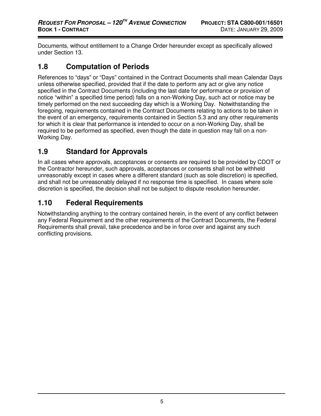Documents, without entitlement to a Change Order hereunder except as specifically allowed under Section 13.

# **1.8 Computation of Periods**

References to "days" or "Days" contained in the Contract Documents shall mean Calendar Days unless otherwise specified, provided that if the date to perform any act or give any notice specified in the Contract Documents (including the last date for performance or provision of notice "within" a specified time period) falls on a non-Working Day, such act or notice may be timely performed on the next succeeding day which is a Working Day. Notwithstanding the foregoing, requirements contained in the Contract Documents relating to actions to be taken in the event of an emergency, requirements contained in Section 5.3 and any other requirements for which it is clear that performance is intended to occur on a non-Working Day, shall be required to be performed as specified, even though the date in question may fall on a non-Working Day.

# **1.9 Standard for Approvals**

In all cases where approvals, acceptances or consents are required to be provided by CDOT or the Contractor hereunder, such approvals, acceptances or consents shall not be withheld unreasonably except in cases where a different standard (such as sole discretion) is specified, and shall not be unreasonably delayed if no response time is specified. In cases where sole discretion is specified, the decision shall not be subject to dispute resolution hereunder.

# **1.10 Federal Requirements**

Notwithstanding anything to the contrary contained herein, in the event of any conflict between any Federal Requirement and the other requirements of the Contract Documents, the Federal Requirements shall prevail, take precedence and be in force over and against any such conflicting provisions.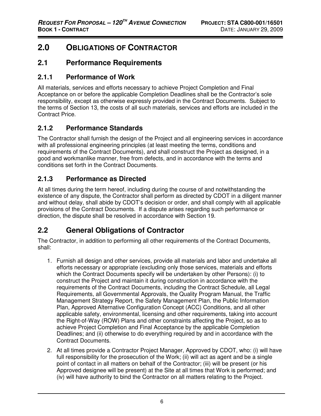# **2.0 OBLIGATIONS OF CONTRACTOR**

#### **2.1 Performance Requirements**

#### **2.1.1 Performance of Work**

All materials, services and efforts necessary to achieve Project Completion and Final Acceptance on or before the applicable Completion Deadlines shall be the Contractor's sole responsibility, except as otherwise expressly provided in the Contract Documents. Subject to the terms of Section 13, the costs of all such materials, services and efforts are included in the Contract Price.

#### **2.1.2 Performance Standards**

The Contractor shall furnish the design of the Project and all engineering services in accordance with all professional engineering principles (at least meeting the terms, conditions and requirements of the Contract Documents), and shall construct the Project as designed, in a good and workmanlike manner, free from defects, and in accordance with the terms and conditions set forth in the Contract Documents.

#### **2.1.3 Performance as Directed**

At all times during the term hereof, including during the course of and notwithstanding the existence of any dispute, the Contractor shall perform as directed by CDOT in a diligent manner and without delay, shall abide by CDOT's decision or order, and shall comply with all applicable provisions of the Contract Documents. If a dispute arises regarding such performance or direction, the dispute shall be resolved in accordance with Section 19.

# **2.2 General Obligations of Contractor**

The Contractor, in addition to performing all other requirements of the Contract Documents, shall:

- 1. Furnish all design and other services, provide all materials and labor and undertake all efforts necessary or appropriate (excluding only those services, materials and efforts which the Contract Documents specify will be undertaken by other Persons): (i) to construct the Project and maintain it during construction in accordance with the requirements of the Contract Documents, including the Contract Schedule, all Legal Requirements, all Governmental Approvals, the Quality Program Manual, the Traffic Management Strategy Report, the Safety Management Plan, the Public Information Plan, Approved Alternative Configuration Concept (ACC) Conditions, and all other applicable safety, environmental, licensing and other requirements, taking into account the Right-of-Way (ROW) Plans and other constraints affecting the Project, so as to achieve Project Completion and Final Acceptance by the applicable Completion Deadlines; and (ii) otherwise to do everything required by and in accordance with the Contract Documents.
- 2. At all times provide a Contractor Project Manager, Approved by CDOT, who: (i) will have full responsibility for the prosecution of the Work; (ii) will act as agent and be a single point of contact in all matters on behalf of the Contractor; (iii) will be present (or his Approved designee will be present) at the Site at all times that Work is performed; and (iv) will have authority to bind the Contractor on all matters relating to the Project.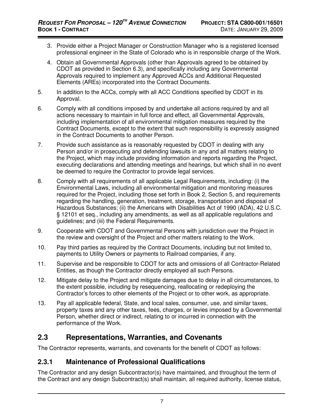- 3. Provide either a Project Manager or Construction Manager who is a registered licensed professional engineer in the State of Colorado who is in responsible charge of the Work.
- 4. Obtain all Governmental Approvals (other than Approvals agreed to be obtained by CDOT as provided in Section 6.3), and specifically including any Governmental Approvals required to implement any Approved ACCs and Additional Requested Elements (AREs) incorporated into the Contract Documents.
- 5. In addition to the ACCs, comply with all ACC Conditions specified by CDOT in its Approval.
- 6. Comply with all conditions imposed by and undertake all actions required by and all actions necessary to maintain in full force and effect, all Governmental Approvals, including implementation of all environmental mitigation measures required by the Contract Documents, except to the extent that such responsibility is expressly assigned in the Contract Documents to another Person.
- 7. Provide such assistance as is reasonably requested by CDOT in dealing with any Person and/or in prosecuting and defending lawsuits in any and all matters relating to the Project, which may include providing information and reports regarding the Project, executing declarations and attending meetings and hearings, but which shall in no event be deemed to require the Contractor to provide legal services.
- 8. Comply with all requirements of all applicable Legal Requirements, including: (i) the Environmental Laws, including all environmental mitigation and monitoring measures required for the Project, including those set forth in Book 2, Section 5, and requirements regarding the handling, generation, treatment, storage, transportation and disposal of Hazardous Substances; (ii) the Americans with Disabilities Act of 1990 (ADA), 42 U.S.C. § 12101 et seq., including any amendments, as well as all applicable regulations and guidelines; and (iii) the Federal Requirements.
- 9. Cooperate with CDOT and Governmental Persons with jurisdiction over the Project in the review and oversight of the Project and other matters relating to the Work.
- 10. Pay third parties as required by the Contract Documents, including but not limited to, payments to Utility Owners or payments to Railroad companies, if any.
- 11. Supervise and be responsible to CDOT for acts and omissions of all Contractor-Related Entities, as though the Contractor directly employed all such Persons.
- 12. Mitigate delay to the Project and mitigate damages due to delay in all circumstances, to the extent possible, including by resequencing, reallocating or redeploying the Contractor's forces to other elements of the Project or to other work, as appropriate.
- 13. Pay all applicable federal, State, and local sales, consumer, use, and similar taxes, property taxes and any other taxes, fees, charges, or levies imposed by a Governmental Person, whether direct or indirect, relating to or incurred in connection with the performance of the Work.

# **2.3 Representations, Warranties, and Covenants**

The Contractor represents, warrants, and covenants for the benefit of CDOT as follows:

# **2.3.1 Maintenance of Professional Qualifications**

The Contractor and any design Subcontractor(s) have maintained, and throughout the term of the Contract and any design Subcontract(s) shall maintain, all required authority, license status,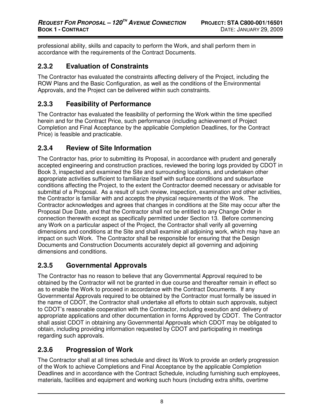professional ability, skills and capacity to perform the Work, and shall perform them in accordance with the requirements of the Contract Documents.

#### **2.3.2 Evaluation of Constraints**

The Contractor has evaluated the constraints affecting delivery of the Project, including the ROW Plans and the Basic Configuration, as well as the conditions of the Environmental Approvals, and the Project can be delivered within such constraints.

#### **2.3.3 Feasibility of Performance**

The Contractor has evaluated the feasibility of performing the Work within the time specified herein and for the Contract Price, such performance (including achievement of Project Completion and Final Acceptance by the applicable Completion Deadlines, for the Contract Price) is feasible and practicable.

#### **2.3.4 Review of Site Information**

The Contractor has, prior to submitting its Proposal, in accordance with prudent and generally accepted engineering and construction practices, reviewed the boring logs provided by CDOT in Book 3, inspected and examined the Site and surrounding locations, and undertaken other appropriate activities sufficient to familiarize itself with surface conditions and subsurface conditions affecting the Project, to the extent the Contractor deemed necessary or advisable for submittal of a Proposal. As a result of such review, inspection, examination and other activities, the Contractor is familiar with and accepts the physical requirements of the Work. The Contractor acknowledges and agrees that changes in conditions at the Site may occur after the Proposal Due Date, and that the Contractor shall not be entitled to any Change Order in connection therewith except as specifically permitted under Section 13. Before commencing any Work on a particular aspect of the Project, the Contractor shall verify all governing dimensions and conditions at the Site and shall examine all adjoining work, which may have an impact on such Work. The Contractor shall be responsible for ensuring that the Design Documents and Construction Documents accurately depict all governing and adjoining dimensions and conditions.

# **2.3.5 Governmental Approvals**

The Contractor has no reason to believe that any Governmental Approval required to be obtained by the Contractor will not be granted in due course and thereafter remain in effect so as to enable the Work to proceed in accordance with the Contract Documents. If any Governmental Approvals required to be obtained by the Contractor must formally be issued in the name of CDOT, the Contractor shall undertake all efforts to obtain such approvals, subject to CDOT's reasonable cooperation with the Contractor, including execution and delivery of appropriate applications and other documentation in forms Approved by CDOT. The Contractor shall assist CDOT in obtaining any Governmental Approvals which CDOT may be obligated to obtain, including providing information requested by CDOT and participating in meetings regarding such approvals.

# **2.3.6 Progression of Work**

The Contractor shall at all times schedule and direct its Work to provide an orderly progression of the Work to achieve Completions and Final Acceptance by the applicable Completion Deadlines and in accordance with the Contract Schedule, including furnishing such employees, materials, facilities and equipment and working such hours (including extra shifts, overtime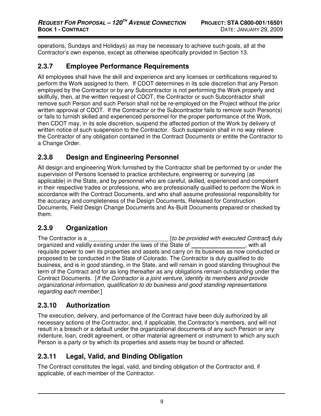operations, Sundays and Holidays) as may be necessary to achieve such goals, all at the Contractor's own expense, except as otherwise specifically provided in Section 13.

#### **2.3.7 Employee Performance Requirements**

All employees shall have the skill and experience and any licenses or certifications required to perform the Work assigned to them. If CDOT determines in its sole discretion that any Person employed by the Contractor or by any Subcontractor is not performing the Work properly and skillfully, then, at the written request of CDOT, the Contractor or such Subcontractor shall remove such Person and such Person shall not be re-employed on the Project without the prior written approval of CDOT. If the Contractor or the Subcontractor fails to remove such Person(s) or fails to furnish skilled and experienced personnel for the proper performance of the Work, then CDOT may, in its sole discretion, suspend the affected portion of the Work by delivery of written notice of such suspension to the Contractor. Such suspension shall in no way relieve the Contractor of any obligation contained in the Contract Documents or entitle the Contractor to a Change Order.

# **2.3.8 Design and Engineering Personnel**

All design and engineering Work furnished by the Contractor shall be performed by or under the supervision of Persons licensed to practice architecture, engineering or surveying (as applicable) in the State, and by personnel who are careful, skilled, experienced and competent in their respective trades or professions, who are professionally qualified to perform the Work in accordance with the Contract Documents, and who shall assume professional responsibility for the accuracy and completeness of the Design Documents, Released for Construction Documents, Field Design Change Documents and As-Built Documents prepared or checked by them.

# **2.3.9 Organization**

The Contractor is a  $[to be provided with executed Contract]$ organized and validly existing under the laws of the State of  $\sim$ , with all requisite power to own its properties and assets and carry on its business as now conducted or proposed to be conducted in the State of Colorado. The Contractor is duly qualified to do business, and is in good standing, in the State, and will remain in good standing throughout the term of the Contract and for as long thereafter as any obligations remain outstanding under the Contract Documents. [If the Contractor is a joint venture, identify its members and provide organizational information, qualification to do business and good standing representations regarding each member.]

# **2.3.10 Authorization**

The execution, delivery, and performance of the Contract have been duly authorized by all necessary actions of the Contractor, and, if applicable, the Contractor's members, and will not result in a breach or a default under the organizational documents of any such Person or any indenture, loan, credit agreement, or other material agreement or instrument to which any such Person is a party or by which its properties and assets may be bound or affected.

# **2.3.11 Legal, Valid, and Binding Obligation**

The Contract constitutes the legal, valid, and binding obligation of the Contractor and, if applicable, of each member of the Contractor.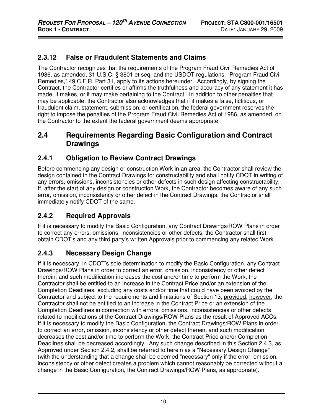# **2.3.12 False or Fraudulent Statements and Claims**

The Contractor recognizes that the requirements of the Program Fraud Civil Remedies Act of 1986, as amended, 31 U.S.C. § 3801 et seq. and the USDOT regulations, "Program Fraud Civil Remedies," 49 C.F.R. Part 31, apply to its actions hereunder. Accordingly, by signing the Contract, the Contractor certifies or affirms the truthfulness and accuracy of any statement it has made, it makes, or it may make pertaining to the Contract. In addition to other penalties that may be applicable, the Contractor also acknowledges that if it makes a false, fictitious, or fraudulent claim, statement, submission, or certification, the federal government reserves the right to impose the penalties of the Program Fraud Civil Remedies Act of 1986, as amended, on the Contractor to the extent the federal government deems appropriate.

#### **2.4 Requirements Regarding Basic Configuration and Contract Drawings**

#### **2.4.1 Obligation to Review Contract Drawings**

Before commencing any design or construction Work in an area, the Contractor shall review the design contained in the Contract Drawings for constructability and shall notify CDOT in writing of any errors, omissions, inconsistencies or other defects in such design affecting constructability. If, after the start of any design or construction Work, the Contractor becomes aware of any such error, omission, inconsistency or other defect in the Contract Drawings, the Contractor shall immediately notify CDOT of the same.

# **2.4.2 Required Approvals**

If it is necessary to modify the Basic Configuration, any Contract Drawings/ROW Plans in order to correct any errors, omissions, inconsistencies or other defects, the Contractor shall first obtain CDOT's and any third party's written Approvals prior to commencing any related Work.

# **2.4.3 Necessary Design Change**

If it is necessary, in CDOT's sole determination to modify the Basic Configuration, any Contract Drawings/ROW Plans in order to correct an error, omission, inconsistency or other defect therein, and such modification increases the cost and/or time to perform the Work, the Contractor shall be entitled to an increase in the Contract Price and/or an extension of the Completion Deadlines, excluding any costs and/or time that could have been avoided by the Contractor and subject to the requirements and limitations of Section 13; provided, however, the Contractor shall not be entitled to an increase in the Contract Price or an extension of the Completion Deadlines in connection with errors, omissions, inconsistencies or other defects related to modifications of the Contract Drawings/ROW Plans as the result of Approved ACCs. If it is necessary to modify the Basic Configuration, the Contract Drawings/ROW Plans in order to correct an error, omission, inconsistency or other defect therein, and such modification decreases the cost and/or time to perform the Work, the Contract Price and/or Completion Deadlines shall be decreased accordingly. Any such change described in this Section 2.4.3, as Approved under Section 2.4.2, shall be referred to herein as a "Necessary Design Change" (with the understanding that a change shall be deemed "necessary" only if the error, omission, inconsistency or other defect creates a problem which cannot reasonably be corrected without a change in the Basic Configuration, the Contract Drawings/ROW Plans, as appropriate).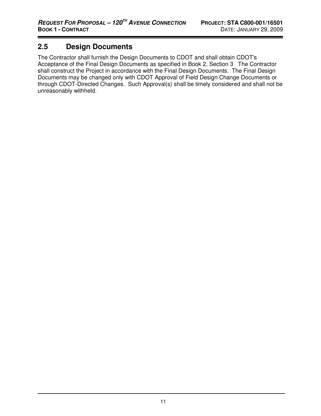# **2.5 Design Documents**

The Contractor shall furnish the Design Documents to CDOT and shall obtain CDOT's Acceptance of the Final Design Documents as specified in Book 2, Section 3 The Contractor shall construct the Project in accordance with the Final Design Documents. The Final Design Documents may be changed only with CDOT Approval of Field Design Change Documents or through CDOT-Directed Changes. Such Approval(s) shall be timely considered and shall not be unreasonably withheld.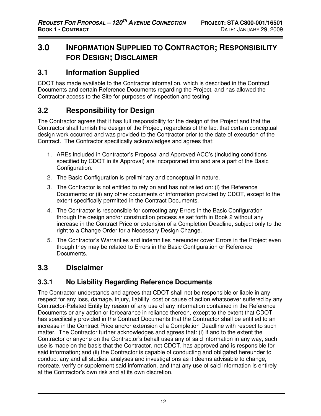# **3.0 INFORMATION SUPPLIED TO CONTRACTOR; RESPONSIBILITY FOR DESIGN; DISCLAIMER**

# **3.1 Information Supplied**

CDOT has made available to the Contractor information, which is described in the Contract Documents and certain Reference Documents regarding the Project, and has allowed the Contractor access to the Site for purposes of inspection and testing.

# **3.2 Responsibility for Design**

The Contractor agrees that it has full responsibility for the design of the Project and that the Contractor shall furnish the design of the Project, regardless of the fact that certain conceptual design work occurred and was provided to the Contractor prior to the date of execution of the Contract. The Contractor specifically acknowledges and agrees that:

- 1. AREs included in Contractor's Proposal and Approved ACC's (including conditions specified by CDOT in its Approval) are incorporated into and are a part of the Basic Configuration.
- 2. The Basic Configuration is preliminary and conceptual in nature.
- 3. The Contractor is not entitled to rely on and has not relied on: (i) the Reference Documents; or (ii) any other documents or information provided by CDOT, except to the extent specifically permitted in the Contract Documents.
- 4. The Contractor is responsible for correcting any Errors in the Basic Configuration through the design and/or construction process as set forth in Book 2 without any increase in the Contract Price or extension of a Completion Deadline, subject only to the right to a Change Order for a Necessary Design Change.
- 5. The Contractor's Warranties and indemnities hereunder cover Errors in the Project even though they may be related to Errors in the Basic Configuration or Reference Documents.

# **3.3 Disclaimer**

# **3.3.1 No Liability Regarding Reference Documents**

The Contractor understands and agrees that CDOT shall not be responsible or liable in any respect for any loss, damage, injury, liability, cost or cause of action whatsoever suffered by any Contractor-Related Entity by reason of any use of any information contained in the Reference Documents or any action or forbearance in reliance thereon, except to the extent that CDOT has specifically provided in the Contract Documents that the Contractor shall be entitled to an increase in the Contract Price and/or extension of a Completion Deadline with respect to such matter. The Contractor further acknowledges and agrees that: (i) if and to the extent the Contractor or anyone on the Contractor's behalf uses any of said information in any way, such use is made on the basis that the Contractor, not CDOT, has approved and is responsible for said information; and (ii) the Contractor is capable of conducting and obligated hereunder to conduct any and all studies, analyses and investigations as it deems advisable to change, recreate, verify or supplement said information, and that any use of said information is entirely at the Contractor's own risk and at its own discretion.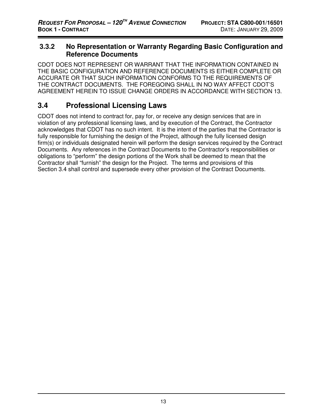#### **3.3.2 No Representation or Warranty Regarding Basic Configuration and Reference Documents**

CDOT DOES NOT REPRESENT OR WARRANT THAT THE INFORMATION CONTAINED IN THE BASIC CONFIGURATION AND REFERENCE DOCUMENTS IS EITHER COMPLETE OR ACCURATE OR THAT SUCH INFORMATION CONFORMS TO THE REQUIREMENTS OF THE CONTRACT DOCUMENTS. THE FOREGOING SHALL IN NO WAY AFFECT CDOT'S AGREEMENT HEREIN TO ISSUE CHANGE ORDERS IN ACCORDANCE WITH SECTION 13.

# **3.4 Professional Licensing Laws**

CDOT does not intend to contract for, pay for, or receive any design services that are in violation of any professional licensing laws, and by execution of the Contract, the Contractor acknowledges that CDOT has no such intent. It is the intent of the parties that the Contractor is fully responsible for furnishing the design of the Project, although the fully licensed design firm(s) or individuals designated herein will perform the design services required by the Contract Documents. Any references in the Contract Documents to the Contractor's responsibilities or obligations to "perform" the design portions of the Work shall be deemed to mean that the Contractor shall "furnish" the design for the Project. The terms and provisions of this Section 3.4 shall control and supersede every other provision of the Contract Documents.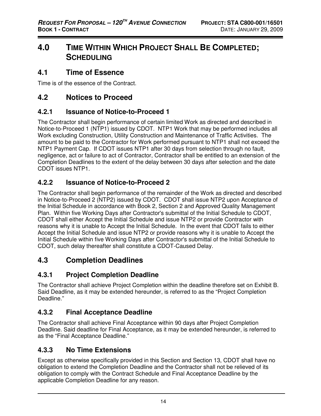# **4.0 TIME WITHIN WHICH PROJECT SHALL BE COMPLETED; SCHEDULING**

#### **4.1 Time of Essence**

Time is of the essence of the Contract.

# **4.2 Notices to Proceed**

#### **4.2.1 Issuance of Notice-to-Proceed 1**

The Contractor shall begin performance of certain limited Work as directed and described in Notice-to-Proceed 1 (NTP1) issued by CDOT. NTP1 Work that may be performed includes all Work excluding Construction, Utility Construction and Maintenance of Traffic Activities. The amount to be paid to the Contractor for Work performed pursuant to NTP1 shall not exceed the NTP1 Payment Cap. If CDOT issues NTP1 after 30 days from selection through no fault, negligence, act or failure to act of Contractor, Contractor shall be entitled to an extension of the Completion Deadlines to the extent of the delay between 30 days after selection and the date CDOT issues NTP1.

#### **4.2.2 Issuance of Notice-to-Proceed 2**

The Contractor shall begin performance of the remainder of the Work as directed and described in Notice-to-Proceed 2 (NTP2) issued by CDOT. CDOT shall issue NTP2 upon Acceptance of the Initial Schedule in accordance with Book 2, Section 2 and Approved Quality Management Plan. Within five Working Days after Contractor's submittal of the Initial Schedule to CDOT, CDOT shall either Accept the Initial Schedule and issue NTP2 or provide Contractor with reasons why it is unable to Accept the Initial Schedule. In the event that CDOT fails to either Accept the Initial Schedule and issue NTP2 or provide reasons why it is unable to Accept the Initial Schedule within five Working Days after Contractor's submittal of the Initial Schedule to CDOT, such delay thereafter shall constitute a CDOT-Caused Delay.

# **4.3 Completion Deadlines**

# **4.3.1 Project Completion Deadline**

The Contractor shall achieve Project Completion within the deadline therefore set on Exhibit B. Said Deadline, as it may be extended hereunder, is referred to as the "Project Completion Deadline."

#### **4.3.2 Final Acceptance Deadline**

The Contractor shall achieve Final Acceptance within 90 days after Project Completion Deadline. Said deadline for Final Acceptance, as it may be extended hereunder, is referred to as the "Final Acceptance Deadline."

#### **4.3.3 No Time Extensions**

Except as otherwise specifically provided in this Section and Section 13, CDOT shall have no obligation to extend the Completion Deadline and the Contractor shall not be relieved of its obligation to comply with the Contract Schedule and Final Acceptance Deadline by the applicable Completion Deadline for any reason.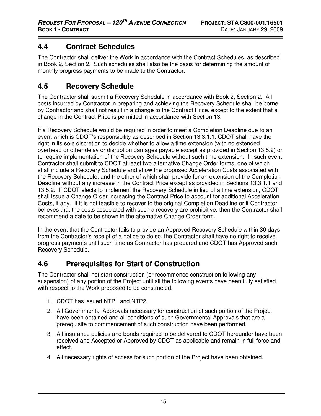# **4.4 Contract Schedules**

The Contractor shall deliver the Work in accordance with the Contract Schedules, as described in Book 2, Section 2. Such schedules shall also be the basis for determining the amount of monthly progress payments to be made to the Contractor.

# **4.5 Recovery Schedule**

The Contractor shall submit a Recovery Schedule in accordance with Book 2, Section 2. All costs incurred by Contractor in preparing and achieving the Recovery Schedule shall be borne by Contractor and shall not result in a change to the Contract Price, except to the extent that a change in the Contract Price is permitted in accordance with Section 13.

If a Recovery Schedule would be required in order to meet a Completion Deadline due to an event which is CDOT's responsibility as described in Section 13.3.1.1, CDOT shall have the right in its sole discretion to decide whether to allow a time extension (with no extended overhead or other delay or disruption damages payable except as provided in Section 13.5.2) or to require implementation of the Recovery Schedule without such time extension. In such event Contractor shall submit to CDOT at least two alternative Change Order forms, one of which shall include a Recovery Schedule and show the proposed Acceleration Costs associated with the Recovery Schedule, and the other of which shall provide for an extension of the Completion Deadline without any increase in the Contract Price except as provided in Sections 13.3.1.1 and 13.5.2. If CDOT elects to implement the Recovery Schedule in lieu of a time extension, CDOT shall issue a Change Order increasing the Contract Price to account for additional Acceleration Costs, if any. If it is not feasible to recover to the original Completion Deadline or if Contractor believes that the costs associated with such a recovery are prohibitive, then the Contractor shall recommend a date to be shown in the alternative Change Order form.

In the event that the Contractor fails to provide an Approved Recovery Schedule within 30 days from the Contractor's receipt of a notice to do so, the Contractor shall have no right to receive progress payments until such time as Contractor has prepared and CDOT has Approved such Recovery Schedule.

# **4.6 Prerequisites for Start of Construction**

The Contractor shall not start construction (or recommence construction following any suspension) of any portion of the Project until all the following events have been fully satisfied with respect to the Work proposed to be constructed.

- 1. CDOT has issued NTP1 and NTP2.
- 2. All Governmental Approvals necessary for construction of such portion of the Project have been obtained and all conditions of such Governmental Approvals that are a prerequisite to commencement of such construction have been performed.
- 3. All insurance policies and bonds required to be delivered to CDOT hereunder have been received and Accepted or Approved by CDOT as applicable and remain in full force and effect.
- 4. All necessary rights of access for such portion of the Project have been obtained.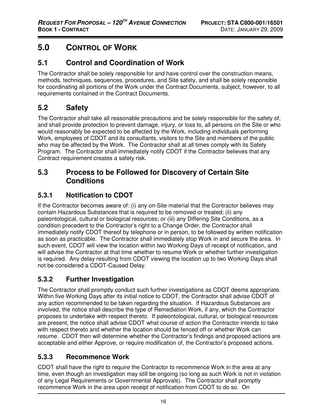# **5.0 CONTROL OF WORK**

# **5.1 Control and Coordination of Work**

The Contractor shall be solely responsible for and have control over the construction means, methods, techniques, sequences, procedures, and Site safety, and shall be solely responsible for coordinating all portions of the Work under the Contract Documents, subject, however, to all requirements contained in the Contract Documents.

# **5.2 Safety**

The Contractor shall take all reasonable precautions and be solely responsible for the safety of, and shall provide protection to prevent damage, injury, or loss to, all persons on the Site or who would reasonably be expected to be affected by the Work, including individuals performing Work, employees of CDOT and its consultants, visitors to the Site and members of the public who may be affected by the Work. The Contractor shall at all times comply with its Safety Program. The Contractor shall immediately notify CDOT if the Contractor believes that any Contract requirement creates a safety risk.

# **5.3 Process to be Followed for Discovery of Certain Site Conditions**

# **5.3.1 Notification to CDOT**

If the Contractor becomes aware of: (i) any on-Site material that the Contractor believes may contain Hazardous Substances that is required to be removed or treated; (ii) any paleontological, cultural or biological resources; or (iii) any Differing Site Conditions, as a condition precedent to the Contractor's right to a Change Order, the Contractor shall immediately notify CDOT thereof by telephone or in person, to be followed by written notification as soon as practicable. The Contractor shall immediately stop Work in and secure the area. In such event, CDOT will view the location within two Working Days of receipt of notification, and will advise the Contractor at that time whether to resume Work or whether further investigation is required. Any delay resulting from CDOT viewing the location up to two Working Days shall not be considered a CDOT-Caused Delay.

# **5.3.2 Further Investigation**

The Contractor shall promptly conduct such further investigations as CDOT deems appropriate. Within five Working Days after its initial notice to CDOT, the Contractor shall advise CDOT of any action recommended to be taken regarding the situation. If Hazardous Substances are involved, the notice shall describe the type of Remediation Work, if any, which the Contractor proposes to undertake with respect thereto. If paleontological, cultural, or biological resources are present, the notice shall advise CDOT what course of action the Contractor intends to take with respect thereto and whether the location should be fenced off or whether Work can resume. CDOT then will determine whether the Contractor's findings and proposed actions are acceptable and either Approve, or require modification of, the Contractor's proposed actions.

# **5.3.3 Recommence Work**

CDOT shall have the right to require the Contractor to recommence Work in the area at any time, even though an investigation may still be ongoing (so long as such Work is not in violation of any Legal Requirements or Governmental Approvals). The Contractor shall promptly recommence Work in the area upon receipt of notification from CDOT to do so. On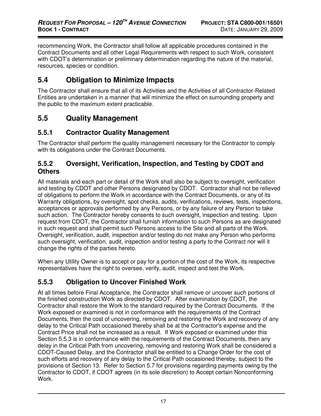recommencing Work, the Contractor shall follow all applicable procedures contained in the Contract Documents and all other Legal Requirements with respect to such Work, consistent with CDOT's determination or preliminary determination regarding the nature of the material, resources, species or condition.

# **5.4 Obligation to Minimize Impacts**

The Contractor shall ensure that all of its Activities and the Activities of all Contractor-Related Entities are undertaken in a manner that will minimize the effect on surrounding property and the public to the maximum extent practicable.

# **5.5 Quality Management**

#### **5.5.1 Contractor Quality Management**

The Contractor shall perform the quality management necessary for the Contractor to comply with its obligations under the Contract Documents.

#### **5.5.2 Oversight, Verification, Inspection, and Testing by CDOT and Others**

All materials and each part or detail of the Work shall also be subject to oversight, verification and testing by CDOT and other Persons designated by CDOT. Contractor shall not be relieved of obligations to perform the Work in accordance with the Contract Documents, or any of its Warranty obligations, by oversight, spot checks, audits, verifications, reviews, tests, inspections, acceptances or approvals performed by any Persons, or by any failure of any Person to take such action. The Contractor hereby consents to such oversight, inspection and testing. Upon request from CDOT, the Contractor shall furnish information to such Persons as are designated in such request and shall permit such Persons access to the Site and all parts of the Work. Oversight, verification, audit, inspection and/or testing do not make any Person who performs such oversight, verification, audit, inspection and/or testing a party to the Contract nor will it change the rights of the parties hereto.

When any Utility Owner is to accept or pay for a portion of the cost of the Work, its respective representatives have the right to oversee, verify, audit, inspect and test the Work.

# **5.5.3 Obligation to Uncover Finished Work**

At all times before Final Acceptance, the Contractor shall remove or uncover such portions of the finished construction Work as directed by CDOT. After examination by CDOT, the Contractor shall restore the Work to the standard required by the Contract Documents. If the Work exposed or examined is not in conformance with the requirements of the Contract Documents, then the cost of uncovering, removing and restoring the Work and recovery of any delay to the Critical Path occasioned thereby shall be at the Contractor's expense and the Contract Price shall not be increased as a result. If Work exposed or examined under this Section 5.5.3 is in conformance with the requirements of the Contract Documents, then any delay in the Critical Path from uncovering, removing and restoring Work shall be considered a CDOT-Caused Delay, and the Contractor shall be entitled to a Change Order for the cost of such efforts and recovery of any delay to the Critical Path occasioned thereby, subject to the provisions of Section 13. Refer to Section 5.7 for provisions regarding payments owing by the Contractor to CDOT, if CDOT agrees (in its sole discretion) to Accept certain Nonconforming Work.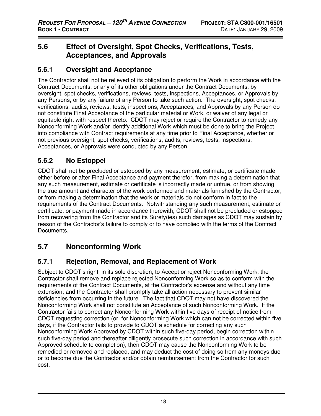# **5.6 Effect of Oversight, Spot Checks, Verifications, Tests, Acceptances, and Approvals**

#### **5.6.1 Oversight and Acceptance**

The Contractor shall not be relieved of its obligation to perform the Work in accordance with the Contract Documents, or any of its other obligations under the Contract Documents, by oversight, spot checks, verifications, reviews, tests, inspections, Acceptances, or Approvals by any Persons, or by any failure of any Person to take such action. The oversight, spot checks, verifications, audits, reviews, tests, inspections, Acceptances, and Approvals by any Person do not constitute Final Acceptance of the particular material or Work, or waiver of any legal or equitable right with respect thereto. CDOT may reject or require the Contractor to remedy any Nonconforming Work and/or identify additional Work which must be done to bring the Project into compliance with Contract requirements at any time prior to Final Acceptance, whether or not previous oversight, spot checks, verifications, audits, reviews, tests, inspections, Acceptances, or Approvals were conducted by any Person.

# **5.6.2 No Estoppel**

CDOT shall not be precluded or estopped by any measurement, estimate, or certificate made either before or after Final Acceptance and payment therefor, from making a determination that any such measurement, estimate or certificate is incorrectly made or untrue, or from showing the true amount and character of the work performed and materials furnished by the Contractor, or from making a determination that the work or materials do not conform in fact to the requirements of the Contract Documents. Notwithstanding any such measurement, estimate or certificate, or payment made in accordance therewith, CDOT shall not be precluded or estopped from recovering from the Contractor and its Surety(ies) such damages as CDOT may sustain by reason of the Contractor's failure to comply or to have complied with the terms of the Contract Documents.

# **5.7 Nonconforming Work**

#### **5.7.1 Rejection, Removal, and Replacement of Work**

Subject to CDOT's right, in its sole discretion, to Accept or reject Nonconforming Work, the Contractor shall remove and replace rejected Nonconforming Work so as to conform with the requirements of the Contract Documents, at the Contractor's expense and without any time extension; and the Contractor shall promptly take all action necessary to prevent similar deficiencies from occurring in the future. The fact that CDOT may not have discovered the Nonconforming Work shall not constitute an Acceptance of such Nonconforming Work. If the Contractor fails to correct any Nonconforming Work within five days of receipt of notice from CDOT requesting correction (or, for Nonconforming Work which can not be corrected within five days, if the Contractor fails to provide to CDOT a schedule for correcting any such Nonconforming Work Approved by CDOT within such five-day period, begin correction within such five-day period and thereafter diligently prosecute such correction in accordance with such Approved schedule to completion), then CDOT may cause the Nonconforming Work to be remedied or removed and replaced, and may deduct the cost of doing so from any moneys due or to become due the Contractor and/or obtain reimbursement from the Contractor for such cost.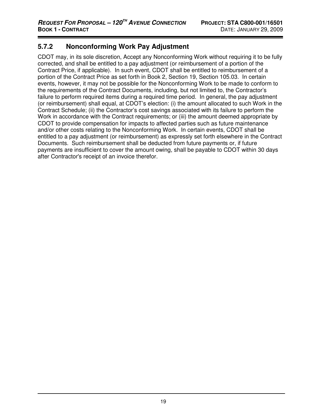#### **5.7.2 Nonconforming Work Pay Adjustment**

CDOT may, in its sole discretion, Accept any Nonconforming Work without requiring it to be fully corrected, and shall be entitled to a pay adjustment (or reimbursement of a portion of the Contract Price, if applicable). In such event, CDOT shall be entitled to reimbursement of a portion of the Contract Price as set forth in Book 2, Section 19, Section 105.03. In certain events, however, it may not be possible for the Nonconforming Work to be made to conform to the requirements of the Contract Documents, including, but not limited to, the Contractor's failure to perform required items during a required time period. In general, the pay adjustment (or reimbursement) shall equal, at CDOT's election: (i) the amount allocated to such Work in the Contract Schedule; (ii) the Contractor's cost savings associated with its failure to perform the Work in accordance with the Contract requirements; or (iii) the amount deemed appropriate by CDOT to provide compensation for impacts to affected parties such as future maintenance and/or other costs relating to the Nonconforming Work. In certain events, CDOT shall be entitled to a pay adjustment (or reimbursement) as expressly set forth elsewhere in the Contract Documents. Such reimbursement shall be deducted from future payments or, if future payments are insufficient to cover the amount owing, shall be payable to CDOT within 30 days after Contractor's receipt of an invoice therefor.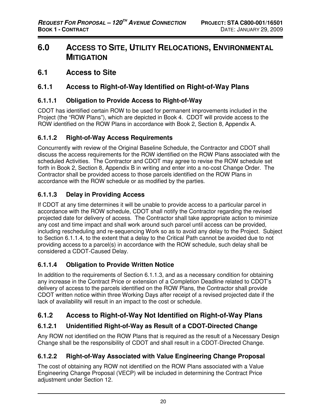# **6.0 ACCESS TO SITE, UTILITY RELOCATIONS, ENVIRONMENTAL MITIGATION**

# **6.1 Access to Site**

#### **6.1.1 Access to Right-of-Way Identified on Right-of-Way Plans**

#### **6.1.1.1 Obligation to Provide Access to Right-of-Way**

CDOT has identified certain ROW to be used for permanent improvements included in the Project (the "ROW Plans"), which are depicted in Book 4. CDOT will provide access to the ROW identified on the ROW Plans in accordance with Book 2, Section 8, Appendix A.

#### **6.1.1.2 Right-of-Way Access Requirements**

Concurrently with review of the Original Baseline Schedule, the Contractor and CDOT shall discuss the access requirements for the ROW identified on the ROW Plans associated with the scheduled Activities. The Contractor and CDOT may agree to revise the ROW schedule set forth in Book 2, Section 8, Appendix B in writing and enter into a no-cost Change Order. The Contractor shall be provided access to those parcels identified on the ROW Plans in accordance with the ROW schedule or as modified by the parties.

#### **6.1.1.3 Delay in Providing Access**

If CDOT at any time determines it will be unable to provide access to a particular parcel in accordance with the ROW schedule, CDOT shall notify the Contractor regarding the revised projected date for delivery of access. The Contractor shall take appropriate action to minimize any cost and time impact and shall work around such parcel until access can be provided, including rescheduling and re-sequencing Work so as to avoid any delay to the Project. Subject to Section 6.1.1.4, to the extent that a delay to the Critical Path cannot be avoided due to not providing access to a parcel(s) in accordance with the ROW schedule, such delay shall be considered a CDOT-Caused Delay.

#### **6.1.1.4 Obligation to Provide Written Notice**

In addition to the requirements of Section 6.1.1.3, and as a necessary condition for obtaining any increase in the Contract Price or extension of a Completion Deadline related to CDOT's delivery of access to the parcels identified on the ROW Plans, the Contractor shall provide CDOT written notice within three Working Days after receipt of a revised projected date if the lack of availability will result in an impact to the cost or schedule.

# **6.1.2 Access to Right-of-Way Not Identified on Right-of-Way Plans**

#### **6.1.2.1 Unidentified Right-of-Way as Result of a CDOT-Directed Change**

Any ROW not identified on the ROW Plans that is required as the result of a Necessary Design Change shall be the responsibility of CDOT and shall result in a CDOT-Directed Change.

#### **6.1.2.2 Right-of-Way Associated with Value Engineering Change Proposal**

The cost of obtaining any ROW not identified on the ROW Plans associated with a Value Engineering Change Proposal (VECP) will be included in determining the Contract Price adjustment under Section 12.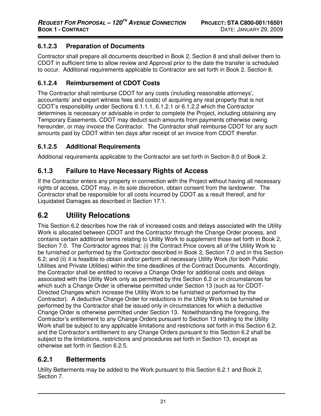#### **6.1.2.3 Preparation of Documents**

Contractor shall prepare all documents described in Book 2, Section 8 and shall deliver them to CDOT in sufficient time to allow review and Approval prior to the date the transfer is scheduled to occur. Additional requirements applicable to Contractor are set forth in Book 2, Section 8.

# **6.1.2.4 Reimbursement of CDOT Costs**

The Contractor shall reimburse CDOT for any costs (including reasonable attorneys', accountants' and expert witness fees and costs) of acquiring any real property that is not CDOT's responsibility under Sections 6.1.1.1, 6.1.2.1 or 6.1.2.2 which the Contractor determines is necessary or advisable in order to complete the Project, including obtaining any Temporary Easements. CDOT may deduct such amounts from payments otherwise owing hereunder, or may invoice the Contractor. The Contractor shall reimburse CDOT for any such amounts paid by CDOT within ten days after receipt of an invoice from CDOT therefor.

#### **6.1.2.5 Additional Requirements**

Additional requirements applicable to the Contractor are set forth in Section 8.0 of Book 2.

#### **6.1.3 Failure to Have Necessary Rights of Access**

If the Contractor enters any property in connection with the Project without having all necessary rights of access, CDOT may, in its sole discretion, obtain consent from the landowner. The Contractor shall be responsible for all costs incurred by CDOT as a result thereof, and for Liquidated Damages as described in Section 17.1.

# **6.2 Utility Relocations**

This Section 6.2 describes how the risk of increased costs and delays associated with the Utility Work is allocated between CDOT and the Contractor through the Change Order process, and contains certain additional terms relating to Utility Work to supplement those set forth in Book 2, Section 7.0. The Contractor agrees that: (i) the Contract Price covers all of the Utility Work to be furnished or performed by the Contractor described in Book 2, Section 7.0 and in this Section 6.2; and (ii) it is feasible to obtain and/or perform all necessary Utility Work (for both Public Utilities and Private Utilities) within the time deadlines of the Contract Documents. Accordingly, the Contractor shall be entitled to receive a Change Order for additional costs and delays associated with the Utility Work only as permitted by this Section 6.2 or in circumstances for which such a Change Order is otherwise permitted under Section 13 (such as for CDOT-Directed Changes which increase the Utility Work to be furnished or performed by the Contractor). A deductive Change Order for reductions in the Utility Work to be furnished or performed by the Contractor shall be issued only in circumstances for which a deductive Change Order is otherwise permitted under Section 13. Notwithstanding the foregoing, the Contractor's entitlement to any Change Orders pursuant to Section 13 relating to the Utility Work shall be subject to any applicable limitations and restrictions set forth in this Section 6.2, and the Contractor's entitlement to any Change Orders pursuant to this Section 6.2 shall be subject to the limitations, restrictions and procedures set forth in Section 13, except as otherwise set forth in Section 6.2.5.

# **6.2.1 Betterments**

Utility Betterments may be added to the Work pursuant to this Section 6.2.1 and Book 2, Section 7.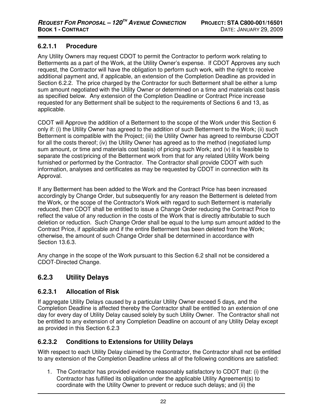#### **6.2.1.1 Procedure**

Any Utility Owners may request CDOT to permit the Contractor to perform work relating to Betterments as a part of the Work, at the Utility Owner's expense. If CDOT Approves any such request, the Contractor will have the obligation to perform such work, with the right to receive additional payment and, if applicable, an extension of the Completion Deadline as provided in Section 6.2.2. The price charged by the Contractor for such Betterment shall be either a lump sum amount negotiated with the Utility Owner or determined on a time and materials cost basis as specified below. Any extension of the Completion Deadline or Contract Price increase requested for any Betterment shall be subject to the requirements of Sections 6 and 13, as applicable.

CDOT will Approve the addition of a Betterment to the scope of the Work under this Section 6 only if: (i) the Utility Owner has agreed to the addition of such Betterment to the Work; (ii) such Betterment is compatible with the Project; (iii) the Utility Owner has agreed to reimburse CDOT for all the costs thereof; (iv) the Utility Owner has agreed as to the method (negotiated lump sum amount, or time and materials cost basis) of pricing such Work; and (v) it is feasible to separate the cost/pricing of the Betterment work from that for any related Utility Work being furnished or performed by the Contractor. The Contractor shall provide CDOT with such information, analyses and certificates as may be requested by CDOT in connection with its Approval.

If any Betterment has been added to the Work and the Contract Price has been increased accordingly by Change Order, but subsequently for any reason the Betterment is deleted from the Work, or the scope of the Contractor's Work with regard to such Betterment is materially reduced, then CDOT shall be entitled to issue a Change Order reducing the Contract Price to reflect the value of any reduction in the costs of the Work that is directly attributable to such deletion or reduction. Such Change Order shall be equal to the lump sum amount added to the Contract Price, if applicable and if the entire Betterment has been deleted from the Work; otherwise, the amount of such Change Order shall be determined in accordance with Section 13.6.3.

Any change in the scope of the Work pursuant to this Section 6.2 shall not be considered a CDOT-Directed Change.

# **6.2.3 Utility Delays**

#### **6.2.3.1 Allocation of Risk**

If aggregate Utility Delays caused by a particular Utility Owner exceed 5 days, and the Completion Deadline is affected thereby the Contractor shall be entitled to an extension of one day for every day of Utility Delay caused solely by such Utility Owner. The Contractor shall not be entitled to any extension of any Completion Deadline on account of any Utility Delay except as provided in this Section 6.2.3

#### **6.2.3.2 Conditions to Extensions for Utility Delays**

With respect to each Utility Delay claimed by the Contractor, the Contractor shall not be entitled to any extension of the Completion Deadline unless all of the following conditions are satisfied:

1. The Contractor has provided evidence reasonably satisfactory to CDOT that: (i) the Contractor has fulfilled its obligation under the applicable Utility Agreement(s) to coordinate with the Utility Owner to prevent or reduce such delays; and (ii) the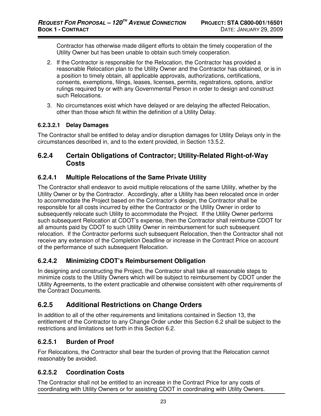Contractor has otherwise made diligent efforts to obtain the timely cooperation of the Utility Owner but has been unable to obtain such timely cooperation.

- 2. If the Contractor is responsible for the Relocation, the Contractor has provided a reasonable Relocation plan to the Utility Owner and the Contractor has obtained, or is in a position to timely obtain, all applicable approvals, authorizations, certifications, consents, exemptions, filings, leases, licenses, permits, registrations, options, and/or rulings required by or with any Governmental Person in order to design and construct such Relocations.
- 3. No circumstances exist which have delayed or are delaying the affected Relocation, other than those which fit within the definition of a Utility Delay.

#### **6.2.3.2.1 Delay Damages**

The Contractor shall be entitled to delay and/or disruption damages for Utility Delays only in the circumstances described in, and to the extent provided, in Section 13.5.2.

#### **6.2.4 Certain Obligations of Contractor; Utility-Related Right-of-Way Costs**

#### **6.2.4.1 Multiple Relocations of the Same Private Utility**

The Contractor shall endeavor to avoid multiple relocations of the same Utility, whether by the Utility Owner or by the Contractor. Accordingly, after a Utility has been relocated once in order to accommodate the Project based on the Contractor's design, the Contractor shall be responsible for all costs incurred by either the Contractor or the Utility Owner in order to subsequently relocate such Utility to accommodate the Project. If the Utility Owner performs such subsequent Relocation at CDOT's expense, then the Contractor shall reimburse CDOT for all amounts paid by CDOT to such Utility Owner in reimbursement for such subsequent relocation. If the Contractor performs such subsequent Relocation, then the Contractor shall not receive any extension of the Completion Deadline or increase in the Contract Price on account of the performance of such subsequent Relocation.

#### **6.2.4.2 Minimizing CDOT's Reimbursement Obligation**

In designing and constructing the Project, the Contractor shall take all reasonable steps to minimize costs to the Utility Owners which will be subject to reimbursement by CDOT under the Utility Agreements, to the extent practicable and otherwise consistent with other requirements of the Contract Documents.

#### **6.2.5 Additional Restrictions on Change Orders**

In addition to all of the other requirements and limitations contained in Section 13, the entitlement of the Contractor to any Change Order under this Section 6.2 shall be subject to the restrictions and limitations set forth in this Section 6.2.

#### **6.2.5.1 Burden of Proof**

For Relocations, the Contractor shall bear the burden of proving that the Relocation cannot reasonably be avoided.

#### **6.2.5.2 Coordination Costs**

The Contractor shall not be entitled to an increase in the Contract Price for any costs of coordinating with Utility Owners or for assisting CDOT in coordinating with Utility Owners.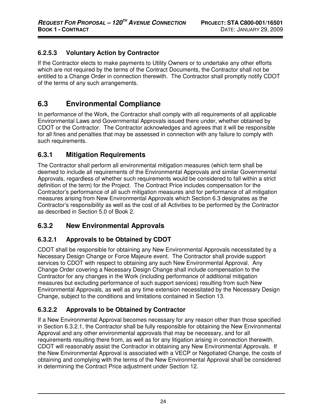#### **6.2.5.3 Voluntary Action by Contractor**

If the Contractor elects to make payments to Utility Owners or to undertake any other efforts which are not required by the terms of the Contract Documents, the Contractor shall not be entitled to a Change Order in connection therewith. The Contractor shall promptly notify CDOT of the terms of any such arrangements.

# **6.3 Environmental Compliance**

In performance of the Work, the Contractor shall comply with all requirements of all applicable Environmental Laws and Governmental Approvals issued there under, whether obtained by CDOT or the Contractor. The Contractor acknowledges and agrees that it will be responsible for all fines and penalties that may be assessed in connection with any failure to comply with such requirements.

#### **6.3.1 Mitigation Requirements**

The Contractor shall perform all environmental mitigation measures (which term shall be deemed to include all requirements of the Environmental Approvals and similar Governmental Approvals, regardless of whether such requirements would be considered to fall within a strict definition of the term) for the Project. The Contract Price includes compensation for the Contractor's performance of all such mitigation measures and for performance of all mitigation measures arising from New Environmental Approvals which Section 6.3 designates as the Contractor's responsibility as well as the cost of all Activities to be performed by the Contractor as described in Section 5.0 of Book 2.

#### **6.3.2 New Environmental Approvals**

#### **6.3.2.1 Approvals to be Obtained by CDOT**

CDOT shall be responsible for obtaining any New Environmental Approvals necessitated by a Necessary Design Change or Force Majeure event. The Contractor shall provide support services to CDOT with respect to obtaining any such New Environmental Approval. Any Change Order covering a Necessary Design Change shall include compensation to the Contractor for any changes in the Work (including performance of additional mitigation measures but excluding performance of such support services) resulting from such New Environmental Approvals, as well as any time extension necessitated by the Necessary Design Change, subject to the conditions and limitations contained in Section 13.

#### **6.3.2.2 Approvals to be Obtained by Contractor**

If a New Environmental Approval becomes necessary for any reason other than those specified in Section 6.3.2.1, the Contractor shall be fully responsible for obtaining the New Environmental Approval and any other environmental approvals that may be necessary, and for all requirements resulting there from, as well as for any litigation arising in connection therewith. CDOT will reasonably assist the Contractor in obtaining any New Environmental Approvals. If the New Environmental Approval is associated with a VECP or Negotiated Change, the costs of obtaining and complying with the terms of the New Environmental Approval shall be considered in determining the Contract Price adjustment under Section 12.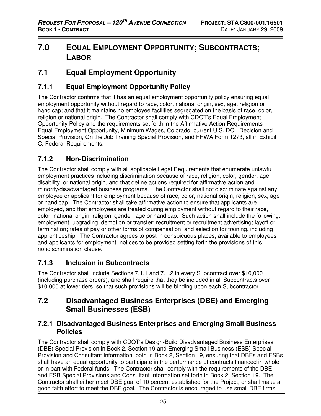# **7.0 EQUAL EMPLOYMENT OPPORTUNITY; SUBCONTRACTS; LABOR**

# **7.1 Equal Employment Opportunity**

# **7.1.1 Equal Employment Opportunity Policy**

The Contractor confirms that it has an equal employment opportunity policy ensuring equal employment opportunity without regard to race, color, national origin, sex, age, religion or handicap; and that it maintains no employee facilities segregated on the basis of race, color, religion or national origin. The Contractor shall comply with CDOT's Equal Employment Opportunity Policy and the requirements set forth in the Affirmative Action Requirements – Equal Employment Opportunity, Minimum Wages, Colorado, current U.S. DOL Decision and Special Provision, On the Job Training Special Provision, and FHWA Form 1273, all in Exhibit C, Federal Requirements.

# **7.1.2 Non-Discrimination**

The Contractor shall comply with all applicable Legal Requirements that enumerate unlawful employment practices including discrimination because of race, religion, color, gender, age, disability, or national origin, and that define actions required for affirmative action and minority/disadvantaged business programs. The Contractor shall not discriminate against any employee or applicant for employment because of race, color, national origin, religion, sex, age or handicap. The Contractor shall take affirmative action to ensure that applicants are employed, and that employees are treated during employment without regard to their race, color, national origin, religion, gender, age or handicap. Such action shall include the following: employment, upgrading, demotion or transfer; recruitment or recruitment advertising; layoff or termination; rates of pay or other forms of compensation; and selection for training, including apprenticeship. The Contractor agrees to post in conspicuous places, available to employees and applicants for employment, notices to be provided setting forth the provisions of this nondiscrimination clause.

# **7.1.3 Inclusion in Subcontracts**

The Contractor shall include Sections 7.1.1 and 7.1.2 in every Subcontract over \$10,000 (including purchase orders), and shall require that they be included in all Subcontracts over \$10,000 at lower tiers, so that such provisions will be binding upon each Subcontractor.

# **7.2 Disadvantaged Business Enterprises (DBE) and Emerging Small Businesses (ESB)**

#### **7.2.1 Disadvantaged Business Enterprises and Emerging Small Business Policies**

The Contractor shall comply with CDOT's Design-Build Disadvantaged Business Enterprises (DBE) Special Provision in Book 2, Section 19 and Emerging Small Business (ESB) Special Provision and Consultant Information, both in Book 2, Section 19, ensuring that DBEs and ESBs shall have an equal opportunity to participate in the performance of contracts financed in whole or in part with Federal funds. The Contractor shall comply with the requirements of the DBE and ESB Special Provisions and Consultant Information set forth in Book 2, Section 19. The Contractor shall either meet DBE goal of 10 percent established for the Project, or shall make a good faith effort to meet the DBE goal. The Contractor is encouraged to use small DBE firms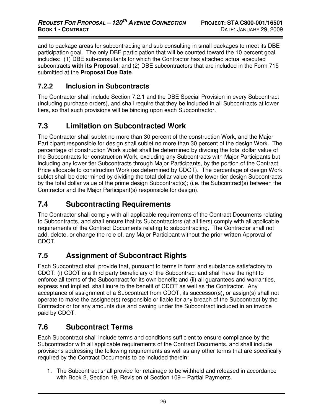and to package areas for subcontracting and sub-consulting in small packages to meet its DBE participation goal. The only DBE participation that will be counted toward the 10 percent goal includes: (1) DBE sub-consultants for which the Contractor has attached actual executed subcontracts **with its Proposal**; and (2) DBE subcontractors that are included in the Form 715 submitted at the **Proposal Due Date**.

### **7.2.2 Inclusion in Subcontracts**

The Contractor shall include Section 7.2.1 and the DBE Special Provision in every Subcontract (including purchase orders), and shall require that they be included in all Subcontracts at lower tiers, so that such provisions will be binding upon each Subcontractor.

## **7.3 Limitation on Subcontracted Work**

The Contractor shall sublet no more than 30 percent of the construction Work, and the Major Participant responsible for design shall sublet no more than 30 percent of the design Work. The percentage of construction Work sublet shall be determined by dividing the total dollar value of the Subcontracts for construction Work, excluding any Subcontracts with Major Participants but including any lower tier Subcontracts through Major Participants, by the portion of the Contract Price allocable to construction Work (as determined by CDOT). The percentage of design Work sublet shall be determined by dividing the total dollar value of the lower tier design Subcontracts by the total dollar value of the prime design Subcontract(s); (i.e. the Subcontract(s) between the Contractor and the Major Participant(s) responsible for design).

## **7.4 Subcontracting Requirements**

The Contractor shall comply with all applicable requirements of the Contract Documents relating to Subcontracts, and shall ensure that its Subcontractors (at all tiers) comply with all applicable requirements of the Contract Documents relating to subcontracting. The Contractor shall not add, delete, or change the role of, any Major Participant without the prior written Approval of CDOT.

## **7.5 Assignment of Subcontract Rights**

Each Subcontract shall provide that, pursuant to terms in form and substance satisfactory to CDOT: (i) CDOT is a third party beneficiary of the Subcontract and shall have the right to enforce all terms of the Subcontract for its own benefit; and (ii) all guarantees and warranties, express and implied, shall inure to the benefit of CDOT as well as the Contractor. Any acceptance of assignment of a Subcontract from CDOT, its successor(s), or assign(s) shall not operate to make the assignee(s) responsible or liable for any breach of the Subcontract by the Contractor or for any amounts due and owning under the Subcontract included in an invoice paid by CDOT.

## **7.6 Subcontract Terms**

Each Subcontract shall include terms and conditions sufficient to ensure compliance by the Subcontractor with all applicable requirements of the Contract Documents, and shall include provisions addressing the following requirements as well as any other terms that are specifically required by the Contract Documents to be included therein:

1. The Subcontract shall provide for retainage to be withheld and released in accordance with Book 2, Section 19, Revision of Section 109 – Partial Payments.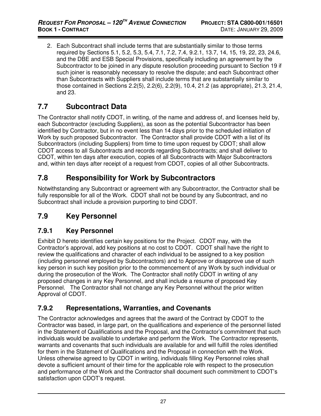2. Each Subcontract shall include terms that are substantially similar to those terms required by Sections 5.1, 5.2, 5.3, 5.4, 7.1, 7.2, 7.4, 9.2.1, 13.7, 14, 15, 19, 22, 23, 24.6, and the DBE and ESB Special Provisions, specifically including an agreement by the Subcontractor to be joined in any dispute resolution proceeding pursuant to Section 19 if such joiner is reasonably necessary to resolve the dispute; and each Subcontract other than Subcontracts with Suppliers shall include terms that are substantially similar to those contained in Sections 2.2(5), 2.2(6), 2.2(9), 10.4, 21.2 (as appropriate), 21.3, 21.4, and 23.

## **7.7 Subcontract Data**

The Contractor shall notify CDOT, in writing, of the name and address of, and licenses held by, each Subcontractor (excluding Suppliers), as soon as the potential Subcontractor has been identified by Contractor, but in no event less than 14 days prior to the scheduled initiation of Work by such proposed Subcontractor. The Contractor shall provide CDOT with a list of its Subcontractors (including Suppliers) from time to time upon request by CDOT; shall allow CDOT access to all Subcontracts and records regarding Subcontracts; and shall deliver to CDOT, within ten days after execution, copies of all Subcontracts with Major Subcontractors and, within ten days after receipt of a request from CDOT, copies of all other Subcontracts.

## **7.8 Responsibility for Work by Subcontractors**

Notwithstanding any Subcontract or agreement with any Subcontractor, the Contractor shall be fully responsible for all of the Work. CDOT shall not be bound by any Subcontract, and no Subcontract shall include a provision purporting to bind CDOT.

## **7.9 Key Personnel**

## **7.9.1 Key Personnel**

Exhibit D hereto identifies certain key positions for the Project. CDOT may, with the Contractor's approval, add key positions at no cost to CDOT. CDOT shall have the right to review the qualifications and character of each individual to be assigned to a key position (including personnel employed by Subcontractors) and to Approve or disapprove use of such key person in such key position prior to the commencement of any Work by such individual or during the prosecution of the Work. The Contractor shall notify CDOT in writing of any proposed changes in any Key Personnel, and shall include a resume of proposed Key Personnel. The Contractor shall not change any Key Personnel without the prior written Approval of CDOT.

## **7.9.2 Representations, Warranties, and Covenants**

The Contractor acknowledges and agrees that the award of the Contract by CDOT to the Contractor was based, in large part, on the qualifications and experience of the personnel listed in the Statement of Qualifications and the Proposal, and the Contractor's commitment that such individuals would be available to undertake and perform the Work. The Contractor represents, warrants and covenants that such individuals are available for and will fulfill the roles identified for them in the Statement of Qualifications and the Proposal in connection with the Work. Unless otherwise agreed to by CDOT in writing, individuals filling Key Personnel roles shall devote a sufficient amount of their time for the applicable role with respect to the prosecution and performance of the Work and the Contractor shall document such commitment to CDOT's satisfaction upon CDOT's request.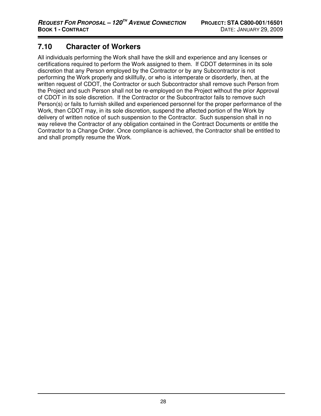## **7.10 Character of Workers**

All individuals performing the Work shall have the skill and experience and any licenses or certifications required to perform the Work assigned to them. If CDOT determines in its sole discretion that any Person employed by the Contractor or by any Subcontractor is not performing the Work properly and skillfully, or who is intemperate or disorderly, then, at the written request of CDOT, the Contractor or such Subcontractor shall remove such Person from the Project and such Person shall not be re-employed on the Project without the prior Approval of CDOT in its sole discretion. If the Contractor or the Subcontractor fails to remove such Person(s) or fails to furnish skilled and experienced personnel for the proper performance of the Work, then CDOT may, in its sole discretion, suspend the affected portion of the Work by delivery of written notice of such suspension to the Contractor. Such suspension shall in no way relieve the Contractor of any obligation contained in the Contract Documents or entitle the Contractor to a Change Order. Once compliance is achieved, the Contractor shall be entitled to and shall promptly resume the Work.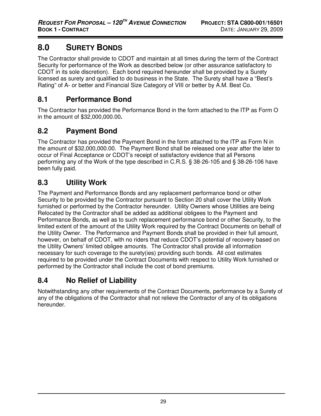# **8.0 SURETY BONDS**

The Contractor shall provide to CDOT and maintain at all times during the term of the Contract Security for performance of the Work as described below (or other assurance satisfactory to CDOT in its sole discretion). Each bond required hereunder shall be provided by a Surety licensed as surety and qualified to do business in the State. The Surety shall have a "Best's Rating" of A- or better and Financial Size Category of VIII or better by A.M. Best Co.

## **8.1 Performance Bond**

The Contractor has provided the Performance Bond in the form attached to the ITP as Form O in the amount of \$32,000,000.00**.** 

## **8.2 Payment Bond**

The Contractor has provided the Payment Bond in the form attached to the ITP as Form N in the amount of \$32,000,000.00. The Payment Bond shall be released one year after the later to occur of Final Acceptance or CDOT's receipt of satisfactory evidence that all Persons performing any of the Work of the type described in C.R.S. § 38-26-105 and § 38-26-106 have been fully paid.

## **8.3 Utility Work**

The Payment and Performance Bonds and any replacement performance bond or other Security to be provided by the Contractor pursuant to Section 20 shall cover the Utility Work furnished or performed by the Contractor hereunder. Utility Owners whose Utilities are being Relocated by the Contractor shall be added as additional obligees to the Payment and Performance Bonds, as well as to such replacement performance bond or other Security, to the limited extent of the amount of the Utility Work required by the Contract Documents on behalf of the Utility Owner. The Performance and Payment Bonds shall be provided in their full amount, however, on behalf of CDOT, with no riders that reduce CDOT's potential of recovery based on the Utility Owners' limited obligee amounts. The Contractor shall provide all information necessary for such coverage to the surety(ies) providing such bonds. All cost estimates required to be provided under the Contract Documents with respect to Utility Work furnished or performed by the Contractor shall include the cost of bond premiums.

## **8.4 No Relief of Liability**

Notwithstanding any other requirements of the Contract Documents, performance by a Surety of any of the obligations of the Contractor shall not relieve the Contractor of any of its obligations hereunder.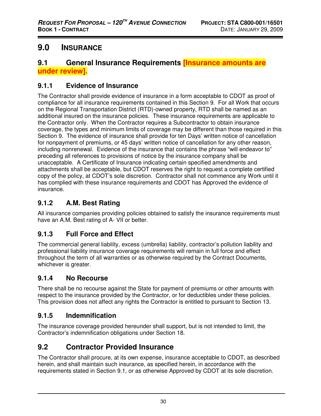# **9.0 INSURANCE**

## **9.1 General Insurance Requirements [Insurance amounts are under review].**

## **9.1.1 Evidence of Insurance**

The Contractor shall provide evidence of insurance in a form acceptable to CDOT as proof of compliance for all insurance requirements contained in this Section 9. For all Work that occurs on the Regional Transportation District (RTD)-owned property, RTD shall be named as an additional insured on the insurance policies. These insurance requirements are applicable to the Contractor only. When the Contractor requires a Subcontractor to obtain insurance coverage, the types and minimum limits of coverage may be different than those required in this Section 9. The evidence of insurance shall provide for ten Days' written notice of cancellation for nonpayment of premiums, or 45 days' written notice of cancellation for any other reason, including nonrenewal. Evidence of the insurance that contains the phrase "will endeavor to" preceding all references to provisions of notice by the insurance company shall be unacceptable. A Certificate of Insurance indicating certain specified amendments and attachments shall be acceptable, but CDOT reserves the right to request a complete certified copy of the policy, at CDOT's sole discretion. Contractor shall not commence any Work until it has complied with these insurance requirements and CDOT has Approved the evidence of insurance.

## **9.1.2 A.M. Best Rating**

All insurance companies providing policies obtained to satisfy the insurance requirements must have an A.M. Best rating of A- VII or better.

## **9.1.3 Full Force and Effect**

The commercial general liability, excess (umbrella) liability, contractor's pollution liability and professional liability insurance coverage requirements will remain in full force and effect throughout the term of all warranties or as otherwise required by the Contract Documents, whichever is greater.

## **9.1.4 No Recourse**

There shall be no recourse against the State for payment of premiums or other amounts with respect to the insurance provided by the Contractor, or for deductibles under these policies. This provision does not affect any rights the Contractor is entitled to pursuant to Section 13.

## **9.1.5 Indemnification**

The insurance coverage provided hereunder shall support, but is not intended to limit, the Contractor's indemnification obligations under Section 18.

## **9.2 Contractor Provided Insurance**

The Contractor shall procure, at its own expense, insurance acceptable to CDOT, as described herein, and shall maintain such insurance, as specified herein, in accordance with the requirements stated in Section 9.1, or as otherwise Approved by CDOT at its sole discretion.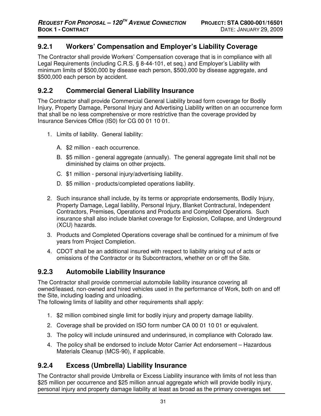#### **9.2.1 Workers' Compensation and Employer's Liability Coverage**

The Contractor shall provide Workers' Compensation coverage that is in compliance with all Legal Requirements (including C.R.S. § 8-44-101, et seq.) and Employer's Liability with minimum limits of \$500,000 by disease each person, \$500,000 by disease aggregate, and \$500,000 each person by accident.

#### **9.2.2 Commercial General Liability Insurance**

The Contractor shall provide Commercial General Liability broad form coverage for Bodily Injury, Property Damage, Personal Injury and Advertising Liability written on an occurrence form that shall be no less comprehensive or more restrictive than the coverage provided by Insurance Services Office (IS0) for CG 00 01 10 01.

- 1. Limits of liability. General liability:
	- A. \$2 million each occurrence.
	- B. \$5 million general aggregate (annually). The general aggregate limit shall not be diminished by claims on other projects.
	- C. \$1 million personal injury/advertising liability.
	- D. \$5 million products/completed operations liability.
- 2. Such insurance shall include, by its terms or appropriate endorsements, Bodily Injury, Property Damage, Legal liability, Personal Injury, Blanket Contractural, Independent Contractors, Premises, Operations and Products and Completed Operations.Such insurance shall also include blanket coverage for Explosion, Collapse, and Underground (XCU) hazards.
- 3. Products and Completed Operations coverage shall be continued for a minimum of five years from Project Completion.
- 4. CDOT shall be an additional insured with respect to liability arising out of acts or omissions of the Contractor or its Subcontractors, whether on or off the Site.

#### **9.2.3 Automobile Liability Insurance**

The Contractor shall provide commercial automobile liability insurance covering all owned/leased, non-owned and hired vehicles used in the performance of Work, both on and off the Site, including loading and unloading.

The following limits of liability and other requirements shall apply:

- 1. \$2 million combined single limit for bodily injury and property damage liability.
- 2. Coverage shall be provided on ISO form number CA 00 01 10 01 or equivalent.
- 3. The policy will include uninsured and underinsured, in compliance with Colorado law.
- 4. The policy shall be endorsed to include Motor Carrier Act endorsement Hazardous Materials Cleanup (MCS-90), if applicable.

### **9.2.4 Excess (Umbrella) Liability Insurance**

The Contractor shall provide Umbrella or Excess Liability insurance with limits of not less than \$25 million per occurrence and \$25 million annual aggregate which will provide bodily injury, personal injury and property damage liability at least as broad as the primary coverages set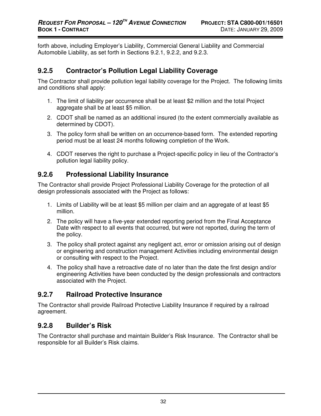forth above, including Employer's Liability, Commercial General Liability and Commercial Automobile Liability, as set forth in Sections 9.2.1, 9.2.2, and 9.2.3.

### **9.2.5 Contractor's Pollution Legal Liability Coverage**

The Contractor shall provide pollution legal liability coverage for the Project. The following limits and conditions shall apply:

- 1. The limit of liability per occurrence shall be at least \$2 million and the total Project aggregate shall be at least \$5 million.
- 2. CDOT shall be named as an additional insured (to the extent commercially available as determined by CDOT).
- 3. The policy form shall be written on an occurrence-based form. The extended reporting period must be at least 24 months following completion of the Work.
- 4. CDOT reserves the right to purchase a Project-specific policy in lieu of the Contractor's pollution legal liability policy.

### **9.2.6 Professional Liability Insurance**

The Contractor shall provide Project Professional Liability Coverage for the protection of all design professionals associated with the Project as follows:

- 1. Limits of Liability will be at least \$5 million per claim and an aggregate of at least \$5 million.
- 2. The policy will have a five-year extended reporting period from the Final Acceptance Date with respect to all events that occurred, but were not reported, during the term of the policy.
- 3. The policy shall protect against any negligent act, error or omission arising out of design or engineering and construction management Activities including environmental design or consulting with respect to the Project.
- 4. The policy shall have a retroactive date of no later than the date the first design and/or engineering Activities have been conducted by the design professionals and contractors associated with the Project.

### **9.2.7 Railroad Protective Insurance**

The Contractor shall provide Railroad Protective Liability Insurance if required by a railroad agreement.

### **9.2.8 Builder's Risk**

The Contractor shall purchase and maintain Builder's Risk Insurance. The Contractor shall be responsible for all Builder's Risk claims.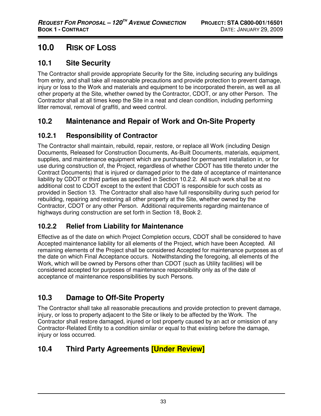# **10.0 RISK OF LOSS**

## **10.1 Site Security**

The Contractor shall provide appropriate Security for the Site, including securing any buildings from entry, and shall take all reasonable precautions and provide protection to prevent damage, injury or loss to the Work and materials and equipment to be incorporated therein, as well as all other property at the Site, whether owned by the Contractor, CDOT, or any other Person. The Contractor shall at all times keep the Site in a neat and clean condition, including performing litter removal, removal of graffiti, and weed control.

## **10.2 Maintenance and Repair of Work and On-Site Property**

## **10.2.1 Responsibility of Contractor**

The Contractor shall maintain, rebuild, repair, restore, or replace all Work (including Design Documents, Released for Construction Documents, As-Built Documents, materials, equipment, supplies, and maintenance equipment which are purchased for permanent installation in, or for use during construction of, the Project, regardless of whether CDOT has title thereto under the Contract Documents) that is injured or damaged prior to the date of acceptance of maintenance liability by CDOT or third parties as specified in Section 10.2.2. All such work shall be at no additional cost to CDOT except to the extent that CDOT is responsible for such costs as provided in Section 13. The Contractor shall also have full responsibility during such period for rebuilding, repairing and restoring all other property at the Site, whether owned by the Contractor, CDOT or any other Person. Additional requirements regarding maintenance of highways during construction are set forth in Section 18, Book 2.

## **10.2.2 Relief from Liability for Maintenance**

Effective as of the date on which Project Completion occurs, CDOT shall be considered to have Accepted maintenance liability for all elements of the Project, which have been Accepted. All remaining elements of the Project shall be considered Accepted for maintenance purposes as of the date on which Final Acceptance occurs. Notwithstanding the foregoing, all elements of the Work, which will be owned by Persons other than CDOT (such as Utility facilities) will be considered accepted for purposes of maintenance responsibility only as of the date of acceptance of maintenance responsibilities by such Persons.

## **10.3 Damage to Off-Site Property**

The Contractor shall take all reasonable precautions and provide protection to prevent damage, injury, or loss to property adjacent to the Site or likely to be affected by the Work. The Contractor shall restore damaged, injured or lost property caused by an act or omission of any Contractor-Related Entity to a condition similar or equal to that existing before the damage, injury or loss occurred.

## **10.4 Third Party Agreements [Under Review]**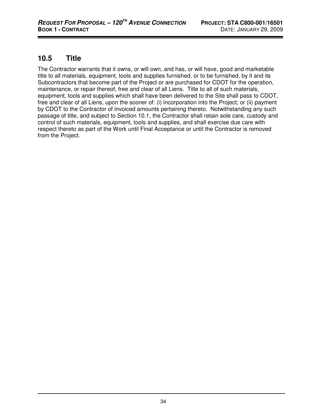## **10.5 Title**

The Contractor warrants that it owns, or will own, and has, or will have, good and marketable title to all materials, equipment, tools and supplies furnished, or to be furnished, by it and its Subcontractors that become part of the Project or are purchased for CDOT for the operation, maintenance, or repair thereof, free and clear of all Liens. Title to all of such materials, equipment, tools and supplies which shall have been delivered to the Site shall pass to CDOT, free and clear of all Liens, upon the sooner of: (i) incorporation into the Project; or (ii) payment by CDOT to the Contractor of invoiced amounts pertaining thereto. Notwithstanding any such passage of title, and subject to Section 10.1, the Contractor shall retain sole care, custody and control of such materials, equipment, tools and supplies, and shall exercise due care with respect thereto as part of the Work until Final Acceptance or until the Contractor is removed from the Project.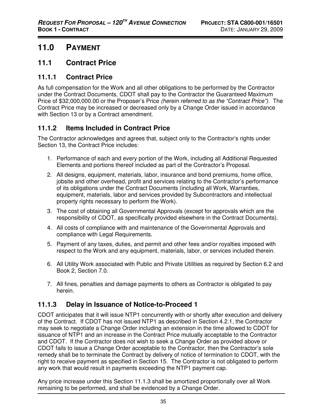# **11.0 PAYMENT**

## **11.1 Contract Price**

### **11.1.1 Contract Price**

As full compensation for the Work and all other obligations to be performed by the Contractor under the Contract Documents, CDOT shall pay to the Contractor the Guaranteed Maximum Price of \$32,000,000.00 or the Proposer's Price (herein referred to as the "Contract Price"). The Contract Price may be increased or decreased only by a Change Order issued in accordance with Section 13 or by a Contract amendment.

## **11.1.2 Items Included in Contract Price**

The Contractor acknowledges and agrees that, subject only to the Contractor's rights under Section 13, the Contract Price includes:

- 1. Performance of each and every portion of the Work, including all Additional Requested Elements and portions thereof included as part of the Contractor's Proposal.
- 2. All designs, equipment, materials, labor, insurance and bond premiums, home office, jobsite and other overhead, profit and services relating to the Contractor's performance of its obligations under the Contract Documents (including all Work, Warranties, equipment, materials, labor and services provided by Subcontractors and intellectual property rights necessary to perform the Work).
- 3. The cost of obtaining all Governmental Approvals (except for approvals which are the responsibility of CDOT, as specifically provided elsewhere in the Contract Documents).
- 4. All costs of compliance with and maintenance of the Governmental Approvals and compliance with Legal Requirements.
- 5. Payment of any taxes, duties, and permit and other fees and/or royalties imposed with respect to the Work and any equipment, materials, labor, or services included therein.
- 6. All Utility Work associated with Public and Private Utilities as required by Section 6.2 and Book 2, Section 7.0.
- 7. All fines, penalties and damage payments to others as Contractor is obligated to pay herein.

### **11.1.3 Delay in Issuance of Notice-to-Proceed 1**

CDOT anticipates that it will issue NTP1 concurrently with or shortly after execution and delivery of the Contract. If CDOT has not issued NTP1 as described in Section 4.2.1, the Contractor may seek to negotiate a Change Order including an extension in the time allowed to CDOT for issuance of NTP1 and an increase in the Contract Price mutually acceptable to the Contractor and CDOT. If the Contractor does not wish to seek a Change Order as provided above or CDOT fails to issue a Change Order acceptable to the Contractor, then the Contractor's sole remedy shall be to terminate the Contract by delivery of notice of termination to CDOT, with the right to receive payment as specified in Section 15. The Contractor is not obligated to perform any work that would result in payments exceeding the NTP1 payment cap.

Any price increase under this Section 11.1.3 shall be amortized proportionally over all Work remaining to be performed, and shall be evidenced by a Change Order.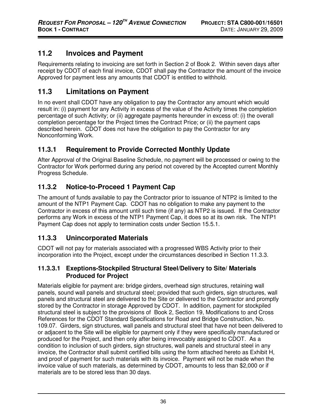## **11.2 Invoices and Payment**

Requirements relating to invoicing are set forth in Section 2 of Book 2. Within seven days after receipt by CDOT of each final invoice, CDOT shall pay the Contractor the amount of the invoice Approved for payment less any amounts that CDOT is entitled to withhold.

# **11.3 Limitations on Payment**

In no event shall CDOT have any obligation to pay the Contractor any amount which would result in: (i) payment for any Activity in excess of the value of the Activity times the completion percentage of such Activity; or (ii) aggregate payments hereunder in excess of: (i) the overall completion percentage for the Project times the Contract Price; or (ii) the payment caps described herein. CDOT does not have the obligation to pay the Contractor for any Nonconforming Work.

## **11.3.1 Requirement to Provide Corrected Monthly Update**

After Approval of the Original Baseline Schedule, no payment will be processed or owing to the Contractor for Work performed during any period not covered by the Accepted current Monthly Progress Schedule.

## **11.3.2 Notice-to-Proceed 1 Payment Cap**

The amount of funds available to pay the Contractor prior to issuance of NTP2 is limited to the amount of the NTP1 Payment Cap. CDOT has no obligation to make any payment to the Contractor in excess of this amount until such time (if any) as NTP2 is issued. If the Contractor performs any Work in excess of the NTP1 Payment Cap, it does so at its own risk. The NTP1 Payment Cap does not apply to termination costs under Section 15.5.1.

## **11.3.3 Unincorporated Materials**

CDOT will not pay for materials associated with a progressed WBS Activity prior to their incorporation into the Project, except under the circumstances described in Section 11.3.3.

#### **11.3.3.1 Exeptions-Stockpiled Structural Steel/Delivery to Site/ Materials Produced for Project**

Materials eligible for payment are: bridge girders, overhead sign structures, retaining wall panels, sound wall panels and structural steel; provided that such girders, sign structures, wall panels and structural steel are delivered to the Site or delivered to the Contractor and promptly stored by the Contractor in storage Approved by CDOT. In addition, payment for stockpiled structural steel is subject to the provisions of Book 2, Section 19, Modifications to and Cross References for the CDOT Standard Specifications for Road and Bridge Construction, No. 109.07. Girders, sign structures, wall panels and structural steel that have not been delivered to or adjacent to the Site will be eligible for payment only if they were specifically manufactured or produced for the Project, and then only after being irrevocably assigned to CDOT. As a condition to inclusion of such girders, sign structures, wall panels and structural steel in any invoice, the Contractor shall submit certified bills using the form attached hereto as Exhibit H, and proof of payment for such materials with its invoice. Payment will not be made when the invoice value of such materials, as determined by CDOT, amounts to less than \$2,000 or if materials are to be stored less than 30 days.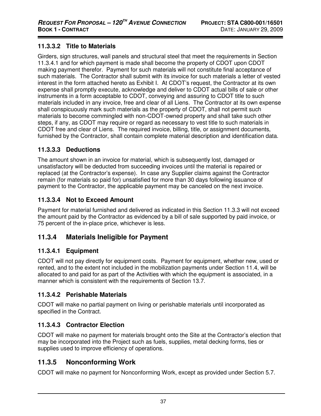### **11.3.3.2 Title to Materials**

Girders, sign structures, wall panels and structural steel that meet the requirements in Section 11.3.4.1 and for which payment is made shall become the property of CDOT upon CDOT making payment therefor. Payment for such materials will not constitute final acceptance of such materials. The Contractor shall submit with its invoice for such materials a letter of vested interest in the form attached hereto as Exhibit I. At CDOT's request, the Contractor at its own expense shall promptly execute, acknowledge and deliver to CDOT actual bills of sale or other instruments in a form acceptable to CDOT, conveying and assuring to CDOT title to such materials included in any invoice, free and clear of all Liens. The Contractor at its own expense shall conspicuously mark such materials as the property of CDOT, shall not permit such materials to become commingled with non-CDOT-owned property and shall take such other steps, if any, as CDOT may require or regard as necessary to vest title to such materials in CDOT free and clear of Liens. The required invoice, billing, title, or assignment documents, furnished by the Contractor, shall contain complete material description and identification data.

### **11.3.3.3 Deductions**

The amount shown in an invoice for material, which is subsequently lost, damaged or unsatisfactory will be deducted from succeeding invoices until the material is repaired or replaced (at the Contractor's expense). In case any Supplier claims against the Contractor remain (for materials so paid for) unsatisfied for more than 30 days following issuance of payment to the Contractor, the applicable payment may be canceled on the next invoice.

#### **11.3.3.4 Not to Exceed Amount**

Payment for material furnished and delivered as indicated in this Section 11.3.3 will not exceed the amount paid by the Contractor as evidenced by a bill of sale supported by paid invoice, or 75 percent of the in-place price, whichever is less.

### **11.3.4 Materials Ineligible for Payment**

#### **11.3.4.1 Equipment**

CDOT will not pay directly for equipment costs. Payment for equipment, whether new, used or rented, and to the extent not included in the mobilization payments under Section 11.4, will be allocated to and paid for as part of the Activities with which the equipment is associated, in a manner which is consistent with the requirements of Section 13.7.

#### **11.3.4.2 Perishable Materials**

CDOT will make no partial payment on living or perishable materials until incorporated as specified in the Contract.

#### **11.3.4.3 Contractor Election**

CDOT will make no payment for materials brought onto the Site at the Contractor's election that may be incorporated into the Project such as fuels, supplies, metal decking forms, ties or supplies used to improve efficiency of operations.

## **11.3.5 Nonconforming Work**

CDOT will make no payment for Nonconforming Work, except as provided under Section 5.7.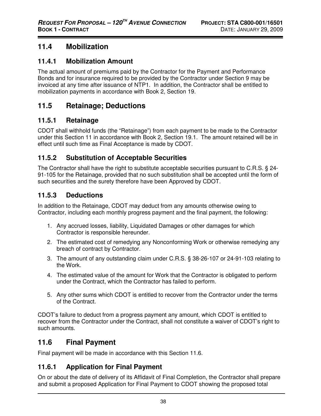## **11.4 Mobilization**

#### **11.4.1 Mobilization Amount**

The actual amount of premiums paid by the Contractor for the Payment and Performance Bonds and for insurance required to be provided by the Contractor under Section 9 may be invoiced at any time after issuance of NTP1. In addition, the Contractor shall be entitled to mobilization payments in accordance with Book 2, Section 19.

## **11.5 Retainage; Deductions**

#### **11.5.1 Retainage**

CDOT shall withhold funds (the "Retainage") from each payment to be made to the Contractor under this Section 11 in accordance with Book 2, Section 19.1. The amount retained will be in effect until such time as Final Acceptance is made by CDOT.

### **11.5.2 Substitution of Acceptable Securities**

The Contractor shall have the right to substitute acceptable securities pursuant to C.R.S. § 24- 91-105 for the Retainage, provided that no such substitution shall be accepted until the form of such securities and the surety therefore have been Approved by CDOT.

### **11.5.3 Deductions**

In addition to the Retainage, CDOT may deduct from any amounts otherwise owing to Contractor, including each monthly progress payment and the final payment, the following:

- 1. Any accrued losses, liability, Liquidated Damages or other damages for which Contractor is responsible hereunder.
- 2. The estimated cost of remedying any Nonconforming Work or otherwise remedying any breach of contract by Contractor.
- 3. The amount of any outstanding claim under C.R.S. § 38-26-107 or 24-91-103 relating to the Work.
- 4. The estimated value of the amount for Work that the Contractor is obligated to perform under the Contract, which the Contractor has failed to perform.
- 5. Any other sums which CDOT is entitled to recover from the Contractor under the terms of the Contract.

CDOT's failure to deduct from a progress payment any amount, which CDOT is entitled to recover from the Contractor under the Contract, shall not constitute a waiver of CDOT's right to such amounts.

## **11.6 Final Payment**

Final payment will be made in accordance with this Section 11.6.

## **11.6.1 Application for Final Payment**

On or about the date of delivery of its Affidavit of Final Completion, the Contractor shall prepare and submit a proposed Application for Final Payment to CDOT showing the proposed total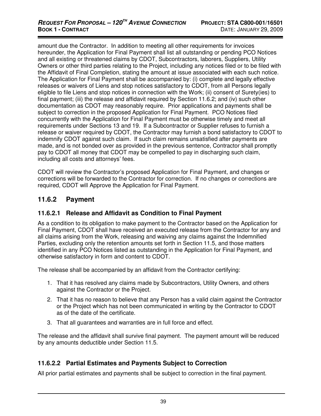amount due the Contractor. In addition to meeting all other requirements for invoices hereunder, the Application for Final Payment shall list all outstanding or pending PCO Notices and all existing or threatened claims by CDOT, Subcontractors, laborers, Suppliers, Utility Owners or other third parties relating to the Project, including any notices filed or to be filed with the Affidavit of Final Completion, stating the amount at issue associated with each such notice. The Application for Final Payment shall be accompanied by: (i) complete and legally effective releases or waivers of Liens and stop notices satisfactory to CDOT, from all Persons legally eligible to file Liens and stop notices in connection with the Work; (ii) consent of Surety(ies) to final payment; (iii) the release and affidavit required by Section 11.6.2; and (iv) such other documentation as CDOT may reasonably require. Prior applications and payments shall be subject to correction in the proposed Application for Final Payment. PCO Notices filed concurrently with the Application for Final Payment must be otherwise timely and meet all requirements under Sections 13 and 19. If a Subcontractor or Supplier refuses to furnish a release or waiver required by CDOT, the Contractor may furnish a bond satisfactory to CDOT to indemnify CDOT against such claim. If such claim remains unsatisfied after payments are made, and is not bonded over as provided in the previous sentence, Contractor shall promptly pay to CDOT all money that CDOT may be compelled to pay in discharging such claim, including all costs and attorneys' fees.

CDOT will review the Contractor's proposed Application for Final Payment, and changes or corrections will be forwarded to the Contractor for correction. If no changes or corrections are required, CDOT will Approve the Application for Final Payment.

### **11.6.2 Payment**

#### **11.6.2.1 Release and Affidavit as Condition to Final Payment**

As a condition to its obligation to make payment to the Contractor based on the Application for Final Payment, CDOT shall have received an executed release from the Contractor for any and all claims arising from the Work, releasing and waiving any claims against the Indemnified Parties, excluding only the retention amounts set forth in Section 11.5, and those matters identified in any PCO Notices listed as outstanding in the Application for Final Payment, and otherwise satisfactory in form and content to CDOT.

The release shall be accompanied by an affidavit from the Contractor certifying:

- 1. That it has resolved any claims made by Subcontractors, Utility Owners, and others against the Contractor or the Project.
- 2. That it has no reason to believe that any Person has a valid claim against the Contractor or the Project which has not been communicated in writing by the Contractor to CDOT as of the date of the certificate.
- 3. That all guarantees and warranties are in full force and effect.

The release and the affidavit shall survive final payment. The payment amount will be reduced by any amounts deductible under Section 11.5.

#### **11.6.2.2 Partial Estimates and Payments Subject to Correction**

All prior partial estimates and payments shall be subject to correction in the final payment.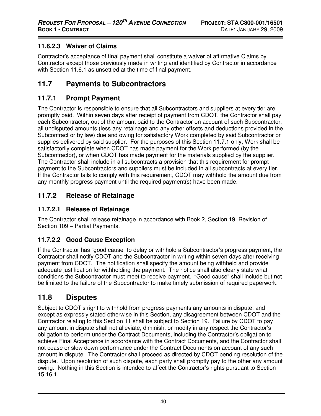### **11.6.2.3 Waiver of Claims**

Contractor's acceptance of final payment shall constitute a waiver of affirmative Claims by Contractor except those previously made in writing and identified by Contractor in accordance with Section 11.6.1 as unsettled at the time of final payment.

## **11.7 Payments to Subcontractors**

### **11.7.1 Prompt Payment**

The Contractor is responsible to ensure that all Subcontractors and suppliers at every tier are promptly paid. Within seven days after receipt of payment from CDOT, the Contractor shall pay each Subcontractor, out of the amount paid to the Contractor on account of such Subcontractor, all undisputed amounts (less any retainage and any other offsets and deductions provided in the Subcontract or by law) due and owing for satisfactory Work completed by said Subcontractor or supplies delivered by said supplier. For the purposes of this Section 11.7.1 only, Work shall be satisfactorily complete when CDOT has made payment for the Work performed (by the Subcontractor), or when CDOT has made payment for the materials supplied by the supplier. The Contractor shall include in all subcontracts a provision that this requirement for prompt payment to the Subcontractors and suppliers must be included in all subcontracts at every tier. If the Contractor fails to comply with this requirement, CDOT may withhold the amount due from any monthly progress payment until the required payment(s) have been made.

## **11.7.2 Release of Retainage**

#### **11.7.2.1 Release of Retainage**

The Contractor shall release retainage in accordance with Book 2, Section 19, Revision of Section 109 – Partial Payments.

### **11.7.2.2 Good Cause Exception**

If the Contractor has "good cause" to delay or withhold a Subcontractor's progress payment, the Contractor shall notify CDOT and the Subcontractor in writing within seven days after receiving payment from CDOT. The notification shall specify the amount being withheld and provide adequate justification for withholding the payment. The notice shall also clearly state what conditions the Subcontractor must meet to receive payment. "Good cause" shall include but not be limited to the failure of the Subcontractor to make timely submission of required paperwork.

## **11.8 Disputes**

Subject to CDOT's right to withhold from progress payments any amounts in dispute, and except as expressly stated otherwise in this Section, any disagreement between CDOT and the Contractor relating to this Section 11 shall be subject to Section 19. Failure by CDOT to pay any amount in dispute shall not alleviate, diminish, or modify in any respect the Contractor's obligation to perform under the Contract Documents, including the Contractor's obligation to achieve Final Acceptance in accordance with the Contract Documents, and the Contractor shall not cease or slow down performance under the Contract Documents on account of any such amount in dispute. The Contractor shall proceed as directed by CDOT pending resolution of the dispute. Upon resolution of such dispute, each party shall promptly pay to the other any amount owing. Nothing in this Section is intended to affect the Contractor's rights pursuant to Section 15.16.1.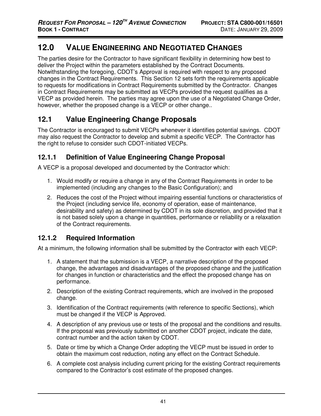# **12.0 VALUE ENGINEERING AND NEGOTIATED CHANGES**

The parties desire for the Contractor to have significant flexibility in determining how best to deliver the Project within the parameters established by the Contract Documents. Notwithstanding the foregoing, CDOT's Approval is required with respect to any proposed changes in the Contract Requirements. This Section 12 sets forth the requirements applicable to requests for modifications in Contract Requirements submitted by the Contractor. Changes in Contract Requirements may be submitted as VECPs provided the request qualifies as a VECP as provided herein. The parties may agree upon the use of a Negotiated Change Order, however, whether the proposed change is a VECP or other change..

## **12.1 Value Engineering Change Proposals**

The Contractor is encouraged to submit VECPs whenever it identifies potential savings. CDOT may also request the Contractor to develop and submit a specific VECP. The Contractor has the right to refuse to consider such CDOT-initiated VECPs.

## **12.1.1 Definition of Value Engineering Change Proposal**

A VECP is a proposal developed and documented by the Contractor which:

- 1. Would modify or require a change in any of the Contract Requirements in order to be implemented (including any changes to the Basic Configuration); and
- 2. Reduces the cost of the Project without impairing essential functions or characteristics of the Project (including service life, economy of operation, ease of maintenance, desirability and safety) as determined by CDOT in its sole discretion, and provided that it is not based solely upon a change in quantities, performance or reliability or a relaxation of the Contract requirements.

## **12.1.2 Required Information**

At a minimum, the following information shall be submitted by the Contractor with each VECP:

- 1. A statement that the submission is a VECP, a narrative description of the proposed change, the advantages and disadvantages of the proposed change and the justification for changes in function or characteristics and the effect the proposed change has on performance.
- 2. Description of the existing Contract requirements, which are involved in the proposed change.
- 3. Identification of the Contract requirements (with reference to specific Sections), which must be changed if the VECP is Approved.
- 4. A description of any previous use or tests of the proposal and the conditions and results. If the proposal was previously submitted on another CDOT project, indicate the date, contract number and the action taken by CDOT.
- 5. Date or time by which a Change Order adopting the VECP must be issued in order to obtain the maximum cost reduction, noting any effect on the Contract Schedule.
- 6. A complete cost analysis including current pricing for the existing Contract requirements compared to the Contractor's cost estimate of the proposed changes.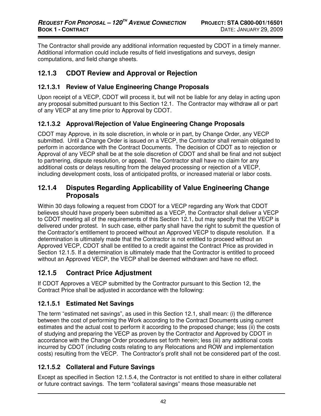The Contractor shall provide any additional information requested by CDOT in a timely manner. Additional information could include results of field investigations and surveys, design computations, and field change sheets.

### **12.1.3 CDOT Review and Approval or Rejection**

#### **12.1.3.1 Review of Value Engineering Change Proposals**

Upon receipt of a VECP, CDOT will process it, but will not be liable for any delay in acting upon any proposal submitted pursuant to this Section 12.1. The Contractor may withdraw all or part of any VECP at any time prior to Approval by CDOT.

### **12.1.3.2 Approval/Rejection of Value Engineering Change Proposals**

CDOT may Approve, in its sole discretion, in whole or in part, by Change Order, any VECP submitted. Until a Change Order is issued on a VECP, the Contractor shall remain obligated to perform in accordance with the Contract Documents. The decision of CDOT as to rejection or Approval of any VECP shall be at the sole discretion of CDOT and shall be final and not subject to partnering, dispute resolution, or appeal. The Contractor shall have no claim for any additional costs or delays resulting from the delayed processing or rejection of a VECP, including development costs, loss of anticipated profits, or increased material or labor costs.

#### **12.1.4 Disputes Regarding Applicability of Value Engineering Change Proposals**

Within 30 days following a request from CDOT for a VECP regarding any Work that CDOT believes should have properly been submitted as a VECP, the Contractor shall deliver a VECP to CDOT meeting all of the requirements of this Section 12.1, but may specify that the VECP is delivered under protest. In such case, either party shall have the right to submit the question of the Contractor's entitlement to proceed without an Approved VECP to dispute resolution. If a determination is ultimately made that the Contractor is not entitled to proceed without an Approved VECP, CDOT shall be entitled to a credit against the Contract Price as provided in Section 12.1.5. If a determination is ultimately made that the Contractor is entitled to proceed without an Approved VECP, the VECP shall be deemed withdrawn and have no effect.

### **12.1.5 Contract Price Adjustment**

If CDOT Approves a VECP submitted by the Contractor pursuant to this Section 12, the Contract Price shall be adjusted in accordance with the following:

#### **12.1.5.1 Estimated Net Savings**

The term "estimated net savings", as used in this Section 12.1, shall mean: (i) the difference between the cost of performing the Work according to the Contract Documents using current estimates and the actual cost to perform it according to the proposed change; less (ii) the costs of studying and preparing the VECP as proven by the Contractor and Approved by CDOT in accordance with the Change Order procedures set forth herein; less (iii) any additional costs incurred by CDOT (including costs relating to any Relocations and ROW and implementation costs) resulting from the VECP. The Contractor's profit shall not be considered part of the cost.

### **12.1.5.2 Collateral and Future Savings**

Except as specified in Section 12.1.5.4, the Contractor is not entitled to share in either collateral or future contract savings. The term "collateral savings" means those measurable net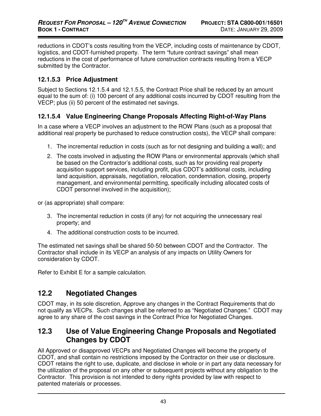reductions in CDOT's costs resulting from the VECP, including costs of maintenance by CDOT, logistics, and CDOT-furnished property. The term "future contract savings" shall mean reductions in the cost of performance of future construction contracts resulting from a VECP submitted by the Contractor.

#### **12.1.5.3 Price Adjustment**

Subject to Sections 12.1.5.4 and 12.1.5.5, the Contract Price shall be reduced by an amount equal to the sum of: (i) 100 percent of any additional costs incurred by CDOT resulting from the VECP; plus (ii) 50 percent of the estimated net savings.

#### **12.1.5.4 Value Engineering Change Proposals Affecting Right-of-Way Plans**

In a case where a VECP involves an adjustment to the ROW Plans (such as a proposal that additional real property be purchased to reduce construction costs), the VECP shall compare:

- 1. The incremental reduction in costs (such as for not designing and building a wall); and
- 2. The costs involved in adjusting the ROW Plans or environmental approvals (which shall be based on the Contractor's additional costs, such as for providing real property acquisition support services, including profit, plus CDOT's additional costs, including land acquisition, appraisals, negotiation, relocation, condemnation, closing, property management, and environmental permitting, specifically including allocated costs of CDOT personnel involved in the acquisition);

or (as appropriate) shall compare:

- 3. The incremental reduction in costs (if any) for not acquiring the unnecessary real property; and
- 4. The additional construction costs to be incurred.

The estimated net savings shall be shared 50-50 between CDOT and the Contractor. The Contractor shall include in its VECP an analysis of any impacts on Utility Owners for consideration by CDOT.

Refer to Exhibit E for a sample calculation.

### **12.2 Negotiated Changes**

CDOT may, in its sole discretion, Approve any changes in the Contract Requirements that do not qualify as VECPs. Such changes shall be referred to as "Negotiated Changes." CDOT may agree to any share of the cost savings in the Contract Price for Negotiated Changes.

### **12.3 Use of Value Engineering Change Proposals and Negotiated Changes by CDOT**

All Approved or disapproved VECPs and Negotiated Changes will become the property of CDOT, and shall contain no restrictions imposed by the Contractor on their use or disclosure. CDOT retains the right to use, duplicate, and disclose in whole or in part any data necessary for the utilization of the proposal on any other or subsequent projects without any obligation to the Contractor. This provision is not intended to deny rights provided by law with respect to patented materials or processes.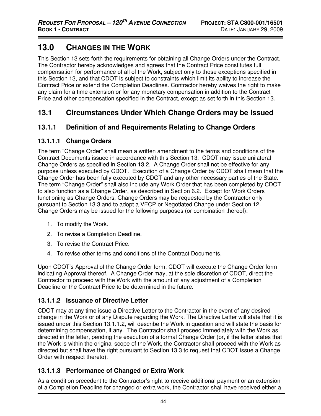# **13.0 CHANGES IN THE WORK**

This Section 13 sets forth the requirements for obtaining all Change Orders under the Contract. The Contractor hereby acknowledges and agrees that the Contract Price constitutes full compensation for performance of all of the Work, subject only to those exceptions specified in this Section 13, and that CDOT is subject to constraints which limit its ability to increase the Contract Price or extend the Completion Deadlines. Contractor hereby waives the right to make any claim for a time extension or for any monetary compensation in addition to the Contract Price and other compensation specified in the Contract, except as set forth in this Section 13.

## **13.1 Circumstances Under Which Change Orders may be Issued**

### **13.1.1 Definition of and Requirements Relating to Change Orders**

#### **13.1.1.1 Change Orders**

The term "Change Order" shall mean a written amendment to the terms and conditions of the Contract Documents issued in accordance with this Section 13. CDOT may issue unilateral Change Orders as specified in Section 13.2. A Change Order shall not be effective for any purpose unless executed by CDOT. Execution of a Change Order by CDOT shall mean that the Change Order has been fully executed by CDOT and any other necessary parties of the State. The term "Change Order" shall also include any Work Order that has been completed by CDOT to also function as a Change Order, as described in Section 6.2. Except for Work Orders functioning as Change Orders, Change Orders may be requested by the Contractor only pursuant to Section 13.3 and to adopt a VECP or Negotiated Change under Section 12. Change Orders may be issued for the following purposes (or combination thereof):

- 1. To modify the Work.
- 2. To revise a Completion Deadline.
- 3. To revise the Contract Price.
- 4. To revise other terms and conditions of the Contract Documents.

Upon CDOT's Approval of the Change Order form, CDOT will execute the Change Order form indicating Approval thereof. A Change Order may, at the sole discretion of CDOT, direct the Contractor to proceed with the Work with the amount of any adjustment of a Completion Deadline or the Contract Price to be determined in the future.

#### **13.1.1.2 Issuance of Directive Letter**

CDOT may at any time issue a Directive Letter to the Contractor in the event of any desired change in the Work or of any Dispute regarding the Work. The Directive Letter will state that it is issued under this Section 13.1.1.2, will describe the Work in question and will state the basis for determining compensation, if any. The Contractor shall proceed immediately with the Work as directed in the letter, pending the execution of a formal Change Order (or, if the letter states that the Work is within the original scope of the Work, the Contractor shall proceed with the Work as directed but shall have the right pursuant to Section 13.3 to request that CDOT issue a Change Order with respect thereto).

### **13.1.1.3 Performance of Changed or Extra Work**

As a condition precedent to the Contractor's right to receive additional payment or an extension of a Completion Deadline for changed or extra work, the Contractor shall have received either a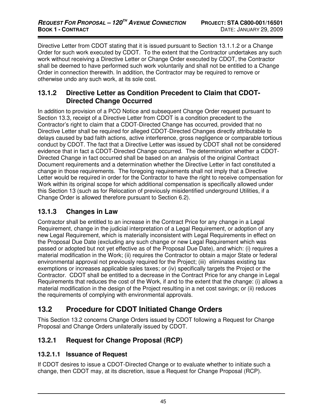Directive Letter from CDOT stating that it is issued pursuant to Section 13.1.1.2 or a Change Order for such work executed by CDOT. To the extent that the Contractor undertakes any such work without receiving a Directive Letter or Change Order executed by CDOT, the Contractor shall be deemed to have performed such work voluntarily and shall not be entitled to a Change Order in connection therewith. In addition, the Contractor may be required to remove or otherwise undo any such work, at its sole cost.

### **13.1.2 Directive Letter as Condition Precedent to Claim that CDOT-Directed Change Occurred**

In addition to provision of a PCO Notice and subsequent Change Order request pursuant to Section 13.3, receipt of a Directive Letter from CDOT is a condition precedent to the Contractor's right to claim that a CDOT-Directed Change has occurred, provided that no Directive Letter shall be required for alleged CDOT-Directed Changes directly attributable to delays caused by bad faith actions, active interference, gross negligence or comparable tortious conduct by CDOT. The fact that a Directive Letter was issued by CDOT shall not be considered evidence that in fact a CDOT-Directed Change occurred. The determination whether a CDOT-Directed Change in fact occurred shall be based on an analysis of the original Contract Document requirements and a determination whether the Directive Letter in fact constituted a change in those requirements. The foregoing requirements shall not imply that a Directive Letter would be required in order for the Contractor to have the right to receive compensation for Work within its original scope for which additional compensation is specifically allowed under this Section 13 (such as for Relocation of previously misidentified underground Utilities, if a Change Order is allowed therefore pursuant to Section 6.2).

### **13.1.3 Changes in Law**

Contractor shall be entitled to an increase in the Contract Price for any change in a Legal Requirement, change in the judicial interpretation of a Legal Requirement, or adoption of any new Legal Requirement, which is materially inconsistent with Legal Requirements in effect on the Proposal Due Date (excluding any such change or new Legal Requirement which was passed or adopted but not yet effective as of the Proposal Due Date), and which: (i) requires a material modification in the Work; (ii) requires the Contractor to obtain a major State or federal environmental approval not previously required for the Project; (iii) eliminates existing tax exemptions or increases applicable sales taxes; or (iv) specifically targets the Project or the Contractor. CDOT shall be entitled to a decrease in the Contract Price for any change in Legal Requirements that reduces the cost of the Work, if and to the extent that the change: (i) allows a material modification in the design of the Project resulting in a net cost savings; or (ii) reduces the requirements of complying with environmental approvals.

## **13.2 Procedure for CDOT Initiated Change Orders**

This Section 13.2 concerns Change Orders issued by CDOT following a Request for Change Proposal and Change Orders unilaterally issued by CDOT.

## **13.2.1 Request for Change Proposal (RCP)**

### **13.2.1.1 Issuance of Request**

If CDOT desires to issue a CDOT-Directed Change or to evaluate whether to initiate such a change, then CDOT may, at its discretion, issue a Request for Change Proposal (RCP).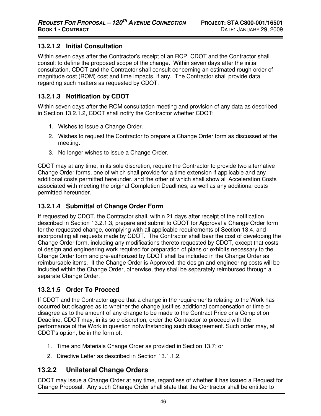#### **13.2.1.2 Initial Consultation**

Within seven days after the Contractor's receipt of an RCP, CDOT and the Contractor shall consult to define the proposed scope of the change. Within seven days after the initial consultation, CDOT and the Contractor shall consult concerning an estimated rough order of magnitude cost (ROM) cost and time impacts, if any. The Contractor shall provide data regarding such matters as requested by CDOT.

#### **13.2.1.3 Notification by CDOT**

Within seven days after the ROM consultation meeting and provision of any data as described in Section 13.2.1.2, CDOT shall notify the Contractor whether CDOT:

- 1. Wishes to issue a Change Order.
- 2. Wishes to request the Contractor to prepare a Change Order form as discussed at the meeting.
- 3. No longer wishes to issue a Change Order.

CDOT may at any time, in its sole discretion, require the Contractor to provide two alternative Change Order forms, one of which shall provide for a time extension if applicable and any additional costs permitted hereunder, and the other of which shall show all Acceleration Costs associated with meeting the original Completion Deadlines, as well as any additional costs permitted hereunder.

#### **13.2.1.4 Submittal of Change Order Form**

If requested by CDOT, the Contractor shall, within 21 days after receipt of the notification described in Section 13.2.1.3, prepare and submit to CDOT for Approval a Change Order form for the requested change, complying with all applicable requirements of Section 13.4, and incorporating all requests made by CDOT. The Contractor shall bear the cost of developing the Change Order form, including any modifications thereto requested by CDOT, except that costs of design and engineering work required for preparation of plans or exhibits necessary to the Change Order form and pre-authorized by CDOT shall be included in the Change Order as reimbursable items. If the Change Order is Approved, the design and engineering costs will be included within the Change Order, otherwise, they shall be separately reimbursed through a separate Change Order.

#### **13.2.1.5 Order To Proceed**

If CDOT and the Contractor agree that a change in the requirements relating to the Work has occurred but disagree as to whether the change justifies additional compensation or time or disagree as to the amount of any change to be made to the Contract Price or a Completion Deadline, CDOT may, in its sole discretion, order the Contractor to proceed with the performance of the Work in question notwithstanding such disagreement. Such order may, at CDOT's option, be in the form of:

- 1. Time and Materials Change Order as provided in Section 13.7; or
- 2. Directive Letter as described in Section 13.1.1.2.

### **13.2.2 Unilateral Change Orders**

CDOT may issue a Change Order at any time, regardless of whether it has issued a Request for Change Proposal. Any such Change Order shall state that the Contractor shall be entitled to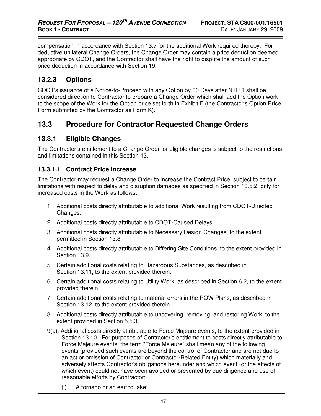compensation in accordance with Section 13.7 for the additional Work required thereby. For deductive unilateral Change Orders, the Change Order may contain a price deduction deemed appropriate by CDOT, and the Contractor shall have the right to dispute the amount of such price deduction in accordance with Section 19.

#### **13.2.3 Options**

CDOT's issuance of a Notice-to-Proceed with any Option by 60 Days after NTP 1 shall be considered direction to Contractor to prepare a Change Order which shall add the Option work to the scope of the Work for the Option price set forth in Exhibit F (the Contractor's Option Price Form submitted by the Contractor as Form K).

### **13.3 Procedure for Contractor Requested Change Orders**

#### **13.3.1 Eligible Changes**

The Contractor's entitlement to a Change Order for eligible changes is subject to the restrictions and limitations contained in this Section 13.

#### **13.3.1.1 Contract Price Increase**

The Contractor may request a Change Order to increase the Contract Price, subject to certain limitations with respect to delay and disruption damages as specified in Section 13.5.2, only for increased costs in the Work as follows:

- 1. Additional costs directly attributable to additional Work resulting from CDOT-Directed Changes.
- 2. Additional costs directly attributable to CDOT-Caused Delays.
- 3. Additional costs directly attributable to Necessary Design Changes, to the extent permitted in Section 13.8.
- 4. Additional costs directly attributable to Differing Site Conditions, to the extent provided in Section 13.9.
- 5. Certain additional costs relating to Hazardous Substances, as described in Section 13.11, to the extent provided therein.
- 6. Certain additional costs relating to Utility Work, as described in Section 6.2, to the extent provided therein.
- 7. Certain additional costs relating to material errors in the ROW Plans, as described in Section 13.12, to the extent provided therein.
- 8. Additional costs directly attributable to uncovering, removing, and restoring Work, to the extent provided in Section 5.5.3.
- 9(a). Additional costs directly attributable to Force Majeure events, to the extent provided in Section 13.10. For purposes of Contractor's entitlement to costs directly attributable to Force Majeure events, the term "Force Majeure" shall mean any of the following events (provided such events are beyond the control of Contractor and are not due to an act or omission of Contractor or Contractor-Related Entity) which materially and adversely affects Contractor's obligations hereunder and which event (or the effects of which event) could not have been avoided or prevented by due diligence and use of reasonable efforts by Contractor:
	- (i) A tornado or an earthquake;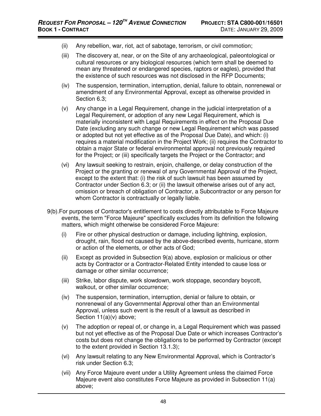- (ii) Any rebellion, war, riot, act of sabotage, terrorism, or civil commotion;
- (iii) The discovery at, near, or on the Site of any archaeological, paleontological or cultural resources or any biological resources (which term shall be deemed to mean any threatened or endangered species, raptors or eagles), provided that the existence of such resources was not disclosed in the RFP Documents;
- (iv) The suspension, termination, interruption, denial, failure to obtain, nonrenewal or amendment of any Environmental Approval, except as otherwise provided in Section 6.3;
- (v) Any change in a Legal Requirement, change in the judicial interpretation of a Legal Requirement, or adoption of any new Legal Requirement, which is materially inconsistent with Legal Requirements in effect on the Proposal Due Date (excluding any such change or new Legal Requirement which was passed or adopted but not yet effective as of the Proposal Due Date), and which: (i) requires a material modification in the Project Work; (ii) requires the Contractor to obtain a major State or federal environmental approval not previously required for the Project; or (iii) specifically targets the Project or the Contractor; and
- (vi) Any lawsuit seeking to restrain, enjoin, challenge, or delay construction of the Project or the granting or renewal of any Governmental Approval of the Project, except to the extent that: (i) the risk of such lawsuit has been assumed by Contractor under Section 6.3; or (ii) the lawsuit otherwise arises out of any act, omission or breach of obligation of Contractor, a Subcontractor or any person for whom Contractor is contractually or legally liable.
- 9(b).For purposes of Contractor's entitlement to costs directly attributable to Force Majeure events, the term "Force Majeure" specifically excludes from its definition the following matters, which might otherwise be considered Force Majeure:
	- (i) Fire or other physical destruction or damage, including lightning, explosion, drought, rain, flood not caused by the above-described events, hurricane, storm or action of the elements, or other acts of God;
	- (ii) Except as provided in Subsection 9(a) above, explosion or malicious or other acts by Contractor or a Contractor-Related Entity intended to cause loss or damage or other similar occurrence;
	- (iii) Strike, labor dispute, work slowdown, work stoppage, secondary boycott, walkout, or other similar occurrence;
	- (iv) The suspension, termination, interruption, denial or failure to obtain, or nonrenewal of any Governmental Approval other than an Environmental Approval, unless such event is the result of a lawsuit as described in Section 11(a)(v) above;
	- (v) The adoption or repeal of, or change in, a Legal Requirement which was passed but not yet effective as of the Proposal Due Date or which increases Contractor's costs but does not change the obligations to be performed by Contractor (except to the extent provided in Section 13.1.3);
	- (vi) Any lawsuit relating to any New Environmental Approval, which is Contractor's risk under Section 6.3;
	- (vii) Any Force Majeure event under a Utility Agreement unless the claimed Force Majeure event also constitutes Force Majeure as provided in Subsection 11(a) above;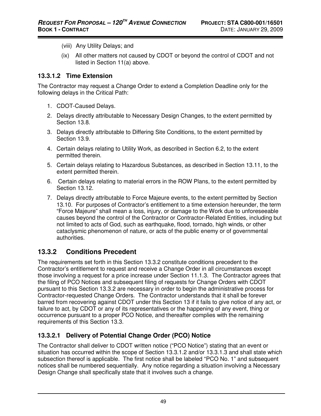- (viii) Any Utility Delays; and
- (ix) All other matters not caused by CDOT or beyond the control of CDOT and not listed in Section 11(a) above.

#### **13.3.1.2 Time Extension**

The Contractor may request a Change Order to extend a Completion Deadline only for the following delays in the Critical Path:

- 1. CDOT-Caused Delays.
- 2. Delays directly attributable to Necessary Design Changes, to the extent permitted by Section 13.8.
- 3. Delays directly attributable to Differing Site Conditions, to the extent permitted by Section 13.9.
- 4. Certain delays relating to Utility Work, as described in Section 6.2, to the extent permitted therein.
- 5. Certain delays relating to Hazardous Substances, as described in Section 13.11, to the extent permitted therein.
- 6. Certain delays relating to material errors in the ROW Plans, to the extent permitted by Section 13.12.
- 7. Delays directly attributable to Force Majeure events, to the extent permitted by Section 13.10. For purposes of Contractor's entitlement to a time extension hereunder, the term "Force Majeure" shall mean a loss, injury, or damage to the Work due to unforeseeable causes beyond the control of the Contractor or Contractor-Related Entities, including but not limited to acts of God, such as earthquake, flood, tornado, high winds, or other cataclysmic phenomenon of nature, or acts of the public enemy or of governmental authorities.

### **13.3.2 Conditions Precedent**

The requirements set forth in this Section 13.3.2 constitute conditions precedent to the Contractor's entitlement to request and receive a Change Order in all circumstances except those involving a request for a price increase under Section 11.1.3. The Contractor agrees that the filing of PCO Notices and subsequent filing of requests for Change Orders with CDOT pursuant to this Section 13.3.2 are necessary in order to begin the administrative process for Contractor-requested Change Orders. The Contractor understands that it shall be forever barred from recovering against CDOT under this Section 13 if it fails to give notice of any act, or failure to act, by CDOT or any of its representatives or the happening of any event, thing or occurrence pursuant to a proper PCO Notice, and thereafter complies with the remaining requirements of this Section 13.3.

### **13.3.2.1 Delivery of Potential Change Order (PCO) Notice**

The Contractor shall deliver to CDOT written notice ("PCO Notice") stating that an event or situation has occurred within the scope of Section 13.3.1.2 and/or 13.3.1.3 and shall state which subsection thereof is applicable. The first notice shall be labeled "PCO No. 1" and subsequent notices shall be numbered sequentially. Any notice regarding a situation involving a Necessary Design Change shall specifically state that it involves such a change.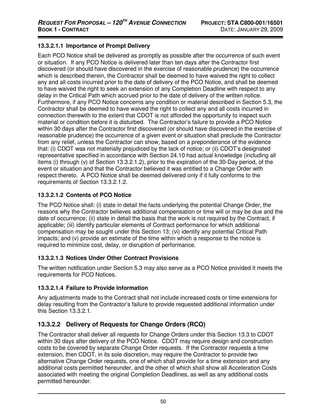#### **13.3.2.1.1 Importance of Prompt Delivery**

Each PCO Notice shall be delivered as promptly as possible after the occurrence of such event or situation. If any PCO Notice is delivered later than ten days after the Contractor first discovered (or should have discovered in the exercise of reasonable prudence) the occurrence which is described therein, the Contractor shall be deemed to have waived the right to collect any and all costs incurred prior to the date of delivery of the PCO Notice, and shall be deemed to have waived the right to seek an extension of any Completion Deadline with respect to any delay in the Critical Path which accrued prior to the date of delivery of the written notice. Furthermore, if any PCO Notice concerns any condition or material described in Section 5.3, the Contractor shall be deemed to have waived the right to collect any and all costs incurred in connection therewith to the extent that CDOT is not afforded the opportunity to inspect such material or condition before it is disturbed. The Contractor's failure to provide a PCO Notice within 30 days after the Contractor first discovered (or should have discovered in the exercise of reasonable prudence) the occurrence of a given event or situation shall preclude the Contractor from any relief, unless the Contractor can show, based on a preponderance of the evidence that: (i) CDOT was not materially prejudiced by the lack of notice; or (ii) CDOT's designated representative specified in accordance with Section 24.10 had actual knowledge (including all items (i) through (v) of Section 13.3.2.1.2), prior to the expiration of the 30-Day period, of the event or situation and that the Contractor believed it was entitled to a Change Order with respect thereto. A PCO Notice shall be deemed delivered only if it fully conforms to the requirements of Section 13.3.2.1.2.

#### **13.3.2.1.2 Contents of PCO Notice**

The PCO Notice shall: (i) state in detail the facts underlying the potential Change Order, the reasons why the Contractor believes additional compensation or time will or may be due and the date of occurrence; (ii) state in detail the basis that the work is not required by the Contract, if applicable; (iii) identify particular elements of Contract performance for which additional compensation may be sought under this Section 13; (vi) identify any potential Critical Path impacts; and (v) provide an estimate of the time within which a response to the notice is required to minimize cost, delay, or disruption of performance.

#### **13.3.2.1.3 Notices Under Other Contract Provisions**

The written notification under Section 5.3 may also serve as a PCO Notice provided it meets the requirements for PCO Notices.

#### **13.3.2.1.4 Failure to Provide Information**

Any adjustments made to the Contract shall not include increased costs or time extensions for delay resulting from the Contractor's failure to provide requested additional information under this Section 13.3.2.1.

#### **13.3.2.2 Delivery of Requests for Change Orders (RCO)**

The Contractor shall deliver all requests for Change Orders under this Section 13.3 to CDOT within 30 days after delivery of the PCO Notice. CDOT may require design and construction costs to be covered by separate Change Order requests. If the Contractor requests a time extension, then CDOT, in its sole discretion, may require the Contractor to provide two alternative Change Order requests, one of which shall provide for a time extension and any additional costs permitted hereunder, and the other of which shall show all Acceleration Costs associated with meeting the original Completion Deadlines, as well as any additional costs permitted hereunder.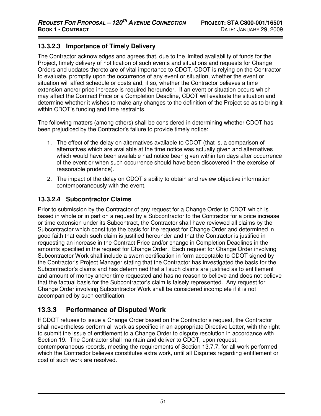#### **13.3.2.3 Importance of Timely Delivery**

The Contractor acknowledges and agrees that, due to the limited availability of funds for the Project, timely delivery of notification of such events and situations and requests for Change Orders and updates thereto are of vital importance to CDOT. CDOT is relying on the Contractor to evaluate, promptly upon the occurrence of any event or situation, whether the event or situation will affect schedule or costs and, if so, whether the Contractor believes a time extension and/or price increase is required hereunder. If an event or situation occurs which may affect the Contract Price or a Completion Deadline, CDOT will evaluate the situation and determine whether it wishes to make any changes to the definition of the Project so as to bring it within CDOT's funding and time restraints.

The following matters (among others) shall be considered in determining whether CDOT has been prejudiced by the Contractor's failure to provide timely notice:

- 1. The effect of the delay on alternatives available to CDOT (that is, a comparison of alternatives which are available at the time notice was actually given and alternatives which would have been available had notice been given within ten days after occurrence of the event or when such occurrence should have been discovered in the exercise of reasonable prudence).
- 2. The impact of the delay on CDOT's ability to obtain and review objective information contemporaneously with the event.

#### **13.3.2.4 Subcontractor Claims**

Prior to submission by the Contractor of any request for a Change Order to CDOT which is based in whole or in part on a request by a Subcontractor to the Contractor for a price increase or time extension under its Subcontract, the Contractor shall have reviewed all claims by the Subcontractor which constitute the basis for the request for Change Order and determined in good faith that each such claim is justified hereunder and that the Contractor is justified in requesting an increase in the Contract Price and/or change in Completion Deadlines in the amounts specified in the request for Change Order. Each request for Change Order involving Subcontractor Work shall include a sworn certification in form acceptable to CDOT signed by the Contractor's Project Manager stating that the Contractor has investigated the basis for the Subcontractor's claims and has determined that all such claims are justified as to entitlement and amount of money and/or time requested and has no reason to believe and does not believe that the factual basis for the Subcontractor's claim is falsely represented. Any request for Change Order involving Subcontractor Work shall be considered incomplete if it is not accompanied by such certification.

## **13.3.3 Performance of Disputed Work**

If CDOT refuses to issue a Change Order based on the Contractor's request, the Contractor shall nevertheless perform all work as specified in an appropriate Directive Letter, with the right to submit the issue of entitlement to a Change Order to dispute resolution in accordance with Section 19. The Contractor shall maintain and deliver to CDOT, upon request, contemporaneous records, meeting the requirements of Section 13.7.7, for all work performed which the Contractor believes constitutes extra work, until all Disputes regarding entitlement or cost of such work are resolved.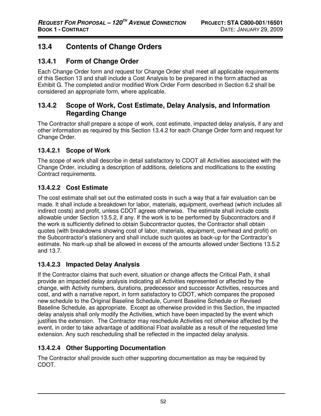## **13.4 Contents of Change Orders**

### **13.4.1 Form of Change Order**

Each Change Order form and request for Change Order shall meet all applicable requirements of this Section 13 and shall include a Cost Analysis to be prepared in the form attached as Exhibit G. The completed and/or modified Work Order Form described in Section 6.2 shall be considered an appropriate form, where applicable.

### **13.4.2 Scope of Work, Cost Estimate, Delay Analysis, and Information Regarding Change**

The Contractor shall prepare a scope of work, cost estimate, impacted delay analysis, if any and other information as required by this Section 13.4.2 for each Change Order form and request for Change Order.

### **13.4.2.1 Scope of Work**

The scope of work shall describe in detail satisfactory to CDOT all Activities associated with the Change Order, including a description of additions, deletions and modifications to the existing Contract requirements.

### **13.4.2.2 Cost Estimate**

The cost estimate shall set out the estimated costs in such a way that a fair evaluation can be made. It shall include a breakdown for labor, materials, equipment, overhead (which includes all indirect costs) and profit, unless CDOT agrees otherwise. The estimate shall include costs allowable under Section 13.5.2, if any. If the work is to be performed by Subcontractors and if the work is sufficiently defined to obtain Subcontractor quotes, the Contractor shall obtain quotes (with breakdowns showing cost of labor, materials, equipment, overhead and profit) on the Subcontractor's stationery and shall include such quotes as back-up for the Contractor's estimate. No mark-up shall be allowed in excess of the amounts allowed under Sections 13.5.2 and 13.7.

### **13.4.2.3 Impacted Delay Analysis**

If the Contractor claims that such event, situation or change affects the Critical Path, it shall provide an impacted delay analysis indicating all Activities represented or affected by the change, with Activity numbers, durations, predecessor and successor Activities, resources and cost, and with a narrative report, in form satisfactory to CDOT, which compares the proposed new schedule to the Original Baseline Schedule, Current Baseline Schedule or Revised Baseline Schedule, as appropriate. Except as otherwise provided in this Section, the impacted delay analysis shall only modify the Activities, which have been impacted by the event which justifies the extension. The Contractor may reschedule Activities not otherwise affected by the event, in order to take advantage of additional Float available as a result of the requested time extension. Any such rescheduling shall be reflected in the impacted delay analysis.

### **13.4.2.4 Other Supporting Documentation**

The Contractor shall provide such other supporting documentation as may be required by CDOT.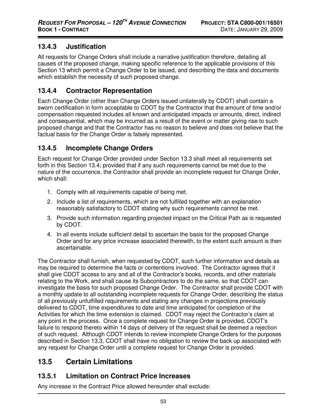### **13.4.3 Justification**

All requests for Change Orders shall include a narrative justification therefore, detailing all causes of the proposed change, making specific reference to the applicable provisions of this Section 13 which permit a Change Order to be issued, and describing the data and documents which establish the necessity of such proposed change.

## **13.4.4 Contractor Representation**

Each Change Order (other than Change Orders issued unilaterally by CDOT) shall contain a sworn certification in form acceptable to CDOT by the Contractor that the amount of time and/or compensation requested includes all known and anticipated impacts or amounts, direct, indirect and consequential, which may be incurred as a result of the event or matter giving rise to such proposed change and that the Contractor has no reason to believe and does not believe that the factual basis for the Change Order is falsely represented.

### **13.4.5 Incomplete Change Orders**

Each request for Change Order provided under Section 13.3 shall meet all requirements set forth in this Section 13.4; provided that if any such requirements cannot be met due to the nature of the occurrence, the Contractor shall provide an incomplete request for Change Order, which shall:

- 1. Comply with all requirements capable of being met.
- 2. Include a list of requirements, which are not fulfilled together with an explanation reasonably satisfactory to CDOT stating why such requirements cannot be met.
- 3. Provide such information regarding projected impact on the Critical Path as is requested by CDOT.
- 4. In all events include sufficient detail to ascertain the basis for the proposed Change Order and for any price increase associated therewith, to the extent such amount is then ascertainable.

The Contractor shall furnish, when requested by CDOT, such further information and details as may be required to determine the facts or contentions involved. The Contractor agrees that it shall give CDOT access to any and all of the Contractor's books, records, and other materials relating to the Work, and shall cause its Subcontractors to do the same, so that CDOT can investigate the basis for such proposed Change Order. The Contractor shall provide CDOT with a monthly update to all outstanding incomplete requests for Change Order, describing the status of all previously unfulfilled requirements and stating any changes in projections previously delivered to CDOT, time expenditures to date and time anticipated for completion of the Activities for which the time extension is claimed. CDOT may reject the Contractor's claim at any point in the process. Once a complete request for Change Order is provided, CDOT's failure to respond thereto within 14 days of delivery of the request shall be deemed a rejection of such request. Although CDOT intends to review incomplete Change Orders for the purposes described in Section 13.3, CDOT shall have no obligation to review the back up associated with any request for Change Order until a complete request for Change Order is provided.

## **13.5 Certain Limitations**

### **13.5.1 Limitation on Contract Price Increases**

Any increase in the Contract Price allowed hereunder shall exclude: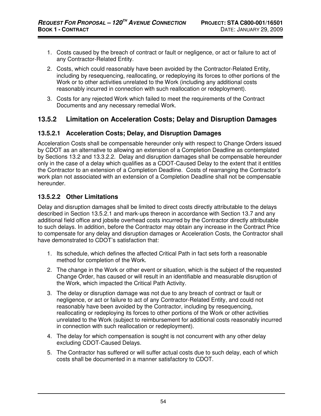- 1. Costs caused by the breach of contract or fault or negligence, or act or failure to act of any Contractor-Related Entity.
- 2. Costs, which could reasonably have been avoided by the Contractor-Related Entity, including by resequencing, reallocating, or redeploying its forces to other portions of the Work or to other activities unrelated to the Work (including any additional costs reasonably incurred in connection with such reallocation or redeployment).
- 3. Costs for any rejected Work which failed to meet the requirements of the Contract Documents and any necessary remedial Work.

### **13.5.2 Limitation on Acceleration Costs; Delay and Disruption Damages**

#### **13.5.2.1 Acceleration Costs; Delay, and Disruption Damages**

Acceleration Costs shall be compensable hereunder only with respect to Change Orders issued by CDOT as an alternative to allowing an extension of a Completion Deadline as contemplated by Sections 13.2 and 13.3.2.2. Delay and disruption damages shall be compensable hereunder only in the case of a delay which qualifies as a CDOT-Caused Delay to the extent that it entitles the Contractor to an extension of a Completion Deadline. Costs of rearranging the Contractor's work plan not associated with an extension of a Completion Deadline shall not be compensable hereunder.

#### **13.5.2.2 Other Limitations**

Delay and disruption damages shall be limited to direct costs directly attributable to the delays described in Section 13.5.2.1 and mark-ups thereon in accordance with Section 13.7 and any additional field office and jobsite overhead costs incurred by the Contractor directly attributable to such delays. In addition, before the Contractor may obtain any increase in the Contract Price to compensate for any delay and disruption damages or Acceleration Costs, the Contractor shall have demonstrated to CDOT's satisfaction that:

- 1. Its schedule, which defines the affected Critical Path in fact sets forth a reasonable method for completion of the Work.
- 2. The change in the Work or other event or situation, which is the subject of the requested Change Order, has caused or will result in an identifiable and measurable disruption of the Work, which impacted the Critical Path Activity.
- 3. The delay or disruption damage was not due to any breach of contract or fault or negligence, or act or failure to act of any Contractor-Related Entity, and could not reasonably have been avoided by the Contractor, including by resequencing, reallocating or redeploying its forces to other portions of the Work or other activities unrelated to the Work (subject to reimbursement for additional costs reasonably incurred in connection with such reallocation or redeployment).
- 4. The delay for which compensation is sought is not concurrent with any other delay excluding CDOT-Caused Delays.
- 5. The Contractor has suffered or will suffer actual costs due to such delay, each of which costs shall be documented in a manner satisfactory to CDOT.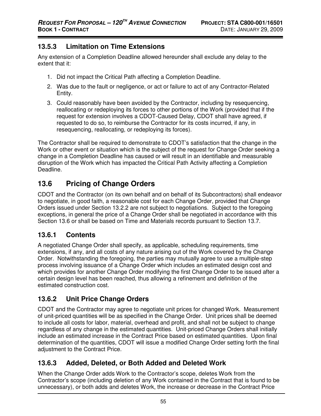### **13.5.3 Limitation on Time Extensions**

Any extension of a Completion Deadline allowed hereunder shall exclude any delay to the extent that it:

- 1. Did not impact the Critical Path affecting a Completion Deadline.
- 2. Was due to the fault or negligence, or act or failure to act of any Contractor-Related Entity.
- 3. Could reasonably have been avoided by the Contractor, including by resequencing, reallocating or redeploying its forces to other portions of the Work (provided that if the request for extension involves a CDOT-Caused Delay, CDOT shall have agreed, if requested to do so, to reimburse the Contractor for its costs incurred, if any, in resequencing, reallocating, or redeploying its forces).

The Contractor shall be required to demonstrate to CDOT's satisfaction that the change in the Work or other event or situation which is the subject of the request for Change Order seeking a change in a Completion Deadline has caused or will result in an identifiable and measurable disruption of the Work which has impacted the Critical Path Activity affecting a Completion Deadline.

## **13.6 Pricing of Change Orders**

CDOT and the Contractor (on its own behalf and on behalf of its Subcontractors) shall endeavor to negotiate, in good faith, a reasonable cost for each Change Order, provided that Change Orders issued under Section 13.2.2 are not subject to negotiations. Subject to the foregoing exceptions, in general the price of a Change Order shall be negotiated in accordance with this Section 13.6 or shall be based on Time and Materials records pursuant to Section 13.7.

## **13.6.1 Contents**

A negotiated Change Order shall specify, as applicable, scheduling requirements, time extensions, if any, and all costs of any nature arising out of the Work covered by the Change Order. Notwithstanding the foregoing, the parties may mutually agree to use a multiple-step process involving issuance of a Change Order which includes an estimated design cost and which provides for another Change Order modifying the first Change Order to be issued after a certain design level has been reached, thus allowing a refinement and definition of the estimated construction cost.

## **13.6.2 Unit Price Change Orders**

CDOT and the Contractor may agree to negotiate unit prices for changed Work. Measurement of unit-priced quantities will be as specified in the Change Order. Unit prices shall be deemed to include all costs for labor, material, overhead and profit, and shall not be subject to change regardless of any change in the estimated quantities. Unit-priced Change Orders shall initially include an estimated increase in the Contract Price based on estimated quantities. Upon final determination of the quantities, CDOT will issue a modified Change Order setting forth the final adjustment to the Contract Price.

## **13.6.3 Added, Deleted, or Both Added and Deleted Work**

When the Change Order adds Work to the Contractor's scope, deletes Work from the Contractor's scope (including deletion of any Work contained in the Contract that is found to be unnecessary), or both adds and deletes Work, the increase or decrease in the Contract Price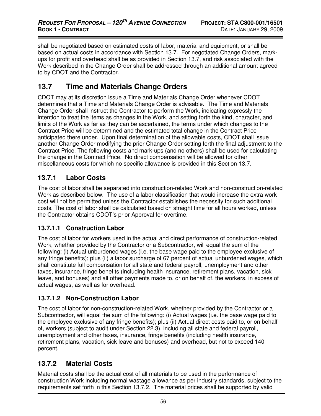shall be negotiated based on estimated costs of labor, material and equipment, or shall be based on actual costs in accordance with Section 13.7. For negotiated Change Orders, markups for profit and overhead shall be as provided in Section 13.7, and risk associated with the Work described in the Change Order shall be addressed through an additional amount agreed to by CDOT and the Contractor.

## **13.7 Time and Materials Change Orders**

CDOT may at its discretion issue a Time and Materials Change Order whenever CDOT determines that a Time and Materials Change Order is advisable. The Time and Materials Change Order shall instruct the Contractor to perform the Work, indicating expressly the intention to treat the items as changes in the Work, and setting forth the kind, character, and limits of the Work as far as they can be ascertained, the terms under which changes to the Contract Price will be determined and the estimated total change in the Contract Price anticipated there under. Upon final determination of the allowable costs, CDOT shall issue another Change Order modifying the prior Change Order setting forth the final adjustment to the Contract Price. The following costs and mark-ups (and no others) shall be used for calculating the change in the Contract Price. No direct compensation will be allowed for other miscellaneous costs for which no specific allowance is provided in this Section 13.7.

### **13.7.1 Labor Costs**

The cost of labor shall be separated into construction-related Work and non-construction-related Work as described below. The use of a labor classification that would increase the extra work cost will not be permitted unless the Contractor establishes the necessity for such additional costs. The cost of labor shall be calculated based on straight time for all hours worked, unless the Contractor obtains CDOT's prior Approval for overtime.

#### **13.7.1.1 Construction Labor**

The cost of labor for workers used in the actual and direct performance of construction-related Work, whether provided by the Contractor or a Subcontractor, will equal the sum of the following: (i) Actual unburdened wages (i.e. the base wage paid to the employee exclusive of any fringe benefits); plus (ii) a labor surcharge of 67 percent of actual unburdened wages, which shall constitute full compensation for all state and federal payroll, unemployment and other taxes, insurance, fringe benefits (including health insurance, retirement plans, vacation, sick leave, and bonuses) and all other payments made to, or on behalf of, the workers, in excess of actual wages, as well as for overhead.

#### **13.7.1.2 Non-Construction Labor**

The cost of labor for non-construction-related Work, whether provided by the Contractor or a Subcontractor, will equal the sum of the following: (i) Actual wages (i.e. the base wage paid to the employee exclusive of any fringe benefits); plus (ii) Actual direct costs paid to, or on behalf of, workers (subject to audit under Section 22.3), including all state and federal payroll, unemployment and other taxes, insurance, fringe benefits (including health insurance, retirement plans, vacation, sick leave and bonuses) and overhead, but not to exceed 140 percent.

### **13.7.2 Material Costs**

Material costs shall be the actual cost of all materials to be used in the performance of construction Work including normal wastage allowance as per industry standards, subject to the requirements set forth in this Section 13.7.2. The material prices shall be supported by valid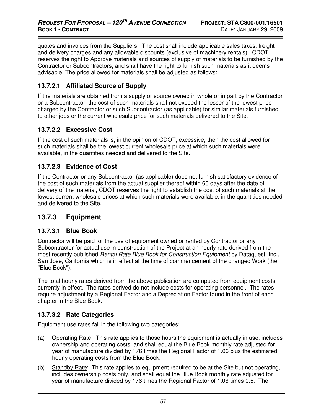quotes and invoices from the Suppliers. The cost shall include applicable sales taxes, freight and delivery charges and any allowable discounts (exclusive of machinery rentals). CDOT reserves the right to Approve materials and sources of supply of materials to be furnished by the Contractor or Subcontractors, and shall have the right to furnish such materials as it deems advisable. The price allowed for materials shall be adjusted as follows:

#### **13.7.2.1 Affiliated Source of Supply**

If the materials are obtained from a supply or source owned in whole or in part by the Contractor or a Subcontractor, the cost of such materials shall not exceed the lesser of the lowest price charged by the Contractor or such Subcontractor (as applicable) for similar materials furnished to other jobs or the current wholesale price for such materials delivered to the Site.

#### **13.7.2.2 Excessive Cost**

If the cost of such materials is, in the opinion of CDOT, excessive, then the cost allowed for such materials shall be the lowest current wholesale price at which such materials were available, in the quantities needed and delivered to the Site.

#### **13.7.2.3 Evidence of Cost**

If the Contractor or any Subcontractor (as applicable) does not furnish satisfactory evidence of the cost of such materials from the actual supplier thereof within 60 days after the date of delivery of the material, CDOT reserves the right to establish the cost of such materials at the lowest current wholesale prices at which such materials were available, in the quantities needed and delivered to the Site.

### **13.7.3 Equipment**

#### **13.7.3.1 Blue Book**

Contractor will be paid for the use of equipment owned or rented by Contractor or any Subcontractor for actual use in construction of the Project at an hourly rate derived from the most recently published Rental Rate Blue Book for Construction Equipment by Dataquest, Inc., San Jose, California which is in effect at the time of commencement of the changed Work (the "Blue Book").

The total hourly rates derived from the above publication are computed from equipment costs currently in effect. The rates derived do not include costs for operating personnel. The rates require adjustment by a Regional Factor and a Depreciation Factor found in the front of each chapter in the Blue Book.

#### **13.7.3.2 Rate Categories**

Equipment use rates fall in the following two categories:

- (a) Operating Rate: This rate applies to those hours the equipment is actually in use, includes ownership and operating costs, and shall equal the Blue Book monthly rate adjusted for year of manufacture divided by 176 times the Regional Factor of 1.06 plus the estimated hourly operating costs from the Blue Book.
- (b) Standby Rate: This rate applies to equipment required to be at the Site but not operating, includes ownership costs only, and shall equal the Blue Book monthly rate adjusted for year of manufacture divided by 176 times the Regional Factor of 1.06 times 0.5. The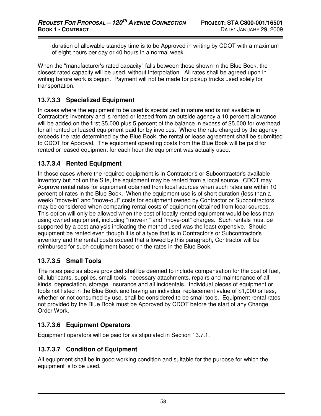duration of allowable standby time is to be Approved in writing by CDOT with a maximum of eight hours per day or 40 hours in a normal week.

When the "manufacturer's rated capacity" falls between those shown in the Blue Book, the closest rated capacity will be used, without interpolation. All rates shall be agreed upon in writing before work is begun. Payment will not be made for pickup trucks used solely for transportation.

#### **13.7.3.3 Specialized Equipment**

In cases where the equipment to be used is specialized in nature and is not available in Contractor's inventory and is rented or leased from an outside agency a 10 percent allowance will be added on the first \$5,000 plus 5 percent of the balance in excess of \$5,000 for overhead for all rented or leased equipment paid for by invoices. Where the rate charged by the agency exceeds the rate determined by the Blue Book, the rental or lease agreement shall be submitted to CDOT for Approval. The equipment operating costs from the Blue Book will be paid for rented or leased equipment for each hour the equipment was actually used.

#### **13.7.3.4 Rented Equipment**

In those cases where the required equipment is in Contractor's or Subcontractor's available inventory but not on the Site, the equipment may be rented from a local source. CDOT may Approve rental rates for equipment obtained from local sources when such rates are within 10 percent of rates in the Blue Book. When the equipment use is of short duration (less than a week) "move-in" and "move-out" costs for equipment owned by Contractor or Subcontractors may be considered when comparing rental costs of equipment obtained from local sources. This option will only be allowed when the cost of locally rented equipment would be less than using owned equipment, including "move-in" and "move-out" charges. Such rentals must be supported by a cost analysis indicating the method used was the least expensive. Should equipment be rented even though it is of a type that is in Contractor's or Subcontractor's inventory and the rental costs exceed that allowed by this paragraph, Contractor will be reimbursed for such equipment based on the rates in the Blue Book.

### **13.7.3.5 Small Tools**

The rates paid as above provided shall be deemed to include compensation for the cost of fuel, oil, lubricants, supplies, small tools, necessary attachments, repairs and maintenance of all kinds, depreciation, storage, insurance and all incidentals. Individual pieces of equipment or tools not listed in the Blue Book and having an individual replacement value of \$1,000 or less, whether or not consumed by use, shall be considered to be small tools. Equipment rental rates not provided by the Blue Book must be Approved by CDOT before the start of any Change Order Work.

#### **13.7.3.6 Equipment Operators**

Equipment operators will be paid for as stipulated in Section 13.7.1.

#### **13.7.3.7 Condition of Equipment**

All equipment shall be in good working condition and suitable for the purpose for which the equipment is to be used.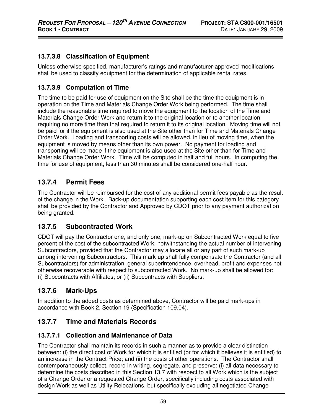### **13.7.3.8 Classification of Equipment**

Unless otherwise specified, manufacturer's ratings and manufacturer-approved modifications shall be used to classify equipment for the determination of applicable rental rates.

### **13.7.3.9 Computation of Time**

The time to be paid for use of equipment on the Site shall be the time the equipment is in operation on the Time and Materials Change Order Work being performed. The time shall include the reasonable time required to move the equipment to the location of the Time and Materials Change Order Work and return it to the original location or to another location requiring no more time than that required to return it to its original location. Moving time will not be paid for if the equipment is also used at the Site other than for Time and Materials Change Order Work. Loading and transporting costs will be allowed, in lieu of moving time, when the equipment is moved by means other than its own power. No payment for loading and transporting will be made if the equipment is also used at the Site other than for Time and Materials Change Order Work. Time will be computed in half and full hours. In computing the time for use of equipment, less than 30 minutes shall be considered one-half hour.

## **13.7.4 Permit Fees**

The Contractor will be reimbursed for the cost of any additional permit fees payable as the result of the change in the Work. Back-up documentation supporting each cost item for this category shall be provided by the Contractor and Approved by CDOT prior to any payment authorization being granted.

### **13.7.5 Subcontracted Work**

CDOT will pay the Contractor one, and only one, mark-up on Subcontracted Work equal to five percent of the cost of the subcontracted Work, notwithstanding the actual number of intervening Subcontractors, provided that the Contractor may allocate all or any part of such mark-up among intervening Subcontractors. This mark-up shall fully compensate the Contractor (and all Subcontractors) for administration, general superintendence, overhead, profit and expenses not otherwise recoverable with respect to subcontracted Work. No mark-up shall be allowed for: (i) Subcontracts with Affiliates; or (ii) Subcontracts with Suppliers.

### **13.7.6 Mark-Ups**

In addition to the added costs as determined above, Contractor will be paid mark-ups in accordance with Book 2, Section 19 (Specification 109.04).

### **13.7.7 Time and Materials Records**

#### **13.7.7.1 Collection and Maintenance of Data**

The Contractor shall maintain its records in such a manner as to provide a clear distinction between: (i) the direct cost of Work for which it is entitled (or for which it believes it is entitled) to an increase in the Contract Price; and (ii) the costs of other operations. The Contractor shall contemporaneously collect, record in writing, segregate, and preserve: (i) all data necessary to determine the costs described in this Section 13.7 with respect to all Work which is the subject of a Change Order or a requested Change Order, specifically including costs associated with design Work as well as Utility Relocations, but specifically excluding all negotiated Change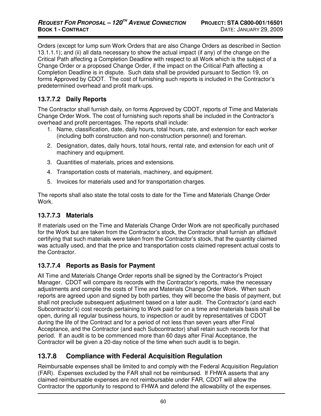Orders (except for lump sum Work Orders that are also Change Orders as described in Section 13.1.1.1); and (ii) all data necessary to show the actual impact (if any) of the change on the Critical Path affecting a Completion Deadline with respect to all Work which is the subject of a Change Order or a proposed Change Order, if the impact on the Critical Path affecting a Completion Deadline is in dispute. Such data shall be provided pursuant to Section 19, on forms Approved by CDOT. The cost of furnishing such reports is included in the Contractor's predetermined overhead and profit mark-ups.

#### **13.7.7.2 Daily Reports**

The Contractor shall furnish daily, on forms Approved by CDOT, reports of Time and Materials Change Order Work. The cost of furnishing such reports shall be included in the Contractor's overhead and profit percentages. The reports shall include:

- 1. Name, classification, date, daily hours, total hours, rate, and extension for each worker (including both construction and non-construction personnel) and foreman.
- 2. Designation, dates, daily hours, total hours, rental rate, and extension for each unit of machinery and equipment.
- 3. Quantities of materials, prices and extensions.
- 4. Transportation costs of materials, machinery, and equipment.
- 5. Invoices for materials used and for transportation charges.

The reports shall also state the total costs to date for the Time and Materials Change Order Work.

#### **13.7.7.3 Materials**

If materials used on the Time and Materials Change Order Work are not specifically purchased for the Work but are taken from the Contractor's stock, the Contractor shall furnish an affidavit certifying that such materials were taken from the Contractor's stock, that the quantity claimed was actually used, and that the price and transportation costs claimed represent actual costs to the Contractor.

#### **13.7.7.4 Reports as Basis for Payment**

All Time and Materials Change Order reports shall be signed by the Contractor's Project Manager. CDOT will compare its records with the Contractor's reports, make the necessary adjustments and compile the costs of Time and Materials Change Order Work. When such reports are agreed upon and signed by both parties, they will become the basis of payment, but shall not preclude subsequent adjustment based on a later audit. The Contractor's (and each Subcontractor's) cost records pertaining to Work paid for on a time and materials basis shall be open, during all regular business hours, to inspection or audit by representatives of CDOT during the life of the Contract and for a period of not less than seven years after Final Acceptance, and the Contractor (and each Subcontractor) shall retain such records for that period. If an audit is to be commenced more than 60 days after Final Acceptance, the Contractor will be given a 20-day notice of the time when such audit is to begin.

### **13.7.8 Compliance with Federal Acquisition Regulation**

Reimbursable expenses shall be limited to and comply with the Federal Acquisition Regulation (FAR). Expenses excluded by the FAR shall not be reimbursed. If FHWA asserts that any claimed reimbursable expenses are not reimbursable under FAR, CDOT will allow the Contractor the opportunity to respond to FHWA and defend the allowability of the expenses.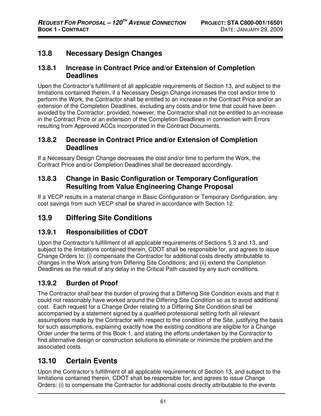## **13.8 Necessary Design Changes**

#### **13.8.1 Increase in Contract Price and/or Extension of Completion Deadlines**

Upon the Contractor's fulfillment of all applicable requirements of Section 13, and subject to the limitations contained therein, if a Necessary Design Change increases the cost and/or time to perform the Work, the Contractor shall be entitled to an increase in the Contract Price and/or an extension of the Completion Deadlines, excluding any costs and/or time that could have been avoided by the Contractor; provided, however, the Contractor shall not be entitled to an increase in the Contract Price or an extension of the Completion Deadlines in connection with Errors resulting from Approved ACCs incorporated in the Contract Documents.

#### **13.8.2 Decrease in Contract Price and/or Extension of Completion Deadlines**

If a Necessary Design Change decreases the cost and/or time to perform the Work, the Contract Price and/or Completion Deadlines shall be decreased accordingly.

## **13.8.3 Change in Basic Configuration or Temporary Configuration Resulting from Value Engineering Change Proposal**

If a VECP results in a material change in Basic Configuration or Temporary Configuration, any cost savings from such VECP shall be shared in accordance with Section 12.

# **13.9 Differing Site Conditions**

## **13.9.1 Responsibilities of CDOT**

Upon the Contractor's fulfillment of all applicable requirements of Sections 5.3 and 13, and subject to the limitations contained therein, CDOT shall be responsible for, and agrees to issue Change Orders to: (i) compensate the Contractor for additional costs directly attributable to changes in the Work arising from Differing Site Conditions; and (ii) extend the Completion Deadlines as the result of any delay in the Critical Path caused by any such conditions.

## **13.9.2 Burden of Proof**

The Contractor shall bear the burden of proving that a Differing Site Condition exists and that it could not reasonably have worked around the Differing Site Condition so as to avoid additional cost. Each request for a Change Order relating to a Differing Site Condition shall be accompanied by a statement signed by a qualified professional setting forth all relevant assumptions made by the Contractor with respect to the condition of the Site, justifying the basis for such assumptions, explaining exactly how the existing conditions are eligible for a Change Order under the terms of this Book 1, and stating the efforts undertaken by the Contractor to find alternative design or construction solutions to eliminate or minimize the problem and the associated costs.

## **13.10 Certain Events**

Upon the Contractor's fulfillment of all applicable requirements of Section 13, and subject to the limitations contained therein, CDOT shall be responsible for, and agrees to issue Change Orders: (i) to compensate the Contractor for additional costs directly attributable to the events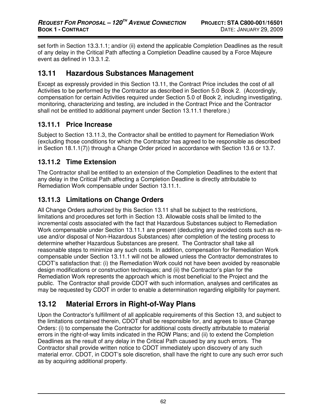set forth in Section 13.3.1.1; and/or (ii) extend the applicable Completion Deadlines as the result of any delay in the Critical Path affecting a Completion Deadline caused by a Force Majeure event as defined in 13.3.1.2.

#### **13.11 Hazardous Substances Management**

Except as expressly provided in this Section 13.11, the Contract Price includes the cost of all Activities to be performed by the Contractor as described in Section 5.0 Book 2. (Accordingly, compensation for certain Activities required under Section 5.0 of Book 2, including investigating, monitoring, characterizing and testing, are included in the Contract Price and the Contractor shall not be entitled to additional payment under Section 13.11.1 therefore.)

#### **13.11.1 Price Increase**

Subject to Section 13.11.3, the Contractor shall be entitled to payment for Remediation Work (excluding those conditions for which the Contractor has agreed to be responsible as described in Section 18.1.1(7)) through a Change Order priced in accordance with Section 13.6 or 13.7.

#### **13.11.2 Time Extension**

The Contractor shall be entitled to an extension of the Completion Deadlines to the extent that any delay in the Critical Path affecting a Completion Deadline is directly attributable to Remediation Work compensable under Section 13.11.1.

#### **13.11.3 Limitations on Change Orders**

All Change Orders authorized by this Section 13.11 shall be subject to the restrictions, limitations and procedures set forth in Section 13. Allowable costs shall be limited to the incremental costs associated with the fact that Hazardous Substances subject to Remediation Work compensable under Section 13.11.1 are present (deducting any avoided costs such as reuse and/or disposal of Non-Hazardous Substances) after completion of the testing process to determine whether Hazardous Substances are present. The Contractor shall take all reasonable steps to minimize any such costs. In addition, compensation for Remediation Work compensable under Section 13.11.1 will not be allowed unless the Contractor demonstrates to CDOT's satisfaction that: (i) the Remediation Work could not have been avoided by reasonable design modifications or construction techniques; and (ii) the Contractor's plan for the Remediation Work represents the approach which is most beneficial to the Project and the public. The Contractor shall provide CDOT with such information, analyses and certificates as may be requested by CDOT in order to enable a determination regarding eligibility for payment.

# **13.12 Material Errors in Right-of-Way Plans**

Upon the Contractor's fulfillment of all applicable requirements of this Section 13, and subject to the limitations contained therein, CDOT shall be responsible for, and agrees to issue Change Orders: (i) to compensate the Contractor for additional costs directly attributable to material errors in the right-of-way limits indicated in the ROW Plans; and (ii) to extend the Completion Deadlines as the result of any delay in the Critical Path caused by any such errors. The Contractor shall provide written notice to CDOT immediately upon discovery of any such material error. CDOT, in CDOT's sole discretion, shall have the right to cure any such error such as by acquiring additional property.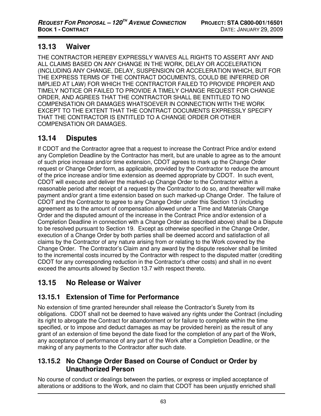## **13.13 Waiver**

THE CONTRACTOR HEREBY EXPRESSLY WAIVES ALL RIGHTS TO ASSERT ANY AND ALL CLAIMS BASED ON ANY CHANGE IN THE WORK, DELAY OR ACCELERATION (INCLUDING ANY CHANGE, DELAY, SUSPENSION OR ACCELERATION WHICH, BUT FOR THE EXPRESS TERMS OF THE CONTRACT DOCUMENTS, COULD BE INFERRED OR IMPLIED AT LAW) FOR WHICH THE CONTRACTOR FAILED TO PROVIDE PROPER AND TIMELY NOTICE OR FAILED TO PROVIDE A TIMELY CHANGE REQUEST FOR CHANGE ORDER, AND AGREES THAT THE CONTRACTOR SHALL BE ENTITLED TO NO COMPENSATION OR DAMAGES WHATSOEVER IN CONNECTION WITH THE WORK EXCEPT TO THE EXTENT THAT THE CONTRACT DOCUMENTS EXPRESSLY SPECIFY THAT THE CONTRACTOR IS ENTITLED TO A CHANGE ORDER OR OTHER COMPENSATION OR DAMAGES.

# **13.14 Disputes**

If CDOT and the Contractor agree that a request to increase the Contract Price and/or extend any Completion Deadline by the Contractor has merit, but are unable to agree as to the amount of such price increase and/or time extension, CDOT agrees to mark up the Change Order request or Change Order form, as applicable, provided by the Contractor to reduce the amount of the price increase and/or time extension as deemed appropriate by CDOT. In such event, CDOT will execute and deliver the marked-up Change Order to the Contractor within a reasonable period after receipt of a request by the Contractor to do so, and thereafter will make payment and/or grant a time extension based on such marked-up Change Order. The failure of CDOT and the Contractor to agree to any Change Order under this Section 13 (including agreement as to the amount of compensation allowed under a Time and Materials Change Order and the disputed amount of the increase in the Contract Price and/or extension of a Completion Deadline in connection with a Change Order as described above) shall be a Dispute to be resolved pursuant to Section 19. Except as otherwise specified in the Change Order, execution of a Change Order by both parties shall be deemed accord and satisfaction of all claims by the Contractor of any nature arising from or relating to the Work covered by the Change Order. The Contractor's Claim and any award by the dispute resolver shall be limited to the incremental costs incurred by the Contractor with respect to the disputed matter (crediting CDOT for any corresponding reduction in the Contractor's other costs) and shall in no event exceed the amounts allowed by Section 13.7 with respect thereto.

# **13.15 No Release or Waiver**

# **13.15.1 Extension of Time for Performance**

No extension of time granted hereunder shall release the Contractor's Surety from its obligations. CDOT shall not be deemed to have waived any rights under the Contract (including its right to abrogate the Contract for abandonment or for failure to complete within the time specified, or to impose and deduct damages as may be provided herein) as the result of any grant of an extension of time beyond the date fixed for the completion of any part of the Work, any acceptance of performance of any part of the Work after a Completion Deadline, or the making of any payments to the Contractor after such date.

#### **13.15.2 No Change Order Based on Course of Conduct or Order by Unauthorized Person**

No course of conduct or dealings between the parties, or express or implied acceptance of alterations or additions to the Work, and no claim that CDOT has been unjustly enriched shall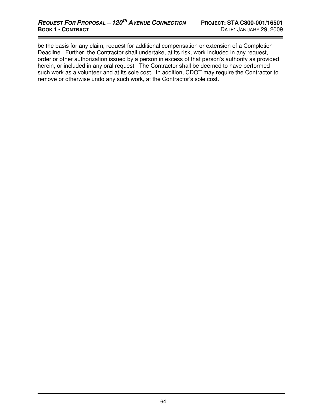be the basis for any claim, request for additional compensation or extension of a Completion Deadline. Further, the Contractor shall undertake, at its risk, work included in any request, order or other authorization issued by a person in excess of that person's authority as provided herein, or included in any oral request. The Contractor shall be deemed to have performed such work as a volunteer and at its sole cost. In addition, CDOT may require the Contractor to remove or otherwise undo any such work, at the Contractor's sole cost.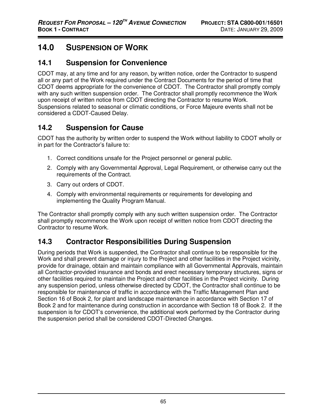# **14.0 SUSPENSION OF WORK**

## **14.1 Suspension for Convenience**

CDOT may, at any time and for any reason, by written notice, order the Contractor to suspend all or any part of the Work required under the Contract Documents for the period of time that CDOT deems appropriate for the convenience of CDOT. The Contractor shall promptly comply with any such written suspension order. The Contractor shall promptly recommence the Work upon receipt of written notice from CDOT directing the Contractor to resume Work. Suspensions related to seasonal or climatic conditions, or Force Majeure events shall not be considered a CDOT-Caused Delay.

# **14.2 Suspension for Cause**

CDOT has the authority by written order to suspend the Work without liability to CDOT wholly or in part for the Contractor's failure to:

- 1. Correct conditions unsafe for the Project personnel or general public.
- 2. Comply with any Governmental Approval, Legal Requirement, or otherwise carry out the requirements of the Contract.
- 3. Carry out orders of CDOT.
- 4. Comply with environmental requirements or requirements for developing and implementing the Quality Program Manual.

The Contractor shall promptly comply with any such written suspension order. The Contractor shall promptly recommence the Work upon receipt of written notice from CDOT directing the Contractor to resume Work.

# **14.3 Contractor Responsibilities During Suspension**

During periods that Work is suspended, the Contractor shall continue to be responsible for the Work and shall prevent damage or injury to the Project and other facilities in the Project vicinity, provide for drainage, obtain and maintain compliance with all Governmental Approvals, maintain all Contractor-provided insurance and bonds and erect necessary temporary structures, signs or other facilities required to maintain the Project and other facilities in the Project vicinity. During any suspension period, unless otherwise directed by CDOT, the Contractor shall continue to be responsible for maintenance of traffic in accordance with the Traffic Management Plan and Section 16 of Book 2, for plant and landscape maintenance in accordance with Section 17 of Book 2 and for maintenance during construction in accordance with Section 18 of Book 2. If the suspension is for CDOT's convenience, the additional work performed by the Contractor during the suspension period shall be considered CDOT-Directed Changes.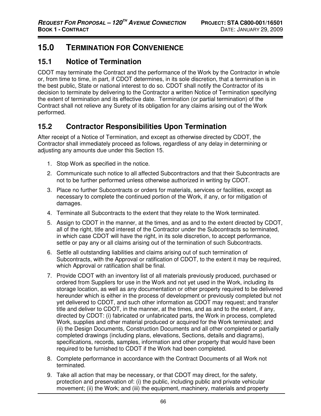# **15.0 TERMINATION FOR CONVENIENCE**

## **15.1 Notice of Termination**

CDOT may terminate the Contract and the performance of the Work by the Contractor in whole or, from time to time, in part, if CDOT determines, in its sole discretion, that a termination is in the best public, State or national interest to do so. CDOT shall notify the Contractor of its decision to terminate by delivering to the Contractor a written Notice of Termination specifying the extent of termination and its effective date. Termination (or partial termination) of the Contract shall not relieve any Surety of its obligation for any claims arising out of the Work performed.

# **15.2 Contractor Responsibilities Upon Termination**

After receipt of a Notice of Termination, and except as otherwise directed by CDOT, the Contractor shall immediately proceed as follows, regardless of any delay in determining or adjusting any amounts due under this Section 15.

- 1. Stop Work as specified in the notice.
- 2. Communicate such notice to all affected Subcontractors and that their Subcontracts are not to be further performed unless otherwise authorized in writing by CDOT.
- 3. Place no further Subcontracts or orders for materials, services or facilities, except as necessary to complete the continued portion of the Work, if any, or for mitigation of damages.
- 4. Terminate all Subcontracts to the extent that they relate to the Work terminated.
- 5. Assign to CDOT in the manner, at the times, and as and to the extent directed by CDOT, all of the right, title and interest of the Contractor under the Subcontracts so terminated, in which case CDOT will have the right, in its sole discretion, to accept performance, settle or pay any or all claims arising out of the termination of such Subcontracts.
- 6. Settle all outstanding liabilities and claims arising out of such termination of Subcontracts, with the Approval or ratification of CDOT, to the extent it may be required, which Approval or ratification shall be final.
- 7. Provide CDOT with an inventory list of all materials previously produced, purchased or ordered from Suppliers for use in the Work and not yet used in the Work, including its storage location, as well as any documentation or other property required to be delivered hereunder which is either in the process of development or previously completed but not yet delivered to CDOT, and such other information as CDOT may request; and transfer title and deliver to CDOT, in the manner, at the times, and as and to the extent, if any, directed by CDOT: (i) fabricated or unfabricated parts, the Work in process, completed Work, supplies and other material produced or acquired for the Work terminated; and (ii) the Design Documents, Construction Documents and all other completed or partially completed drawings (including plans, elevations, Sections, details and diagrams), specifications, records, samples, information and other property that would have been required to be furnished to CDOT if the Work had been completed.
- 8. Complete performance in accordance with the Contract Documents of all Work not terminated.
- 9. Take all action that may be necessary, or that CDOT may direct, for the safety, protection and preservation of: (i) the public, including public and private vehicular movement; (ii) the Work; and (iii) the equipment, machinery, materials and property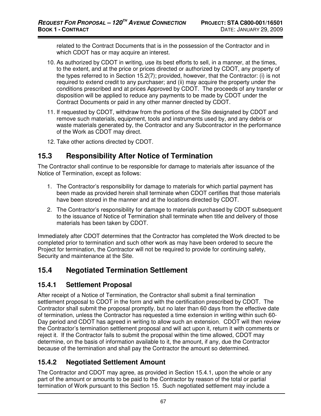related to the Contract Documents that is in the possession of the Contractor and in which CDOT has or may acquire an interest.

- 10. As authorized by CDOT in writing, use its best efforts to sell, in a manner, at the times, to the extent, and at the price or prices directed or authorized by CDOT, any property of the types referred to in Section 15.2(7); provided, however, that the Contractor: (i) is not required to extend credit to any purchaser; and (ii) may acquire the property under the conditions prescribed and at prices Approved by CDOT. The proceeds of any transfer or disposition will be applied to reduce any payments to be made by CDOT under the Contract Documents or paid in any other manner directed by CDOT.
- 11. If requested by CDOT, withdraw from the portions of the Site designated by CDOT and remove such materials, equipment, tools and instruments used by, and any debris or waste materials generated by, the Contractor and any Subcontractor in the performance of the Work as CDOT may direct.
- 12. Take other actions directed by CDOT.

## **15.3 Responsibility After Notice of Termination**

The Contractor shall continue to be responsible for damage to materials after issuance of the Notice of Termination, except as follows:

- 1. The Contractor's responsibility for damage to materials for which partial payment has been made as provided herein shall terminate when CDOT certifies that those materials have been stored in the manner and at the locations directed by CDOT.
- 2. The Contractor's responsibility for damage to materials purchased by CDOT subsequent to the issuance of Notice of Termination shall terminate when title and delivery of those materials has been taken by CDOT.

Immediately after CDOT determines that the Contractor has completed the Work directed to be completed prior to termination and such other work as may have been ordered to secure the Project for termination, the Contractor will not be required to provide for continuing safety, Security and maintenance at the Site.

## **15.4 Negotiated Termination Settlement**

#### **15.4.1 Settlement Proposal**

After receipt of a Notice of Termination, the Contractor shall submit a final termination settlement proposal to CDOT in the form and with the certification prescribed by CDOT. The Contractor shall submit the proposal promptly, but no later than 60 days from the effective date of termination, unless the Contractor has requested a time extension in writing within such 60- Day period and CDOT has agreed in writing to allow such an extension. CDOT will then review the Contractor's termination settlement proposal and will act upon it, return it with comments or reject it. If the Contractor fails to submit the proposal within the time allowed, CDOT may determine, on the basis of information available to it, the amount, if any, due the Contractor because of the termination and shall pay the Contractor the amount so determined.

## **15.4.2 Negotiated Settlement Amount**

The Contractor and CDOT may agree, as provided in Section 15.4.1, upon the whole or any part of the amount or amounts to be paid to the Contractor by reason of the total or partial termination of Work pursuant to this Section 15. Such negotiated settlement may include a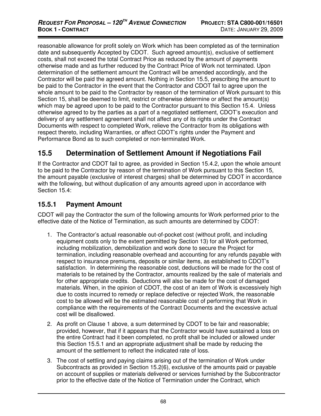reasonable allowance for profit solely on Work which has been completed as of the termination date and subsequently Accepted by CDOT. Such agreed amount(s), exclusive of settlement costs, shall not exceed the total Contract Price as reduced by the amount of payments otherwise made and as further reduced by the Contract Price of Work not terminated. Upon determination of the settlement amount the Contract will be amended accordingly, and the Contractor will be paid the agreed amount. Nothing in Section 15.5, prescribing the amount to be paid to the Contractor in the event that the Contractor and CDOT fail to agree upon the whole amount to be paid to the Contractor by reason of the termination of Work pursuant to this Section 15, shall be deemed to limit, restrict or otherwise determine or affect the amount(s) which may be agreed upon to be paid to the Contractor pursuant to this Section 15.4. Unless otherwise agreed to by the parties as a part of a negotiated settlement, CDOT's execution and delivery of any settlement agreement shall not affect any of its rights under the Contract Documents with respect to completed Work, relieve the Contractor from its obligations with respect thereto, including Warranties, or affect CDOT's rights under the Payment and Performance Bond as to such completed or non-terminated Work.

# **15.5 Determination of Settlement Amount if Negotiations Fail**

If the Contractor and CDOT fail to agree, as provided in Section 15.4.2, upon the whole amount to be paid to the Contractor by reason of the termination of Work pursuant to this Section 15, the amount payable (exclusive of interest charges) shall be determined by CDOT in accordance with the following, but without duplication of any amounts agreed upon in accordance with Section 15.4:

#### **15.5.1 Payment Amount**

CDOT will pay the Contractor the sum of the following amounts for Work performed prior to the effective date of the Notice of Termination, as such amounts are determined by CDOT:

- 1. The Contractor's actual reasonable out-of-pocket cost (without profit, and including equipment costs only to the extent permitted by Section 13) for all Work performed, including mobilization, demobilization and work done to secure the Project for termination, including reasonable overhead and accounting for any refunds payable with respect to insurance premiums, deposits or similar items, as established to CDOT's satisfaction. In determining the reasonable cost, deductions will be made for the cost of materials to be retained by the Contractor, amounts realized by the sale of materials and for other appropriate credits. Deductions will also be made for the cost of damaged materials. When, in the opinion of CDOT, the cost of an item of Work is excessively high due to costs incurred to remedy or replace defective or rejected Work, the reasonable cost to be allowed will be the estimated reasonable cost of performing that Work in compliance with the requirements of the Contract Documents and the excessive actual cost will be disallowed.
- 2. As profit on Clause 1 above, a sum determined by CDOT to be fair and reasonable; provided, however, that if it appears that the Contractor would have sustained a loss on the entire Contract had it been completed, no profit shall be included or allowed under this Section 15.5.1 and an appropriate adjustment shall be made by reducing the amount of the settlement to reflect the indicated rate of loss.
- 3. The cost of settling and paying claims arising out of the termination of Work under Subcontracts as provided in Section 15.2(6), exclusive of the amounts paid or payable on account of supplies or materials delivered or services furnished by the Subcontractor prior to the effective date of the Notice of Termination under the Contract, which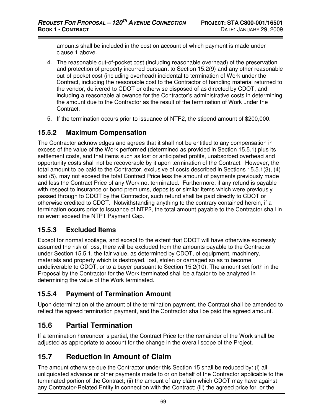amounts shall be included in the cost on account of which payment is made under clause 1 above.

- 4. The reasonable out-of-pocket cost (including reasonable overhead) of the preservation and protection of property incurred pursuant to Section 15.2(9) and any other reasonable out-of-pocket cost (including overhead) incidental to termination of Work under the Contract, including the reasonable cost to the Contractor of handling material returned to the vendor, delivered to CDOT or otherwise disposed of as directed by CDOT, and including a reasonable allowance for the Contractor's administrative costs in determining the amount due to the Contractor as the result of the termination of Work under the Contract.
- 5. If the termination occurs prior to issuance of NTP2, the stipend amount of \$200,000.

#### **15.5.2 Maximum Compensation**

The Contractor acknowledges and agrees that it shall not be entitled to any compensation in excess of the value of the Work performed (determined as provided in Section 15.5.1) plus its settlement costs, and that items such as lost or anticipated profits, unabsorbed overhead and opportunity costs shall not be recoverable by it upon termination of the Contract. However, the total amount to be paid to the Contractor, exclusive of costs described in Sections 15.5.1(3), (4) and (5), may not exceed the total Contract Price less the amount of payments previously made and less the Contract Price of any Work not terminated. Furthermore, if any refund is payable with respect to insurance or bond premiums, deposits or similar items which were previously passed through to CDOT by the Contractor, such refund shall be paid directly to CDOT or otherwise credited to CDOT. Notwithstanding anything to the contrary contained herein, if a termination occurs prior to issuance of NTP2, the total amount payable to the Contractor shall in no event exceed the NTP1 Payment Cap.

#### **15.5.3 Excluded Items**

Except for normal spoilage, and except to the extent that CDOT will have otherwise expressly assumed the risk of loss, there will be excluded from the amounts payable to the Contractor under Section 15.5.1, the fair value, as determined by CDOT, of equipment, machinery, materials and property which is destroyed, lost, stolen or damaged so as to become undeliverable to CDOT, or to a buyer pursuant to Section 15.2(10). The amount set forth in the Proposal by the Contractor for the Work terminated shall be a factor to be analyzed in determining the value of the Work terminated.

## **15.5.4 Payment of Termination Amount**

Upon determination of the amount of the termination payment, the Contract shall be amended to reflect the agreed termination payment, and the Contractor shall be paid the agreed amount.

# **15.6 Partial Termination**

If a termination hereunder is partial, the Contract Price for the remainder of the Work shall be adjusted as appropriate to account for the change in the overall scope of the Project.

# **15.7 Reduction in Amount of Claim**

The amount otherwise due the Contractor under this Section 15 shall be reduced by: (i) all unliquidated advance or other payments made to or on behalf of the Contractor applicable to the terminated portion of the Contract; (ii) the amount of any claim which CDOT may have against any Contractor-Related Entity in connection with the Contract; (iii) the agreed price for, or the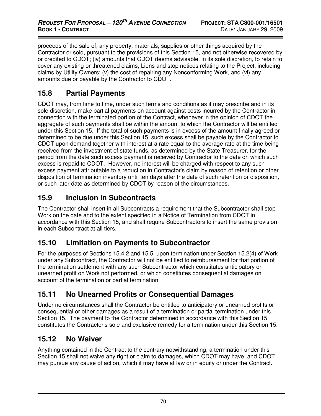proceeds of the sale of, any property, materials, supplies or other things acquired by the Contractor or sold, pursuant to the provisions of this Section 15, and not otherwise recovered by or credited to CDOT; (iv) amounts that CDOT deems advisable, in its sole discretion, to retain to cover any existing or threatened claims, Liens and stop notices relating to the Project, including claims by Utility Owners; (v) the cost of repairing any Nonconforming Work, and (vi) any amounts due or payable by the Contractor to CDOT.

# **15.8 Partial Payments**

CDOT may, from time to time, under such terms and conditions as it may prescribe and in its sole discretion, make partial payments on account against costs incurred by the Contractor in connection with the terminated portion of the Contract, whenever in the opinion of CDOT the aggregate of such payments shall be within the amount to which the Contractor will be entitled under this Section 15. If the total of such payments is in excess of the amount finally agreed or determined to be due under this Section 15, such excess shall be payable by the Contractor to CDOT upon demand together with interest at a rate equal to the average rate at the time being received from the investment of state funds, as determined by the State Treasurer, for the period from the date such excess payment is received by Contractor to the date on which such excess is repaid to CDOT. However, no interest will be charged with respect to any such excess payment attributable to a reduction in Contractor's claim by reason of retention or other disposition of termination inventory until ten days after the date of such retention or disposition, or such later date as determined by CDOT by reason of the circumstances.

# **15.9 Inclusion in Subcontracts**

The Contractor shall insert in all Subcontracts a requirement that the Subcontractor shall stop Work on the date and to the extent specified in a Notice of Termination from CDOT in accordance with this Section 15, and shall require Subcontractors to insert the same provision in each Subcontract at all tiers.

# **15.10 Limitation on Payments to Subcontractor**

For the purposes of Sections 15.4.2 and 15.5, upon termination under Section 15.2(4) of Work under any Subcontract, the Contractor will not be entitled to reimbursement for that portion of the termination settlement with any such Subcontractor which constitutes anticipatory or unearned profit on Work not performed, or which constitutes consequential damages on account of the termination or partial termination.

# **15.11 No Unearned Profits or Consequential Damages**

Under no circumstances shall the Contractor be entitled to anticipatory or unearned profits or consequential or other damages as a result of a termination or partial termination under this Section 15. The payment to the Contractor determined in accordance with this Section 15 constitutes the Contractor's sole and exclusive remedy for a termination under this Section 15.

# **15.12 No Waiver**

Anything contained in the Contract to the contrary notwithstanding, a termination under this Section 15 shall not waive any right or claim to damages, which CDOT may have, and CDOT may pursue any cause of action, which it may have at law or in equity or under the Contract.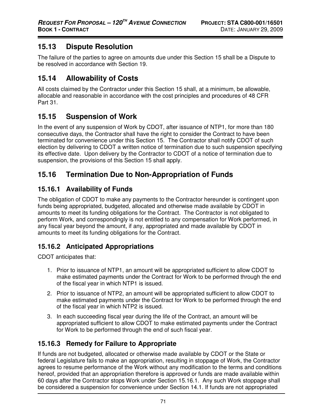# **15.13 Dispute Resolution**

The failure of the parties to agree on amounts due under this Section 15 shall be a Dispute to be resolved in accordance with Section 19.

# **15.14 Allowability of Costs**

All costs claimed by the Contractor under this Section 15 shall, at a minimum, be allowable, allocable and reasonable in accordance with the cost principles and procedures of 48 CFR Part 31.

# **15.15 Suspension of Work**

In the event of any suspension of Work by CDOT, after issuance of NTP1, for more than 180 consecutive days, the Contractor shall have the right to consider the Contract to have been terminated for convenience under this Section 15. The Contractor shall notify CDOT of such election by delivering to CDOT a written notice of termination due to such suspension specifying its effective date. Upon delivery by the Contractor to CDOT of a notice of termination due to suspension, the provisions of this Section 15 shall apply.

# **15.16 Termination Due to Non-Appropriation of Funds**

## **15.16.1 Availability of Funds**

The obligation of CDOT to make any payments to the Contractor hereunder is contingent upon funds being appropriated, budgeted, allocated and otherwise made available by CDOT in amounts to meet its funding obligations for the Contract. The Contractor is not obligated to perform Work, and correspondingly is not entitled to any compensation for Work performed, in any fiscal year beyond the amount, if any, appropriated and made available by CDOT in amounts to meet its funding obligations for the Contract.

# **15.16.2 Anticipated Appropriations**

CDOT anticipates that:

- 1. Prior to issuance of NTP1, an amount will be appropriated sufficient to allow CDOT to make estimated payments under the Contract for Work to be performed through the end of the fiscal year in which NTP1 is issued.
- 2. Prior to issuance of NTP2, an amount will be appropriated sufficient to allow CDOT to make estimated payments under the Contract for Work to be performed through the end of the fiscal year in which NTP2 is issued.
- 3. In each succeeding fiscal year during the life of the Contract, an amount will be appropriated sufficient to allow CDOT to make estimated payments under the Contract for Work to be performed through the end of such fiscal year.

# **15.16.3 Remedy for Failure to Appropriate**

If funds are not budgeted, allocated or otherwise made available by CDOT or the State or federal Legislature fails to make an appropriation, resulting in stoppage of Work, the Contractor agrees to resume performance of the Work without any modification to the terms and conditions hereof, provided that an appropriation therefore is approved or funds are made available within 60 days after the Contractor stops Work under Section 15.16.1. Any such Work stoppage shall be considered a suspension for convenience under Section 14.1. If funds are not appropriated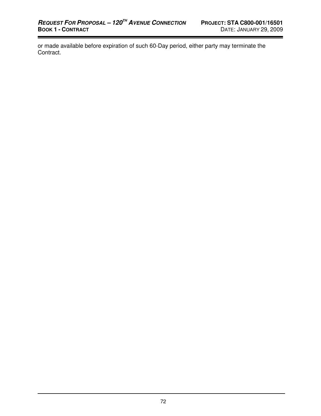or made available before expiration of such 60-Day period, either party may terminate the Contract.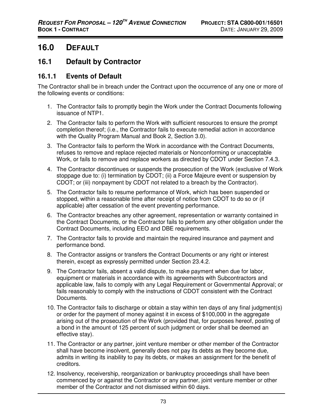# **16.0 DEFAULT**

#### **16.1 Default by Contractor**

#### **16.1.1 Events of Default**

The Contractor shall be in breach under the Contract upon the occurrence of any one or more of the following events or conditions:

- 1. The Contractor fails to promptly begin the Work under the Contract Documents following issuance of NTP1.
- 2. The Contractor fails to perform the Work with sufficient resources to ensure the prompt completion thereof; (i.e., the Contractor fails to execute remedial action in accordance with the Quality Program Manual and Book 2, Section 3.0).
- 3. The Contractor fails to perform the Work in accordance with the Contract Documents, refuses to remove and replace rejected materials or Nonconforming or unacceptable Work, or fails to remove and replace workers as directed by CDOT under Section 7.4.3.
- 4. The Contractor discontinues or suspends the prosecution of the Work (exclusive of Work stoppage due to: (i) termination by CDOT; (ii) a Force Majeure event or suspension by CDOT; or (iii) nonpayment by CDOT not related to a breach by the Contractor).
- 5. The Contractor fails to resume performance of Work, which has been suspended or stopped, within a reasonable time after receipt of notice from CDOT to do so or (if applicable) after cessation of the event preventing performance.
- 6. The Contractor breaches any other agreement, representation or warranty contained in the Contract Documents, or the Contractor fails to perform any other obligation under the Contract Documents, including EEO and DBE requirements.
- 7. The Contractor fails to provide and maintain the required insurance and payment and performance bond.
- 8. The Contractor assigns or transfers the Contract Documents or any right or interest therein, except as expressly permitted under Section 23.4.2.
- 9. The Contractor fails, absent a valid dispute, to make payment when due for labor, equipment or materials in accordance with its agreements with Subcontractors and applicable law, fails to comply with any Legal Requirement or Governmental Approval; or fails reasonably to comply with the instructions of CDOT consistent with the Contract Documents.
- 10. The Contractor fails to discharge or obtain a stay within ten days of any final judgment(s) or order for the payment of money against it in excess of \$100,000 in the aggregate arising out of the prosecution of the Work (provided that, for purposes hereof, posting of a bond in the amount of 125 percent of such judgment or order shall be deemed an effective stay).
- 11. The Contractor or any partner, joint venture member or other member of the Contractor shall have become insolvent, generally does not pay its debts as they become due, admits in writing its inability to pay its debts, or makes an assignment for the benefit of creditors.
- 12. Insolvency, receivership, reorganization or bankruptcy proceedings shall have been commenced by or against the Contractor or any partner, joint venture member or other member of the Contractor and not dismissed within 60 days.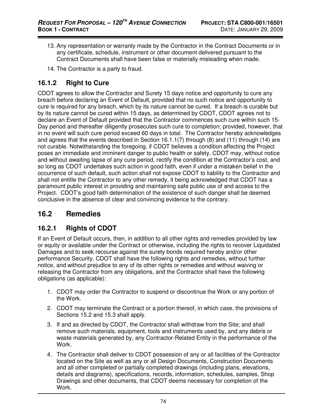- 13. Any representation or warranty made by the Contractor in the Contract Documents or in any certificate, schedule, instrument or other document delivered pursuant to the Contract Documents shall have been false or materially misleading when made.
- 14. The Contractor is a party to fraud.

#### **16.1.2 Right to Cure**

CDOT agrees to allow the Contractor and Surety 15 days notice and opportunity to cure any breach before declaring an Event of Default, provided that no such notice and opportunity to cure is required for any breach, which by its nature cannot be cured. If a breach is curable but by its nature cannot be cured within 15 days, as determined by CDOT, CDOT agrees not to declare an Event of Default provided that the Contractor commences such cure within such 15- Day period and thereafter diligently prosecutes such cure to completion; provided, however, that in no event will such cure period exceed 60 days in total. The Contractor hereby acknowledges and agrees that the events described in Section 16.1.1(7) through (8) and (11) through (14) are not curable. Notwithstanding the foregoing, if CDOT believes a condition affecting the Project poses an immediate and imminent danger to public health or safety, CDOT may, without notice and without awaiting lapse of any cure period, rectify the condition at the Contractor's cost, and so long as CDOT undertakes such action in good faith, even if under a mistaken belief in the occurrence of such default, such action shall not expose CDOT to liability to the Contractor and shall not entitle the Contractor to any other remedy, it being acknowledged that CDOT has a paramount public interest in providing and maintaining safe public use of and access to the Project. CDOT's good faith determination of the existence of such danger shall be deemed conclusive in the absence of clear and convincing evidence to the contrary.

## **16.2 Remedies**

#### **16.2.1 Rights of CDOT**

If an Event of Default occurs, then, in addition to all other rights and remedies provided by law or equity or available under the Contract or otherwise, including the rights to recover Liquidated Damages and to seek recourse against the surety bonds required hereby and/or other performance Security, CDOT shall have the following rights and remedies, without further notice, and without prejudice to any of its other rights or remedies and without waiving or releasing the Contractor from any obligations, and the Contractor shall have the following obligations (as applicable):

- 1. CDOT may order the Contractor to suspend or discontinue the Work or any portion of the Work.
- 2. CDOT may terminate the Contract or a portion thereof, in which case, the provisions of Sections 15.2 and 15.3 shall apply.
- 3. If and as directed by CDOT, the Contractor shall withdraw from the Site; and shall remove such materials, equipment, tools and instruments used by, and any debris or waste materials generated by, any Contractor-Related Entity in the performance of the Work.
- 4. The Contractor shall deliver to CDOT possession of any or all facilities of the Contractor located on the Site as well as any or all Design Documents, Construction Documents and all other completed or partially completed drawings (including plans, elevations, details and diagrams), specifications, records, information, schedules, samples, Shop Drawings and other documents, that CDOT deems necessary for completion of the Work.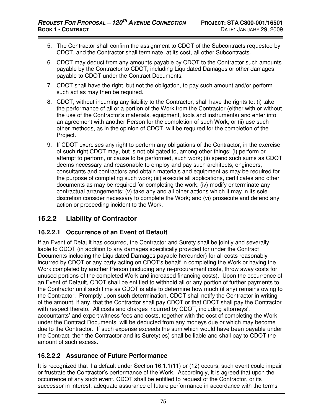- 5. The Contractor shall confirm the assignment to CDOT of the Subcontracts requested by CDOT, and the Contractor shall terminate, at its cost, all other Subcontracts.
- 6. CDOT may deduct from any amounts payable by CDOT to the Contractor such amounts payable by the Contractor to CDOT, including Liquidated Damages or other damages payable to CDOT under the Contract Documents.
- 7. CDOT shall have the right, but not the obligation, to pay such amount and/or perform such act as may then be required.
- 8. CDOT, without incurring any liability to the Contractor, shall have the rights to: (i) take the performance of all or a portion of the Work from the Contractor (either with or without the use of the Contractor's materials, equipment, tools and instruments) and enter into an agreement with another Person for the completion of such Work; or (ii) use such other methods, as in the opinion of CDOT, will be required for the completion of the Project.
- 9. If CDOT exercises any right to perform any obligations of the Contractor, in the exercise of such right CDOT may, but is not obligated to, among other things: (i) perform or attempt to perform, or cause to be performed, such work; (ii) spend such sums as CDOT deems necessary and reasonable to employ and pay such architects, engineers, consultants and contractors and obtain materials and equipment as may be required for the purpose of completing such work; (iii) execute all applications, certificates and other documents as may be required for completing the work; (iv) modify or terminate any contractual arrangements; (v) take any and all other actions which it may in its sole discretion consider necessary to complete the Work; and (vi) prosecute and defend any action or proceeding incident to the Work.

## **16.2.2 Liability of Contractor**

#### **16.2.2.1 Occurrence of an Event of Default**

If an Event of Default has occurred, the Contractor and Surety shall be jointly and severally liable to CDOT (in addition to any damages specifically provided for under the Contract Documents including the Liquidated Damages payable hereunder) for all costs reasonably incurred by CDOT or any party acting on CDOT's behalf in completing the Work or having the Work completed by another Person (including any re-procurement costs, throw away costs for unused portions of the completed Work and increased financing costs). Upon the occurrence of an Event of Default, CDOT shall be entitled to withhold all or any portion of further payments to the Contractor until such time as CDOT is able to determine how much (if any) remains owing to the Contractor. Promptly upon such determination, CDOT shall notify the Contractor in writing of the amount, if any, that the Contractor shall pay CDOT or that CDOT shall pay the Contractor with respect thereto. All costs and charges incurred by CDOT, including attorneys', accountants' and expert witness fees and costs, together with the cost of completing the Work under the Contract Documents, will be deducted from any moneys due or which may become due to the Contractor. If such expense exceeds the sum which would have been payable under the Contract, then the Contractor and its Surety(ies) shall be liable and shall pay to CDOT the amount of such excess.

#### **16.2.2.2 Assurance of Future Performance**

It is recognized that if a default under Section 16.1.1(11) or (12) occurs, such event could impair or frustrate the Contractor's performance of the Work. Accordingly, it is agreed that upon the occurrence of any such event, CDOT shall be entitled to request of the Contractor, or its successor in interest, adequate assurance of future performance in accordance with the terms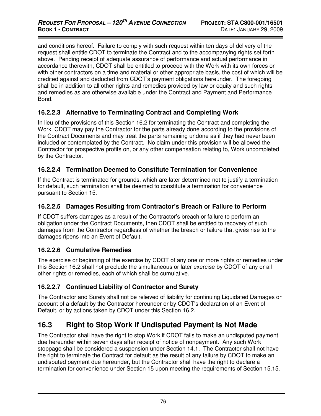and conditions hereof. Failure to comply with such request within ten days of delivery of the request shall entitle CDOT to terminate the Contract and to the accompanying rights set forth above. Pending receipt of adequate assurance of performance and actual performance in accordance therewith, CDOT shall be entitled to proceed with the Work with its own forces or with other contractors on a time and material or other appropriate basis, the cost of which will be credited against and deducted from CDOT's payment obligations hereunder. The foregoing shall be in addition to all other rights and remedies provided by law or equity and such rights and remedies as are otherwise available under the Contract and Payment and Performance Bond.

#### **16.2.2.3 Alternative to Terminating Contract and Completing Work**

In lieu of the provisions of this Section 16.2 for terminating the Contract and completing the Work, CDOT may pay the Contractor for the parts already done according to the provisions of the Contract Documents and may treat the parts remaining undone as if they had never been included or contemplated by the Contract. No claim under this provision will be allowed the Contractor for prospective profits on, or any other compensation relating to, Work uncompleted by the Contractor.

#### **16.2.2.4 Termination Deemed to Constitute Termination for Convenience**

If the Contract is terminated for grounds, which are later determined not to justify a termination for default, such termination shall be deemed to constitute a termination for convenience pursuant to Section 15.

#### **16.2.2.5 Damages Resulting from Contractor's Breach or Failure to Perform**

If CDOT suffers damages as a result of the Contractor's breach or failure to perform an obligation under the Contract Documents, then CDOT shall be entitled to recovery of such damages from the Contractor regardless of whether the breach or failure that gives rise to the damages ripens into an Event of Default.

#### **16.2.2.6 Cumulative Remedies**

The exercise or beginning of the exercise by CDOT of any one or more rights or remedies under this Section 16.2 shall not preclude the simultaneous or later exercise by CDOT of any or all other rights or remedies, each of which shall be cumulative.

#### **16.2.2.7 Continued Liability of Contractor and Surety**

The Contractor and Surety shall not be relieved of liability for continuing Liquidated Damages on account of a default by the Contractor hereunder or by CDOT's declaration of an Event of Default, or by actions taken by CDOT under this Section 16.2.

## **16.3 Right to Stop Work if Undisputed Payment is Not Made**

The Contractor shall have the right to stop Work if CDOT fails to make an undisputed payment due hereunder within seven days after receipt of notice of nonpayment. Any such Work stoppage shall be considered a suspension under Section 14.1. The Contractor shall not have the right to terminate the Contract for default as the result of any failure by CDOT to make an undisputed payment due hereunder, but the Contractor shall have the right to declare a termination for convenience under Section 15 upon meeting the requirements of Section 15.15.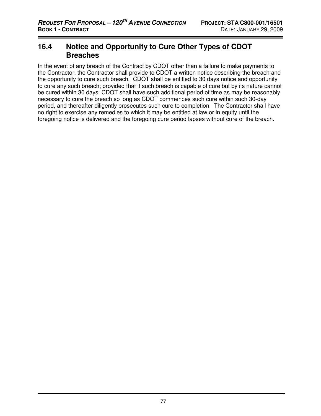#### **16.4 Notice and Opportunity to Cure Other Types of CDOT Breaches**

In the event of any breach of the Contract by CDOT other than a failure to make payments to the Contractor, the Contractor shall provide to CDOT a written notice describing the breach and the opportunity to cure such breach. CDOT shall be entitled to 30 days notice and opportunity to cure any such breach; provided that if such breach is capable of cure but by its nature cannot be cured within 30 days, CDOT shall have such additional period of time as may be reasonably necessary to cure the breach so long as CDOT commences such cure within such 30-day period, and thereafter diligently prosecutes such cure to completion. The Contractor shall have no right to exercise any remedies to which it may be entitled at law or in equity until the foregoing notice is delivered and the foregoing cure period lapses without cure of the breach.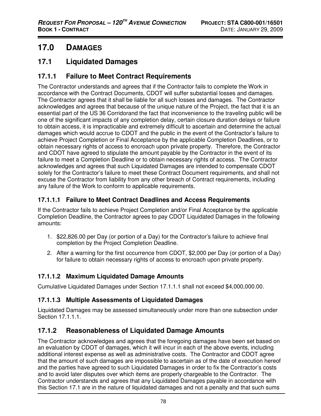# **17.0 DAMAGES**

# **17.1 Liquidated Damages**

#### **17.1.1 Failure to Meet Contract Requirements**

The Contractor understands and agrees that if the Contractor fails to complete the Work in accordance with the Contract Documents, CDOT will suffer substantial losses and damages. The Contractor agrees that it shall be liable for all such losses and damages. The Contractor acknowledges and agrees that because of the unique nature of the Project, the fact that it is an essential part of the US 36 Corridorand the fact that inconvenience to the traveling public will be one of the significant impacts of any completion delay, certain closure duration delays or failure to obtain access, it is impracticable and extremely difficult to ascertain and determine the actual damages which would accrue to CDOT and the public in the event of the Contractor's failure to achieve Project Completion or Final Acceptance by the applicable Completion Deadlines, or to obtain necessary rights of access to encroach upon private property. Therefore, the Contractor and CDOT have agreed to stipulate the amount payable by the Contractor in the event of its failure to meet a Completion Deadline or to obtain necessary rights of access. The Contractor acknowledges and agrees that such Liquidated Damages are intended to compensate CDOT solely for the Contractor's failure to meet these Contract Document requirements, and shall not excuse the Contractor from liability from any other breach of Contract requirements, including any failure of the Work to conform to applicable requirements.

#### **17.1.1.1 Failure to Meet Contract Deadlines and Access Requirements**

If the Contractor fails to achieve Project Completion and/or Final Acceptance by the applicable Completion Deadline, the Contractor agrees to pay CDOT Liquidated Damages in the following amounts:

- 1. \$22,826.00 per Day (or portion of a Day) for the Contractor's failure to achieve final completion by the Project Completion Deadline.
- 2. After a warning for the first occurrence from CDOT, \$2,000 per Day (or portion of a Day) for failure to obtain necessary rights of access to encroach upon private property.

#### **17.1.1.2 Maximum Liquidated Damage Amounts**

Cumulative Liquidated Damages under Section 17.1.1.1 shall not exceed \$4,000,000.00.

#### **17.1.1.3 Multiple Assessments of Liquidated Damages**

Liquidated Damages may be assessed simultaneously under more than one subsection under Section 17.1.1.1.

## **17.1.2 Reasonableness of Liquidated Damage Amounts**

The Contractor acknowledges and agrees that the foregoing damages have been set based on an evaluation by CDOT of damages, which it will incur in each of the above events, including additional interest expense as well as administrative costs. The Contractor and CDOT agree that the amount of such damages are impossible to ascertain as of the date of execution hereof and the parties have agreed to such Liquidated Damages in order to fix the Contractor's costs and to avoid later disputes over which items are properly chargeable to the Contractor. The Contractor understands and agrees that any Liquidated Damages payable in accordance with this Section 17.1 are in the nature of liquidated damages and not a penalty and that such sums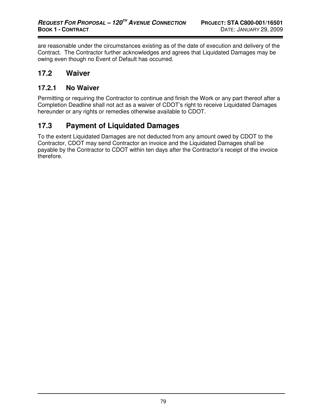are reasonable under the circumstances existing as of the date of execution and delivery of the Contract. The Contractor further acknowledges and agrees that Liquidated Damages may be owing even though no Event of Default has occurred.

#### **17.2 Waiver**

#### **17.2.1 No Waiver**

Permitting or requiring the Contractor to continue and finish the Work or any part thereof after a Completion Deadline shall not act as a waiver of CDOT's right to receive Liquidated Damages hereunder or any rights or remedies otherwise available to CDOT.

# **17.3 Payment of Liquidated Damages**

To the extent Liquidated Damages are not deducted from any amount owed by CDOT to the Contractor, CDOT may send Contractor an invoice and the Liquidated Damages shall be payable by the Contractor to CDOT within ten days after the Contractor's receipt of the invoice therefore.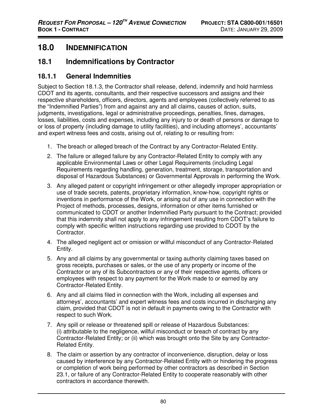# **18.0 INDEMNIFICATION**

## **18.1 Indemnifications by Contractor**

#### **18.1.1 General Indemnities**

Subject to Section 18.1.3, the Contractor shall release, defend, indemnify and hold harmless CDOT and its agents, consultants, and their respective successors and assigns and their respective shareholders, officers, directors, agents and employees (collectively referred to as the "Indemnified Parties") from and against any and all claims, causes of action, suits, judgments, investigations, legal or administrative proceedings, penalties, fines, damages, losses, liabilities, costs and expenses, including any injury to or death of persons or damage to or loss of property (including damage to utility facilities), and including attorneys', accountants' and expert witness fees and costs, arising out of, relating to or resulting from:

- 1. The breach or alleged breach of the Contract by any Contractor-Related Entity.
- 2. The failure or alleged failure by any Contractor-Related Entity to comply with any applicable Environmental Laws or other Legal Requirements (including Legal Requirements regarding handling, generation, treatment, storage, transportation and disposal of Hazardous Substances) or Governmental Approvals in performing the Work.
- 3. Any alleged patent or copyright infringement or other allegedly improper appropriation or use of trade secrets, patents, proprietary information, know-how, copyright rights or inventions in performance of the Work, or arising out of any use in connection with the Project of methods, processes, designs, information or other items furnished or communicated to CDOT or another Indemnified Party pursuant to the Contract; provided that this indemnity shall not apply to any infringement resulting from CDOT's failure to comply with specific written instructions regarding use provided to CDOT by the Contractor.
- 4. The alleged negligent act or omission or willful misconduct of any Contractor-Related Entity.
- 5. Any and all claims by any governmental or taxing authority claiming taxes based on gross receipts, purchases or sales, or the use of any property or income of the Contractor or any of its Subcontractors or any of their respective agents, officers or employees with respect to any payment for the Work made to or earned by any Contractor-Related Entity.
- 6. Any and all claims filed in connection with the Work, including all expenses and attorneys', accountants' and expert witness fees and costs incurred in discharging any claim, provided that CDOT is not in default in payments owing to the Contractor with respect to such Work.
- 7. Any spill or release or threatened spill or release of Hazardous Substances: (i) attributable to the negligence, willful misconduct or breach of contract by any Contractor-Related Entity; or (ii) which was brought onto the Site by any Contractor-Related Entity.
- 8. The claim or assertion by any contractor of inconvenience, disruption, delay or loss caused by interference by any Contractor-Related Entity with or hindering the progress or completion of work being performed by other contractors as described in Section 23.1, or failure of any Contractor-Related Entity to cooperate reasonably with other contractors in accordance therewith.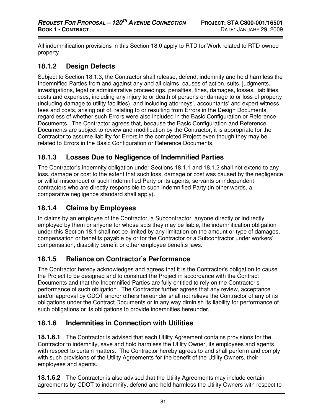All indemnification provisions in this Section 18.0 apply to RTD for Work related to RTD-owned property

#### **18.1.2 Design Defects**

Subject to Section 18.1.3, the Contractor shall release, defend, indemnify and hold harmless the Indemnified Parties from and against any and all claims, causes of action, suits, judgments, investigations, legal or administrative proceedings, penalties, fines, damages, losses, liabilities, costs and expenses, including any injury to or death of persons or damage to or loss of property (including damage to utility facilities), and including attorneys', accountants' and expert witness fees and costs, arising out of, relating to or resulting from Errors in the Design Documents, regardless of whether such Errors were also included in the Basic Configuration or Reference Documents. The Contractor agrees that, because the Basic Configuration and Reference Documents are subject to review and modification by the Contractor, it is appropriate for the Contractor to assume liability for Errors in the completed Project even though they may be related to Errors in the Basic Configuration or Reference Documents.

## **18.1.3 Losses Due to Negligence of Indemnified Parties**

The Contractor's indemnity obligation under Sections 18.1.1 and 18.1.2 shall not extend to any loss, damage or cost to the extent that such loss, damage or cost was caused by the negligence or willful misconduct of such Indemnified Party or its agents, servants or independent contractors who are directly responsible to such Indemnified Party (in other words, a comparative negligence standard shall apply).

### **18.1.4 Claims by Employees**

In claims by an employee of the Contractor, a Subcontractor, anyone directly or indirectly employed by them or anyone for whose acts they may be liable, the indemnification obligation under this Section 18.1 shall not be limited by any limitation on the amount or type of damages, compensation or benefits payable by or for the Contractor or a Subcontractor under workers' compensation, disability benefit or other employee benefits laws.

#### **18.1.5 Reliance on Contractor's Performance**

The Contractor hereby acknowledges and agrees that it is the Contractor's obligation to cause the Project to be designed and to construct the Project in accordance with the Contract Documents and that the Indemnified Parties are fully entitled to rely on the Contractor's performance of such obligation. The Contractor further agrees that any review, acceptance and/or approval by CDOT and/or others hereunder shall not relieve the Contractor of any of its obligations under the Contract Documents or in any way diminish its liability for performance of such obligations or its obligations to provide indemnities hereunder.

## **18.1.6 Indemnities in Connection with Utilities**

**18.1.6.1** The Contractor is advised that each Utility Agreement contains provisions for the Contractor to indemnify, save and hold harmless the Utility Owner, its employees and agents with respect to certain matters. The Contractor hereby agrees to and shall perform and comply with such provisions of the Utility Agreements for the benefit of the Utility Owners, their employees and agents.

**18.1.6.2** The Contractor is also advised that the Utility Agreements may include certain agreements by CDOT to indemnify, defend and hold harmless the Utility Owners with respect to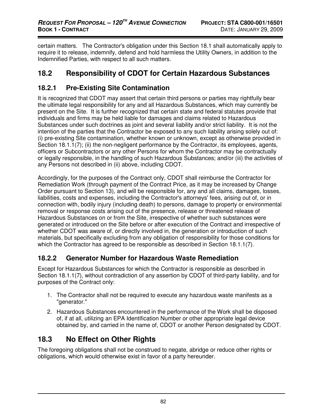certain matters. The Contractor's obligation under this Section 18.1 shall automatically apply to require it to release, indemnify, defend and hold harmless the Utility Owners, in addition to the Indemnified Parties, with respect to all such matters.

# **18.2 Responsibility of CDOT for Certain Hazardous Substances**

## **18.2.1 Pre-Existing Site Contamination**

It is recognized that CDOT may assert that certain third persons or parties may rightfully bear the ultimate legal responsibility for any and all Hazardous Substances, which may currently be present on the Site. It is further recognized that certain state and federal statutes provide that individuals and firms may be held liable for damages and claims related to Hazardous Substances under such doctrines as joint and several liability and/or strict liability. It is not the intention of the parties that the Contractor be exposed to any such liability arising solely out of: (i) pre-existing Site contamination, whether known or unknown, except as otherwise provided in Section 18.1.1(7); (ii) the non-negligent performance by the Contractor, its employees, agents, officers or Subcontractors or any other Persons for whom the Contractor may be contractually or legally responsible, in the handling of such Hazardous Substances; and/or (iii) the activities of any Persons not described in (ii) above, including CDOT.

Accordingly, for the purposes of the Contract only, CDOT shall reimburse the Contractor for Remediation Work (through payment of the Contract Price, as it may be increased by Change Order pursuant to Section 13), and will be responsible for, any and all claims, damages, losses, liabilities, costs and expenses, including the Contractor's attorneys' fees, arising out of, or in connection with, bodily injury (including death) to persons, damage to property or environmental removal or response costs arising out of the presence, release or threatened release of Hazardous Substances on or from the Site, irrespective of whether such substances were generated or introduced on the Site before or after execution of the Contract and irrespective of whether CDOT was aware of, or directly involved in, the generation or introduction of such materials, but specifically excluding from any obligation of responsibility for those conditions for which the Contractor has agreed to be responsible as described in Section 18.1.1(7).

#### **18.2.2 Generator Number for Hazardous Waste Remediation**

Except for Hazardous Substances for which the Contractor is responsible as described in Section 18.1.1(7), without contradiction of any assertion by CDOT of third-party liability, and for purposes of the Contract only:

- 1. The Contractor shall not be required to execute any hazardous waste manifests as a "generator."
- 2. Hazardous Substances encountered in the performance of the Work shall be disposed of, if at all, utilizing an EPA Identification Number or other appropriate legal device obtained by, and carried in the name of, CDOT or another Person designated by CDOT.

# **18.3 No Effect on Other Rights**

The foregoing obligations shall not be construed to negate, abridge or reduce other rights or obligations, which would otherwise exist in favor of a party hereunder.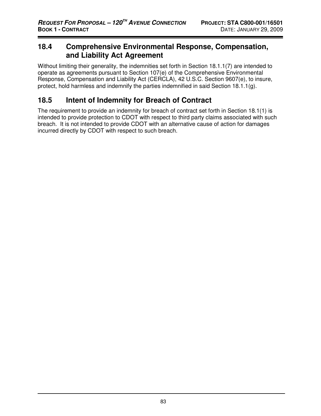## **18.4 Comprehensive Environmental Response, Compensation, and Liability Act Agreement**

Without limiting their generality, the indemnities set forth in Section 18.1.1(7) are intended to operate as agreements pursuant to Section 107(e) of the Comprehensive Environmental Response, Compensation and Liability Act (CERCLA), 42 U.S.C. Section 9607(e), to insure, protect, hold harmless and indemnify the parties indemnified in said Section 18.1.1(q).

## **18.5 Intent of Indemnity for Breach of Contract**

The requirement to provide an indemnity for breach of contract set forth in Section 18.1(1) is intended to provide protection to CDOT with respect to third party claims associated with such breach. It is not intended to provide CDOT with an alternative cause of action for damages incurred directly by CDOT with respect to such breach.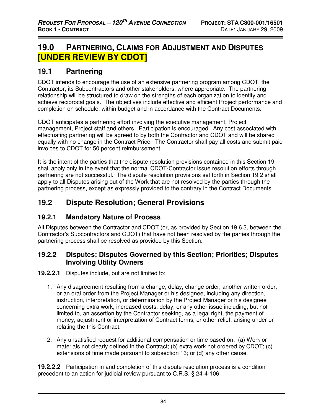# **19.0 PARTNERING, CLAIMS FOR ADJUSTMENT AND DISPUTES [UNDER REVIEW BY CDOT]**

## **19.1 Partnering**

CDOT intends to encourage the use of an extensive partnering program among CDOT, the Contractor, its Subcontractors and other stakeholders, where appropriate. The partnering relationship will be structured to draw on the strengths of each organization to identify and achieve reciprocal goals. The objectives include effective and efficient Project performance and completion on schedule, within budget and in accordance with the Contract Documents.

CDOT anticipates a partnering effort involving the executive management, Project management, Project staff and others. Participation is encouraged. Any cost associated with effectuating partnering will be agreed to by both the Contractor and CDOT and will be shared equally with no change in the Contract Price. The Contractor shall pay all costs and submit paid invoices to CDOT for 50 percent reimbursement.

It is the intent of the parties that the dispute resolution provisions contained in this Section 19 shall apply only in the event that the normal CDOT-Contractor issue resolution efforts through partnering are not successful. The dispute resolution provisions set forth in Section 19.2 shall apply to all Disputes arising out of the Work that are not resolved by the parties through the partnering process, except as expressly provided to the contrary in the Contract Documents.

## **19.2 Dispute Resolution; General Provisions**

#### **19.2.1 Mandatory Nature of Process**

All Disputes between the Contractor and CDOT (or, as provided by Section 19.6.3, between the Contractor's Subcontractors and CDOT) that have not been resolved by the parties through the partnering process shall be resolved as provided by this Section.

#### **19.2.2 Disputes; Disputes Governed by this Section; Priorities; Disputes Involving Utility Owners**

**19.2.2.1** Disputes include, but are not limited to:

- 1. Any disagreement resulting from a change, delay, change order, another written order, or an oral order from the Project Manager or his designee, including any direction, instruction, interpretation, or determination by the Project Manager or his designee concerning extra work, increased costs, delay, or any other issue including, but not limited to, an assertion by the Contractor seeking, as a legal right, the payment of money, adjustment or interpretation of Contract terms, or other relief, arising under or relating the this Contract.
- 2. Any unsatisfied request for additional compensation or time based on: (a) Work or materials not clearly defined in the Contract; (b) extra work not ordered by CDOT; (c) extensions of time made pursuant to subsection 13; or (d) any other cause.

**19.2.2.2** Participation in and completion of this dispute resolution process is a condition precedent to an action for judicial review pursuant to C.R.S. § 24-4-106.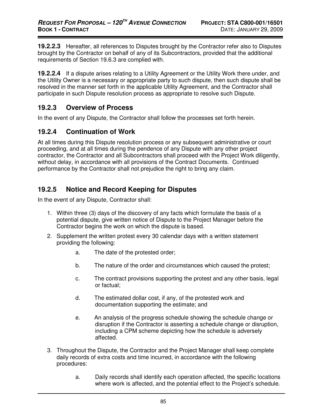**19.2.2.3** Hereafter, all references to Disputes brought by the Contractor refer also to Disputes brought by the Contractor on behalf of any of its Subcontractors, provided that the additional requirements of Section 19.6.3 are complied with.

**19.2.2.4** If a dispute arises relating to a Utility Agreement or the Utility Work there under, and the Utility Owner is a necessary or appropriate party to such dispute, then such dispute shall be resolved in the manner set forth in the applicable Utility Agreement, and the Contractor shall participate in such Dispute resolution process as appropriate to resolve such Dispute.

#### **19.2.3 Overview of Process**

In the event of any Dispute, the Contractor shall follow the processes set forth herein.

#### **19.2.4 Continuation of Work**

At all times during this Dispute resolution process or any subsequent administrative or court proceeding, and at all times during the pendence of any Dispute with any other project contractor, the Contractor and all Subcontractors shall proceed with the Project Work diligently, without delay, in accordance with all provisions of the Contract Documents. Continued performance by the Contractor shall not prejudice the right to bring any claim.

## **19.2.5 Notice and Record Keeping for Disputes**

In the event of any Dispute, Contractor shall:

- 1. Within three (3) days of the discovery of any facts which formulate the basis of a potential dispute, give written notice of Dispute to the Project Manager before the Contractor begins the work on which the dispute is based.
- 2. Supplement the written protest every 30 calendar days with a written statement providing the following:
	- a. The date of the protested order;
	- b. The nature of the order and circumstances which caused the protest;
	- c. The contract provisions supporting the protest and any other basis, legal or factual;
	- d. The estimated dollar cost, if any, of the protested work and documentation supporting the estimate; and
	- e. An analysis of the progress schedule showing the schedule change or disruption if the Contractor is asserting a schedule change or disruption, including a CPM scheme depicting how the schedule is adversely affected.
- 3. Throughout the Dispute, the Contractor and the Project Manager shall keep complete daily records of extra costs and time incurred, in accordance with the following procedures:
	- a. Daily records shall identify each operation affected, the specific locations where work is affected, and the potential effect to the Project's schedule.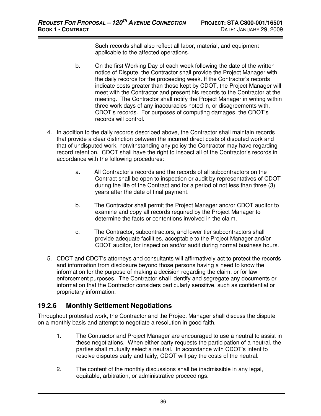Such records shall also reflect all labor, material, and equipment applicable to the affected operations.

- b. On the first Working Day of each week following the date of the written notice of Dispute, the Contractor shall provide the Project Manager with the daily records for the proceeding week. If the Contractor's records indicate costs greater than those kept by CDOT, the Project Manager will meet with the Contractor and present his records to the Contractor at the meeting. The Contractor shall notify the Project Manager in writing within three work days of any inaccuracies noted in, or disagreements with, CDOT's records. For purposes of computing damages, the CDOT's records will control.
- 4. In addition to the daily records described above, the Contractor shall maintain records that provide a clear distinction between the incurred direct costs of disputed work and that of undisputed work, notwithstanding any policy the Contractor may have regarding record retention. CDOT shall have the right to inspect all of the Contractor's records in accordance with the following procedures:
	- a. All Contractor's records and the records of all subcontractors on the Contract shall be open to inspection or audit by representatives of CDOT during the life of the Contract and for a period of not less than three (3) years after the date of final payment.
	- b. The Contractor shall permit the Project Manager and/or CDOT auditor to examine and copy all records required by the Project Manager to determine the facts or contentions involved in the claim.
	- c. The Contractor, subcontractors, and lower tier subcontractors shall provide adequate facilities, acceptable to the Project Manager and/or CDOT auditor, for inspection and/or audit during normal business hours.
- 5. CDOT and CDOT's attorneys and consultants will affirmatively act to protect the records and information from disclosure beyond those persons having a need to know the information for the purpose of making a decision regarding the claim, or for law enforcement purposes. The Contractor shall identify and segregate any documents or information that the Contractor considers particularly sensitive, such as confidential or proprietary information.

## **19.2.6 Monthly Settlement Negotiations**

Throughout protested work, the Contractor and the Project Manager shall discuss the dispute on a monthly basis and attempt to negotiate a resolution in good faith.

- 1. The Contractor and Project Manager are encouraged to use a neutral to assist in these negotiations. When either party requests the participation of a neutral, the parties shall mutually select a neutral. In accordance with CDOT's intent to resolve disputes early and fairly, CDOT will pay the costs of the neutral.
- 2. The content of the monthly discussions shall be inadmissible in any legal, equitable, arbitration, or administrative proceedings.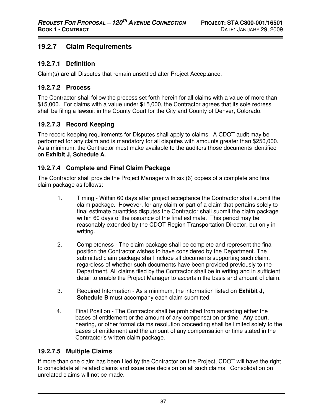#### **19.2.7 Claim Requirements**

#### **19.2.7.1 Definition**

Claim(s) are all Disputes that remain unsettled after Project Acceptance.

#### **19.2.7.2 Process**

The Contractor shall follow the process set forth herein for all claims with a value of more than \$15,000. For claims with a value under \$15,000, the Contractor agrees that its sole redress shall be filing a lawsuit in the County Court for the City and County of Denver, Colorado.

#### **19.2.7.3 Record Keeping**

The record keeping requirements for Disputes shall apply to claims. A CDOT audit may be performed for any claim and is mandatory for all disputes with amounts greater than \$250,000. As a minimum, the Contractor must make available to the auditors those documents identified on **Exhibit J, Schedule A.** 

#### **19.2.7.4 Complete and Final Claim Package**

The Contractor shall provide the Project Manager with six (6) copies of a complete and final claim package as follows:

- 1. Timing Within 60 days after project acceptance the Contractor shall submit the claim package. However, for any claim or part of a claim that pertains solely to final estimate quantities disputes the Contractor shall submit the claim package within 60 days of the issuance of the final estimate. This period may be reasonably extended by the CDOT Region Transportation Director, but only in writing.
- 2. Completeness The claim package shall be complete and represent the final position the Contractor wishes to have considered by the Department. The submitted claim package shall include all documents supporting such claim, regardless of whether such documents have been provided previously to the Department. All claims filed by the Contractor shall be in writing and in sufficient detail to enable the Project Manager to ascertain the basis and amount of claim.
- 3. Required Information As a minimum, the information listed on **Exhibit J, Schedule B** must accompany each claim submitted.
- 4. Final Position The Contractor shall be prohibited from amending either the bases of entitlement or the amount of any compensation or time. Any court, hearing, or other formal claims resolution proceeding shall be limited solely to the bases of entitlement and the amount of any compensation or time stated in the Contractor's written claim package.

#### **19.2.7.5 Multiple Claims**

If more than one claim has been filed by the Contractor on the Project, CDOT will have the right to consolidate all related claims and issue one decision on all such claims. Consolidation on unrelated claims will not be made.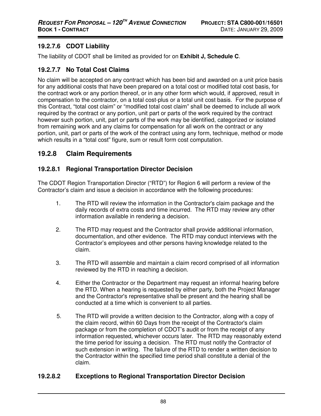#### **19.2.7.6 CDOT Liability**

The liability of CDOT shall be limited as provided for on **Exhibit J, Schedule C**.

#### **19.2.7.7 No Total Cost Claims**

No claim will be accepted on any contract which has been bid and awarded on a unit price basis for any additional costs that have been prepared on a total cost or modified total cost basis, for the contract work or any portion thereof, or in any other form which would, if approved, result in compensation to the contractor, on a total cost-plus or a total unit cost basis. For the purpose of this Contract, "total cost claim" or "modified total cost claim" shall be deemed to include all work required by the contract or any portion, unit part or parts of the work required by the contract however such portion, unit, part or parts of the work may be identified, categorized or isolated from remaining work and any claims for compensation for all work on the contract or any portion, unit, part or parts of the work of the contract using any form, technique, method or mode which results in a "total cost" figure, sum or result form cost computation.

#### **19.2.8 Claim Requirements**

#### **19.2.8.1 Regional Transportation Director Decision**

The CDOT Region Transportation Director ("RTD") for Region 6 will perform a review of the Contractor's claim and issue a decision in accordance with the following procedures:

- 1. The RTD will review the information in the Contractor's claim package and the daily records of extra costs and time incurred. The RTD may review any other information available in rendering a decision.
- 2. The RTD may request and the Contractor shall provide additional information, documentation, and other evidence. The RTD may conduct interviews with the Contractor's employees and other persons having knowledge related to the claim.
- 3. The RTD will assemble and maintain a claim record comprised of all information reviewed by the RTD in reaching a decision.
- 4. Either the Contractor or the Department may request an informal hearing before the RTD. When a hearing is requested by either party, both the Project Manager and the Contractor's representative shall be present and the hearing shall be conducted at a time which is convenient to all parties.
- 5. The RTD will provide a written decision to the Contractor, along with a copy of the claim record, within 60 Days from the receipt of the Contractor's claim package or from the completion of CDOT's audit or from the receipt of any information requested, whichever occurs later. The RTD may reasonably extend the time period for issuing a decision. The RTD must notify the Contractor of such extension in writing. The failure of the RTD to render a written decision to the Contractor within the specified time period shall constitute a denial of the claim.

#### **19.2.8.2 Exceptions to Regional Transportation Director Decision**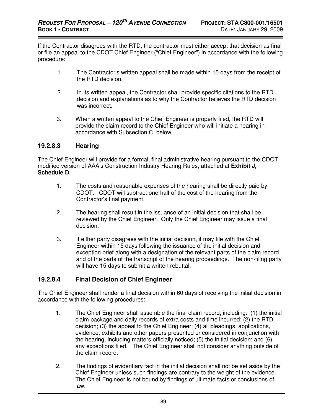If the Contractor disagrees with the RTD, the contractor must either accept that decision as final or file an appeal to the CDOT Chief Engineer ("Chief Engineer") in accordance with the following procedure:

- 1. The Contractor's written appeal shall be made within 15 days from the receipt of the RTD decision.
- 2. In its written appeal, the Contractor shall provide specific citations to the RTD decision and explanations as to why the Contractor believes the RTD decision was incorrect.
- 3. When a written appeal to the Chief Engineer is properly filed, the RTD will provide the claim record to the Chief Engineer who will initiate a hearing in accordance with Subsection C, below.

#### **19.2.8.3 Hearing**

The Chief Engineer will provide for a formal, final administrative hearing pursuant to the CDOT modified version of AAA's Construction Industry Hearing Rules, attached at **Exhibit J, Schedule D**.

- 1. The costs and reasonable expenses of the hearing shall be directly paid by CDOT. CDOT will subtract one-half of the cost of the hearing from the Contractor's final payment.
- 2. The hearing shall result in the issuance of an initial decision that shall be reviewed by the Chief Engineer. Only the Chief Engineer may issue a final decision.
- 3. If either party disagrees with the initial decision, it may file with the Chief Engineer within 15 days following the issuance of the initial decision and exception brief along with a designation of the relevant parts of the claim record and of the parts of the transcript of the hearing proceedings. The non-filing party will have 15 days to submit a written rebuttal.

#### **19.2.8.4 Final Decision of Chief Engineer**

The Chief Engineer shall render a final decision within 60 days of receiving the initial decision in accordance with the following procedures:

- 1. The Chief Engineer shall assemble the final claim record, including: (1) the initial claim package and daily records of extra costs and time incurred; (2) the RTD decision; (3) the appeal to the Chief Engineer; (4) all pleadings, applications, evidence, exhibits and other papers presented or considered in conjunction with the hearing, including matters officially noticed; (5) the initial decision; and (6) any exceptions filed. The Chief Engineer shall not consider anything outside of the claim record.
- 2. The findings of evidentiary fact in the initial decision shall not be set aside by the Chief Engineer unless such findings are contrary to the weight of the evidence. The Chief Engineer is not bound by findings of ultimate facts or conclusions of law.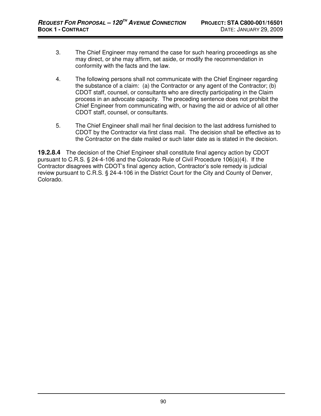- 3. The Chief Engineer may remand the case for such hearing proceedings as she may direct, or she may affirm, set aside, or modify the recommendation in conformity with the facts and the law.
- 4. The following persons shall not communicate with the Chief Engineer regarding the substance of a claim: (a) the Contractor or any agent of the Contractor; (b) CDOT staff, counsel, or consultants who are directly participating in the Claim process in an advocate capacity. The preceding sentence does not prohibit the Chief Engineer from communicating with, or having the aid or advice of all other CDOT staff, counsel, or consultants.
- 5. The Chief Engineer shall mail her final decision to the last address furnished to CDOT by the Contractor via first class mail. The decision shall be effective as to the Contractor on the date mailed or such later date as is stated in the decision.

**19.2.8.4** The decision of the Chief Engineer shall constitute final agency action by CDOT pursuant to C.R.S. § 24-4-106 and the Colorado Rule of Civil Procedure 106(a)(4). If the Contractor disagrees with CDOT's final agency action, Contractor's sole remedy is judicial review pursuant to C.R.S. § 24-4-106 in the District Court for the City and County of Denver, Colorado.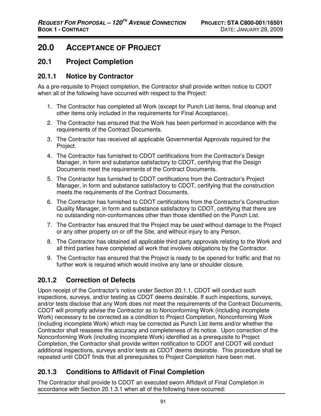# **20.0 ACCEPTANCE OF PROJECT**

## **20.1 Project Completion**

#### **20.1.1 Notice by Contractor**

As a pre-requisite to Project completion, the Contractor shall provide written notice to CDOT when all of the following have occurred with respect to the Project:

- 1. The Contractor has completed all Work (except for Punch List items, final cleanup and other items only included in the requirements for Final Acceptance).
- 2. The Contractor has ensured that the Work has been performed in accordance with the requirements of the Contract Documents.
- 3. The Contractor has received all applicable Governmental Approvals required for the Project.
- 4. The Contractor has furnished to CDOT certifications from the Contractor's Design Manager, in form and substance satisfactory to CDOT, certifying that the Design Documents meet the requirements of the Contract Documents.
- 5. The Contractor has furnished to CDOT certifications from the Contractor's Project Manager, in form and substance satisfactory to CDOT, certifying that the construction meets the requirements of the Contract Documents.
- 6. The Contractor has furnished to CDOT certifications from the Contractor's Construction Quality Manager, in form and substance satisfactory to CDOT, certifying that there are no outstanding non-conformances other than those identified on the Punch List.
- 7. The Contractor has ensured that the Project may be used without damage to the Project or any other property on or off the Site, and without injury to any Person.
- 8. The Contractor has obtained all applicable third party approvals relating to the Work and all third parties have completed all work that involves obligations by the Contractor.
- 9. The Contractor has ensured that the Project is ready to be opened for traffic and that no further work is required which would involve any lane or shoulder closure.

# **20.1.2 Correction of Defects**

Upon receipt of the Contractor's notice under Section 20.1.1, CDOT will conduct such inspections, surveys, and/or testing as CDOT deems desirable. If such inspections, surveys, and/or tests disclose that any Work does not meet the requirements of the Contract Documents, CDOT will promptly advise the Contractor as to Nonconforming Work (including incomplete Work) necessary to be corrected as a condition to Project Completion, Nonconforming Work (including incomplete Work) which may be corrected as Punch List items and/or whether the Contractor shall reassess the accuracy and completeness of its notice. Upon correction of the Nonconforming Work (including incomplete Work) identified as a prerequisite to Project Completion, the Contractor shall provide written notification to CDOT and CDOT will conduct additional inspections, surveys and/or tests as CDOT deems desirable. This procedure shall be repeated until CDOT finds that all prerequisites to Project Completion have been met.

## **20.1.3 Conditions to Affidavit of Final Completion**

The Contractor shall provide to CDOT an executed sworn Affidavit of Final Completion in accordance with Section 20.1.3.1 when all of the following have occurred: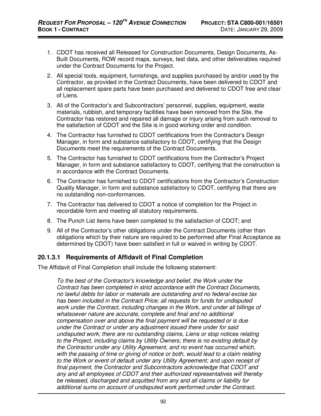- 1. CDOT has received all Released for Construction Documents, Design Documents, As-Built Documents, ROW record maps, surveys, test data, and other deliverables required under the Contract Documents for the Project.
- 2. All special tools, equipment, furnishings, and supplies purchased by and/or used by the Contractor, as provided in the Contract Documents, have been delivered to CDOT and all replacement spare parts have been purchased and delivered to CDOT free and clear of Liens.
- 3. All of the Contractor's and Subcontractors' personnel, supplies, equipment, waste materials, rubbish, and temporary facilities have been removed from the Site, the Contractor has restored and repaired all damage or injury arising from such removal to the satisfaction of CDOT and the Site is in good working order and condition.
- 4. The Contractor has furnished to CDOT certifications from the Contractor's Design Manager, in form and substance satisfactory to CDOT, certifying that the Design Documents meet the requirements of the Contract Documents.
- 5. The Contractor has furnished to CDOT certifications from the Contractor's Project Manager, in form and substance satisfactory to CDOT, certifying that the construction is in accordance with the Contract Documents.
- 6. The Contractor has furnished to CDOT certifications from the Contractor's Construction Quality Manager, in form and substance satisfactory to CDOT, certifying that there are no outstanding non-conformances.
- 7. The Contractor has delivered to CDOT a notice of completion for the Project in recordable form and meeting all statutory requirements.
- 8. The Punch List items have been completed to the satisfaction of CDOT; and
- 9. All of the Contractor's other obligations under the Contract Documents (other than obligations which by their nature are required to be performed after Final Acceptance as determined by CDOT) have been satisfied in full or waived in writing by CDOT.

#### **20.1.3.1 Requirements of Affidavit of Final Completion**

The Affidavit of Final Completion shall include the following statement:

To the best of the Contractor's knowledge and belief, the Work under the Contract has been completed in strict accordance with the Contract Documents, no lawful debts for labor or materials are outstanding and no federal excise tax has been included in the Contract Price; all requests for funds for undisputed work under the Contract, including changes in the Work, and under all billings of whatsoever nature are accurate, complete and final and no additional compensation over and above the final payment will be requested or is due under the Contract or under any adjustment issued there under for said undisputed work; there are no outstanding claims, Liens or stop notices relating to the Project, including claims by Utility Owners; there is no existing default by the Contractor under any Utility Agreement, and no event has occurred which, with the passing of time or giving of notice or both, would lead to a claim relating to the Work or event of default under any Utility Agreement; and upon receipt of final payment, the Contractor and Subcontractors acknowledge that CDOT and any and all employees of CDOT and their authorized representatives will thereby be released, discharged and acquitted from any and all claims or liability for additional sums on account of undisputed work performed under the Contract.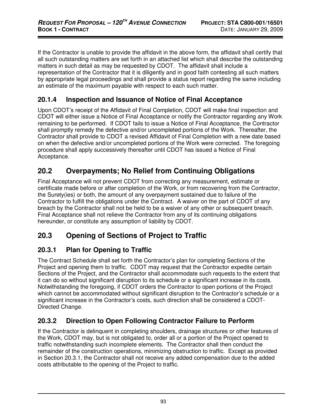If the Contractor is unable to provide the affidavit in the above form, the affidavit shall certify that all such outstanding matters are set forth in an attached list which shall describe the outstanding matters in such detail as may be requested by CDOT. The affidavit shall include a representation of the Contractor that it is diligently and in good faith contesting all such matters by appropriate legal proceedings and shall provide a status report regarding the same including an estimate of the maximum payable with respect to each such matter.

### **20.1.4 Inspection and Issuance of Notice of Final Acceptance**

Upon CDOT's receipt of the Affidavit of Final Completion, CDOT will make final inspection and CDOT will either issue a Notice of Final Acceptance or notify the Contractor regarding any Work remaining to be performed. If CDOT fails to issue a Notice of Final Acceptance, the Contractor shall promptly remedy the defective and/or uncompleted portions of the Work. Thereafter, the Contractor shall provide to CDOT a revised Affidavit of Final Completion with a new date based on when the defective and/or uncompleted portions of the Work were corrected. The foregoing procedure shall apply successively thereafter until CDOT has issued a Notice of Final Acceptance.

# **20.2 Overpayments; No Relief from Continuing Obligations**

Final Acceptance will not prevent CDOT from correcting any measurement, estimate or certificate made before or after completion of the Work, or from recovering from the Contractor, the Surety(ies) or both, the amount of any overpayment sustained due to failure of the Contractor to fulfill the obligations under the Contract. A waiver on the part of CDOT of any breach by the Contractor shall not be held to be a waiver of any other or subsequent breach. Final Acceptance shall not relieve the Contractor from any of its continuing obligations hereunder, or constitute any assumption of liability by CDOT.

# **20.3 Opening of Sections of Project to Traffic**

## **20.3.1 Plan for Opening to Traffic**

The Contract Schedule shall set forth the Contractor's plan for completing Sections of the Project and opening them to traffic. CDOT may request that the Contractor expedite certain Sections of the Project, and the Contractor shall accommodate such requests to the extent that it can do so without significant disruption to its schedule or a significant increase in its costs. Notwithstanding the foregoing, if CDOT orders the Contractor to open portions of the Project which cannot be accommodated without significant disruption to the Contractor's schedule or a significant increase in the Contractor's costs, such direction shall be considered a CDOT-Directed Change.

# **20.3.2 Direction to Open Following Contractor Failure to Perform**

If the Contractor is delinquent in completing shoulders, drainage structures or other features of the Work, CDOT may, but is not obligated to, order all or a portion of the Project opened to traffic notwithstanding such incomplete elements. The Contractor shall then conduct the remainder of the construction operations, minimizing obstruction to traffic. Except as provided in Section 20.3.1, the Contractor shall not receive any added compensation due to the added costs attributable to the opening of the Project to traffic.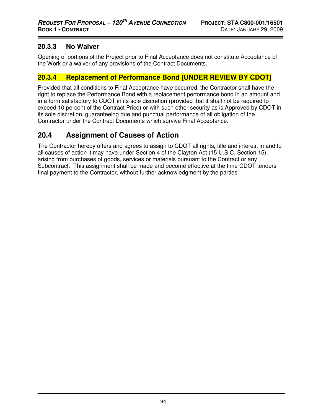#### **20.3.3 No Waiver**

Opening of portions of the Project prior to Final Acceptance does not constitute Acceptance of the Work or a waiver of any provisions of the Contract Documents.

### **20.3.4 Replacement of Performance Bond [UNDER REVIEW BY CDOT]**

Provided that all conditions to Final Acceptance have occurred, the Contractor shall have the right to replace the Performance Bond with a replacement performance bond in an amount and in a form satisfactory to CDOT in its sole discretion (provided that it shall not be required to exceed 10 percent of the Contract Price) or with such other security as is Approved by CDOT in its sole discretion, guaranteeing due and punctual performance of all obligation of the Contractor under the Contract Documents which survive Final Acceptance.

# **20.4 Assignment of Causes of Action**

The Contractor hereby offers and agrees to assign to CDOT all rights, title and interest in and to all causes of action it may have under Section 4 of the Clayton Act (15 U.S.C. Section 15), arising from purchases of goods, services or materials pursuant to the Contract or any Subcontract. This assignment shall be made and become effective at the time CDOT tenders final payment to the Contractor, without further acknowledgment by the parties.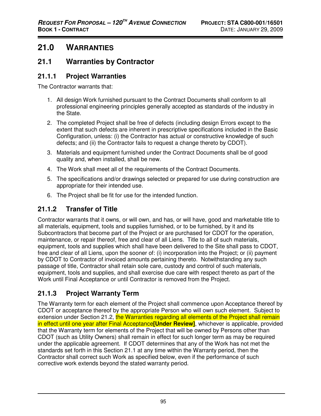# **21.0 WARRANTIES**

## **21.1 Warranties by Contractor**

#### **21.1.1 Project Warranties**

The Contractor warrants that:

- 1. All design Work furnished pursuant to the Contract Documents shall conform to all professional engineering principles generally accepted as standards of the industry in the State.
- 2. The completed Project shall be free of defects (including design Errors except to the extent that such defects are inherent in prescriptive specifications included in the Basic Configuration, unless: (i) the Contractor has actual or constructive knowledge of such defects; and (ii) the Contractor fails to request a change thereto by CDOT).
- 3. Materials and equipment furnished under the Contract Documents shall be of good quality and, when installed, shall be new.
- 4. The Work shall meet all of the requirements of the Contract Documents.
- 5. The specifications and/or drawings selected or prepared for use during construction are appropriate for their intended use.
- 6. The Project shall be fit for use for the intended function.

## **21.1.2 Transfer of Title**

Contractor warrants that it owns, or will own, and has, or will have, good and marketable title to all materials, equipment, tools and supplies furnished, or to be furnished, by it and its Subcontractors that become part of the Project or are purchased for CDOT for the operation, maintenance, or repair thereof, free and clear of all Liens. Title to all of such materials, equipment, tools and supplies which shall have been delivered to the Site shall pass to CDOT, free and clear of all Liens, upon the sooner of: (i) incorporation into the Project; or (ii) payment by CDOT to Contractor of invoiced amounts pertaining thereto. Notwithstanding any such passage of title, Contractor shall retain sole care, custody and control of such materials, equipment, tools and supplies, and shall exercise due care with respect thereto as part of the Work until Final Acceptance or until Contractor is removed from the Project.

# **21.1.3 Project Warranty Term**

The Warranty term for each element of the Project shall commence upon Acceptance thereof by CDOT or acceptance thereof by the appropriate Person who will own such element. Subject to extension under Section 21.2, the Warranties regarding all elements of the Project shall remain in effect until one year after Final Acceptance**[Under Review]**, whichever is applicable, provided that the Warranty term for elements of the Project that will be owned by Persons other than CDOT (such as Utility Owners) shall remain in effect for such longer term as may be required under the applicable agreement. If CDOT determines that any of the Work has not met the standards set forth in this Section 21.1 at any time within the Warranty period, then the Contractor shall correct such Work as specified below, even if the performance of such corrective work extends beyond the stated warranty period.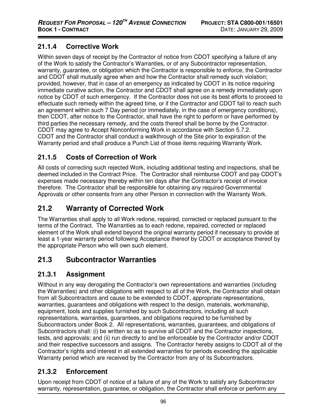## **21.1.4 Corrective Work**

Within seven days of receipt by the Contractor of notice from CDOT specifying a failure of any of the Work to satisfy the Contractor's Warranties, or of any Subcontractor representation, warranty, guarantee, or obligation which the Contractor is responsible to enforce, the Contractor and CDOT shall mutually agree when and how the Contractor shall remedy such violation; provided, however, that in case of an emergency as indicated by CDOT in its notice requiring immediate curative action, the Contractor and CDOT shall agree on a remedy immediately upon notice by CDOT of such emergency. If the Contractor does not use its best efforts to proceed to effectuate such remedy within the agreed time, or if the Contractor and CDOT fail to reach such an agreement within such 7 Day period (or immediately, in the case of emergency conditions), then CDOT, after notice to the Contractor, shall have the right to perform or have performed by third parties the necessary remedy, and the costs thereof shall be borne by the Contractor. CDOT may agree to Accept Nonconforming Work in accordance with Section 5.7.2. CDOT and the Contractor shall conduct a walkthrough of the Site prior to expiration of the Warranty period and shall produce a Punch List of those items requiring Warranty Work.

# **21.1.5 Costs of Correction of Work**

All costs of correcting such rejected Work, including additional testing and inspections, shall be deemed included in the Contract Price. The Contractor shall reimburse CDOT and pay CDOT's expenses made necessary thereby within ten days after the Contractor's receipt of invoice therefore. The Contractor shall be responsible for obtaining any required Governmental Approvals or other consents from any other Person in connection with the Warranty Work.

# **21.2 Warranty of Corrected Work**

The Warranties shall apply to all Work redone, repaired, corrected or replaced pursuant to the terms of the Contract. The Warranties as to each redone, repaired, corrected or replaced element of the Work shall extend beyond the original warranty period if necessary to provide at least a 1-year warranty period following Acceptance thereof by CDOT or acceptance thereof by the appropriate Person who will own such element.

# **21.3 Subcontractor Warranties**

## **21.3.1 Assignment**

Without in any way derogating the Contractor's own representations and warranties (including the Warranties) and other obligations with respect to all of the Work, the Contractor shall obtain from all Subcontractors and cause to be extended to CDOT, appropriate representations, warranties, guarantees and obligations with respect to the design, materials, workmanship, equipment, tools and supplies furnished by such Subcontractors, including all such representations, warranties, guarantees, and obligations required to be furnished by Subcontractors under Book 2. All representations, warranties, guarantees, and obligations of Subcontractors shall: (i) be written so as to survive all CDOT and the Contractor inspections, tests, and approvals; and (ii) run directly to and be enforceable by the Contractor and/or CDOT and their respective successors and assigns. The Contractor hereby assigns to CDOT all of the Contractor's rights and interest in all extended warranties for periods exceeding the applicable Warranty period which are received by the Contractor from any of its Subcontractors.

## **21.3.2 Enforcement**

Upon receipt from CDOT of notice of a failure of any of the Work to satisfy any Subcontractor warranty, representation, guarantee, or obligation, the Contractor shall enforce or perform any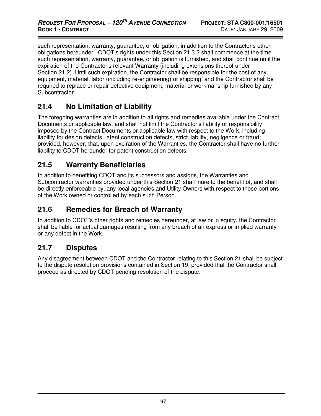such representation, warranty, guarantee, or obligation, in addition to the Contractor's other obligations hereunder. CDOT's rights under this Section 21.3.2 shall commence at the time such representation, warranty, guarantee, or obligation is furnished, and shall continue until the expiration of the Contractor's relevant Warranty (including extensions thereof under Section 21.2). Until such expiration, the Contractor shall be responsible for the cost of any equipment, material, labor (including re-engineering) or shipping, and the Contractor shall be required to replace or repair defective equipment, material or workmanship furnished by any Subcontractor.

# **21.4 No Limitation of Liability**

The foregoing warranties are in addition to all rights and remedies available under the Contract Documents or applicable law, and shall not limit the Contractor's liability or responsibility imposed by the Contract Documents or applicable law with respect to the Work, including liability for design defects, latent construction defects, strict liability, negligence or fraud; provided, however, that, upon expiration of the Warranties, the Contractor shall have no further liability to CDOT hereunder for patent construction defects.

## **21.5 Warranty Beneficiaries**

In addition to benefiting CDOT and its successors and assigns, the Warranties and Subcontractor warranties provided under this Section 21 shall inure to the benefit of, and shall be directly enforceable by, any local agencies and Utility Owners with respect to those portions of the Work owned or controlled by each such Person.

## **21.6 Remedies for Breach of Warranty**

In addition to CDOT's other rights and remedies hereunder, at law or in equity, the Contractor shall be liable for actual damages resulting from any breach of an express or implied warranty or any defect in the Work.

## **21.7 Disputes**

Any disagreement between CDOT and the Contractor relating to this Section 21 shall be subject to the dispute resolution provisions contained in Section 19, provided that the Contractor shall proceed as directed by CDOT pending resolution of the dispute.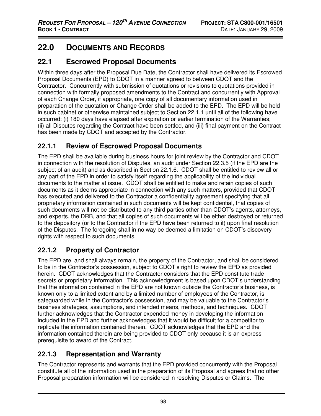# **22.0 DOCUMENTS AND RECORDS**

# **22.1 Escrowed Proposal Documents**

Within three days after the Proposal Due Date, the Contractor shall have delivered its Escrowed Proposal Documents (EPD) to CDOT in a manner agreed to between CDOT and the Contractor. Concurrently with submission of quotations or revisions to quotations provided in connection with formally proposed amendments to the Contract and concurrently with Approval of each Change Order, if appropriate, one copy of all documentary information used in preparation of the quotation or Change Order shall be added to the EPD. The EPD will be held in such cabinet or otherwise maintained subject to Section 22.1.1 until all of the following have occurred: (i) 180 days have elapsed after expiration or earlier termination of the Warranties; (ii) all Disputes regarding the Contract have been settled, and (iii) final payment on the Contract has been made by CDOT and accepted by the Contractor.

### **22.1.1 Review of Escrowed Proposal Documents**

The EPD shall be available during business hours for joint review by the Contractor and CDOT in connection with the resolution of Disputes, an audit under Section 22.3.5 (if the EPD are the subject of an audit) and as described in Section 22.1.6. CDOT shall be entitled to review all or any part of the EPD in order to satisfy itself regarding the applicability of the individual documents to the matter at issue. CDOT shall be entitled to make and retain copies of such documents as it deems appropriate in connection with any such matters, provided that CDOT has executed and delivered to the Contractor a confidentiality agreement specifying that all proprietary information contained in such documents will be kept confidential, that copies of such documents will not be distributed to any third parties other than CDOT's agents, attorneys, and experts, the DRB, and that all copies of such documents will be either destroyed or returned to the depository (or to the Contractor if the EPD have been returned to it) upon final resolution of the Disputes. The foregoing shall in no way be deemed a limitation on CDOT's discovery rights with respect to such documents.

# **22.1.2 Property of Contractor**

The EPD are, and shall always remain, the property of the Contractor, and shall be considered to be in the Contractor's possession, subject to CDOT's right to review the EPD as provided herein. CDOT acknowledges that the Contractor considers that the EPD constitute trade secrets or proprietary information. This acknowledgment is based upon CDOT's understanding that the information contained in the EPD are not known outside the Contractor's business, is known only to a limited extent and by a limited number of employees of the Contractor, is safeguarded while in the Contractor's possession, and may be valuable to the Contractor's business strategies, assumptions, and intended means, methods, and techniques. CDOT further acknowledges that the Contractor expended money in developing the information included in the EPD and further acknowledges that it would be difficult for a competitor to replicate the information contained therein. CDOT acknowledges that the EPD and the information contained therein are being provided to CDOT only because it is an express prerequisite to award of the Contract.

# **22.1.3 Representation and Warranty**

The Contractor represents and warrants that the EPD provided concurrently with the Proposal constitute all of the information used in the preparation of its Proposal and agrees that no other Proposal preparation information will be considered in resolving Disputes or Claims. The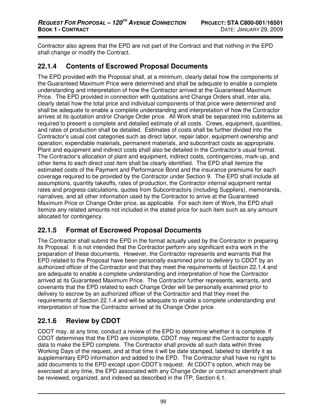Contractor also agrees that the EPD are not part of the Contract and that nothing in the EPD shall change or modify the Contract.

#### **22.1.4 Contents of Escrowed Proposal Documents**

The EPD provided with the Proposal shall, at a minimum, clearly detail how the components of the Guaranteed Maximum Price were determined and shall be adequate to enable a complete understanding and interpretation of how the Contractor arrived at the Guaranteed Maximum Price. The EPD provided in connection with quotations and Change Orders shall, inter alia, clearly detail how the total price and individual components of that price were determined and shall be adequate to enable a complete understanding and interpretation of how the Contractor arrives at its quotation and/or Change Order price. All Work shall be separated into subitems as required to present a complete and detailed estimate of all costs. Crews, equipment, quantities, and rates of production shall be detailed. Estimates of costs shall be further divided into the Contractor's usual cost categories such as direct labor, repair labor, equipment ownership and operation, expendable materials, permanent materials, and subcontract costs as appropriate. Plant and equipment and indirect costs shall also be detailed in the Contractor's usual format. The Contractor's allocation of plant and equipment, indirect costs, contingencies, mark-up, and other items to each direct cost item shall be clearly identified. The EPD shall itemize the estimated costs of the Payment and Performance Bond and the insurance premiums for each coverage required to be provided by the Contractor under Section 9. The EPD shall include all assumptions, quantity takeoffs, rates of production, the Contractor internal equipment rental rates and progress calculations, quotes from Subcontractors (including Suppliers), memoranda, narratives, and all other information used by the Contractor to arrive at the Guaranteed Maximum Price or Change Order price, as applicable. For each item of Work, the EPD shall itemize any related amounts not included in the stated price for such item such as any amount allocated for contingency.

### **22.1.5 Format of Escrowed Proposal Documents**

The Contractor shall submit the EPD in the format actually used by the Contractor in preparing its Proposal. It is not intended that the Contractor perform any significant extra work in the preparation of these documents. However, the Contractor represents and warrants that the EPD related to the Proposal have been personally examined prior to delivery to CDOT by an authorized officer of the Contractor and that they meet the requirements of Section 22.1.4 and are adequate to enable a complete understanding and interpretation of how the Contractor arrived at its Guaranteed Maximum Price. The Contractor further represents, warrants, and covenants that the EPD related to each Change Order will be personally examined prior to delivery to escrow by an authorized officer of the Contractor and that they meet the requirements of Section 22.1.4 and will be adequate to enable a complete understanding and interpretation of how the Contractor arrived at its Change Order price.

# **22.1.6 Review by CDOT**

CDOT may, at any time, conduct a review of the EPD to determine whether it is complete. If CDOT determines that the EPD are incomplete, CDOT may request the Contractor to supply data to make the EPD complete. The Contractor shall provide all such data within three Working Days of the request, and at that time it will be date stamped, labeled to identify it as supplementary EPD information and added to the EPD. The Contractor shall have no right to add documents to the EPD except upon CDOT's request. At CDOT's option, which may be exercised at any time, the EPD associated with any Change Order or contract amendment shall be reviewed, organized, and indexed as described in the ITP, Section 6.1.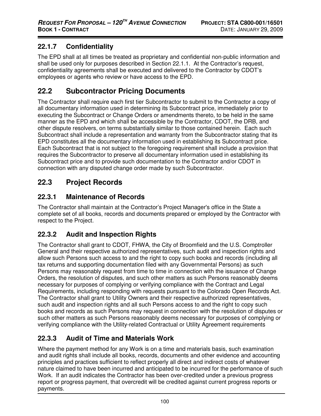### **22.1.7 Confidentiality**

The EPD shall at all times be treated as proprietary and confidential non-public information and shall be used only for purposes described in Section 22.1.1. At the Contractor's request, confidentiality agreements shall be executed and delivered to the Contractor by CDOT's employees or agents who review or have access to the EPD.

# **22.2 Subcontractor Pricing Documents**

The Contractor shall require each first tier Subcontractor to submit to the Contractor a copy of all documentary information used in determining its Subcontract price, immediately prior to executing the Subcontract or Change Orders or amendments thereto, to be held in the same manner as the EPD and which shall be accessible by the Contractor, CDOT, the DRB, and other dispute resolvers, on terms substantially similar to those contained herein. Each such Subcontract shall include a representation and warranty from the Subcontractor stating that its EPD constitutes all the documentary information used in establishing its Subcontract price. Each Subcontract that is not subject to the foregoing requirement shall include a provision that requires the Subcontractor to preserve all documentary information used in establishing its Subcontract price and to provide such documentation to the Contractor and/or CDOT in connection with any disputed change order made by such Subcontractor.

# **22.3 Project Records**

### **22.3.1 Maintenance of Records**

The Contractor shall maintain at the Contractor's Project Manager's office in the State a complete set of all books, records and documents prepared or employed by the Contractor with respect to the Project.

# **22.3.2 Audit and Inspection Rights**

The Contractor shall grant to CDOT, FHWA, the City of Broomfield and the U.S. Comptroller General and their respective authorized representatives, such audit and inspection rights and allow such Persons such access to and the right to copy such books and records (including all tax returns and supporting documentation filed with any Governmental Persons) as such Persons may reasonably request from time to time in connection with the issuance of Change Orders, the resolution of disputes, and such other matters as such Persons reasonably deems necessary for purposes of complying or verifying compliance with the Contract and Legal Requirements, including responding with requests pursuant to the Colorado Open Records Act. The Contractor shall grant to Utility Owners and their respective authorized representatives, such audit and inspection rights and all such Persons access to and the right to copy such books and records as such Persons may request in connection with the resolution of disputes or such other matters as such Persons reasonably deems necessary for purposes of complying or verifying compliance with the Utility-related Contractual or Utility Agreement requirements

# **22.3.3 Audit of Time and Materials Work**

Where the payment method for any Work is on a time and materials basis, such examination and audit rights shall include all books, records, documents and other evidence and accounting principles and practices sufficient to reflect properly all direct and indirect costs of whatever nature claimed to have been incurred and anticipated to be incurred for the performance of such Work. If an audit indicates the Contractor has been over-credited under a previous progress report or progress payment, that overcredit will be credited against current progress reports or payments.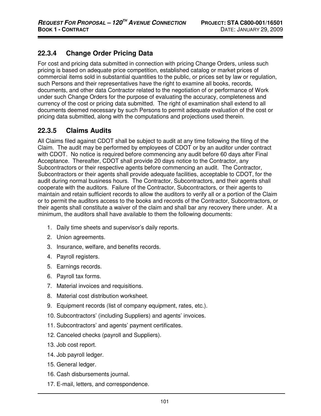# **22.3.4 Change Order Pricing Data**

For cost and pricing data submitted in connection with pricing Change Orders, unless such pricing is based on adequate price competition, established catalog or market prices of commercial items sold in substantial quantities to the public, or prices set by law or regulation, such Persons and their representatives have the right to examine all books, records, documents, and other data Contractor related to the negotiation of or performance of Work under such Change Orders for the purpose of evaluating the accuracy, completeness and currency of the cost or pricing data submitted. The right of examination shall extend to all documents deemed necessary by such Persons to permit adequate evaluation of the cost or pricing data submitted, along with the computations and projections used therein.

### **22.3.5 Claims Audits**

All Claims filed against CDOT shall be subject to audit at any time following the filing of the Claim. The audit may be performed by employees of CDOT or by an auditor under contract with CDOT. No notice is required before commencing any audit before 60 days after Final Acceptance. Thereafter, CDOT shall provide 20 days notice to the Contractor, any Subcontractors or their respective agents before commencing an audit. The Contractor, Subcontractors or their agents shall provide adequate facilities, acceptable to CDOT, for the audit during normal business hours. The Contractor, Subcontractors, and their agents shall cooperate with the auditors. Failure of the Contractor, Subcontractors, or their agents to maintain and retain sufficient records to allow the auditors to verify all or a portion of the Claim or to permit the auditors access to the books and records of the Contractor, Subcontractors, or their agents shall constitute a waiver of the claim and shall bar any recovery there under. At a minimum, the auditors shall have available to them the following documents:

- 1. Daily time sheets and supervisor's daily reports.
- 2. Union agreements.
- 3. Insurance, welfare, and benefits records.
- 4. Payroll registers.
- 5. Earnings records.
- 6. Payroll tax forms.
- 7. Material invoices and requisitions.
- 8. Material cost distribution worksheet.
- 9. Equipment records (list of company equipment, rates, etc.).
- 10. Subcontractors' (including Suppliers) and agents' invoices.
- 11. Subcontractors' and agents' payment certificates.
- 12. Canceled checks (payroll and Suppliers).
- 13. Job cost report.
- 14. Job payroll ledger.
- 15. General ledger.
- 16. Cash disbursements journal.
- 17. E-mail, letters, and correspondence.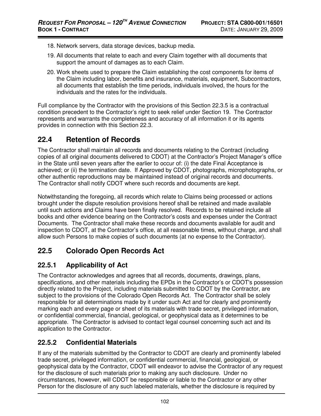- 18. Network servers, data storage devices, backup media.
- 19. All documents that relate to each and every Claim together with all documents that support the amount of damages as to each Claim.
- 20. Work sheets used to prepare the Claim establishing the cost components for items of the Claim including labor, benefits and insurance, materials, equipment, Subcontractors, all documents that establish the time periods, individuals involved, the hours for the individuals and the rates for the individuals.

Full compliance by the Contractor with the provisions of this Section 22.3.5 is a contractual condition precedent to the Contractor's right to seek relief under Section 19. The Contractor represents and warrants the completeness and accuracy of all information it or its agents provides in connection with this Section 22.3.

# **22.4 Retention of Records**

The Contractor shall maintain all records and documents relating to the Contract (including copies of all original documents delivered to CDOT) at the Contractor's Project Manager's office in the State until seven years after the earlier to occur of: (i) the date Final Acceptance is achieved; or (ii) the termination date. If Approved by CDOT, photographs, microphotographs, or other authentic reproductions may be maintained instead of original records and documents. The Contractor shall notify CDOT where such records and documents are kept.

Notwithstanding the foregoing, all records which relate to Claims being processed or actions brought under the dispute resolution provisions hereof shall be retained and made available until such actions and Claims have been finally resolved. Records to be retained include all books and other evidence bearing on the Contractor's costs and expenses under the Contract Documents. The Contractor shall make these records and documents available for audit and inspection to CDOT, at the Contractor's office, at all reasonable times, without charge, and shall allow such Persons to make copies of such documents (at no expense to the Contractor).

# **22.5 Colorado Open Records Act**

### **22.5.1 Applicability of Act**

The Contractor acknowledges and agrees that all records, documents, drawings, plans, specifications, and other materials including the EPDs in the Contractor's or CDOT's possession directly related to the Project, including materials submitted to CDOT by the Contractor, are subject to the provisions of the Colorado Open Records Act. The Contractor shall be solely responsible for all determinations made by it under such Act and for clearly and prominently marking each and every page or sheet of its materials with trade secret, privileged information, or confidential commercial, financial, geological, or geophysical data as it determines to be appropriate. The Contractor is advised to contact legal counsel concerning such act and its application to the Contractor.

### **22.5.2 Confidential Materials**

If any of the materials submitted by the Contractor to CDOT are clearly and prominently labeled trade secret, privileged information, or confidential commercial, financial, geological, or geophysical data by the Contractor, CDOT will endeavor to advise the Contractor of any request for the disclosure of such materials prior to making any such disclosure. Under no circumstances, however, will CDOT be responsible or liable to the Contractor or any other Person for the disclosure of any such labeled materials, whether the disclosure is required by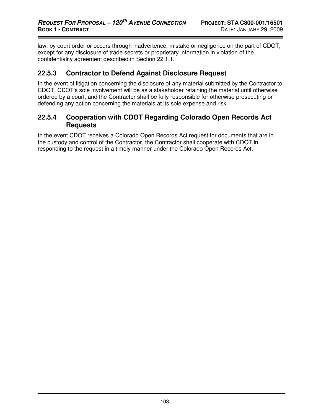law, by court order or occurs through inadvertence, mistake or negligence on the part of CDOT, except for any disclosure of trade secrets or proprietary information in violation of the confidentiality agreement described in Section 22.1.1.

#### **22.5.3 Contractor to Defend Against Disclosure Request**

In the event of litigation concerning the disclosure of any material submitted by the Contractor to CDOT, CDOT's sole involvement will be as a stakeholder retaining the material until otherwise ordered by a court, and the Contractor shall be fully responsible for otherwise prosecuting or defending any action concerning the materials at its sole expense and risk.

#### **22.5.4 Cooperation with CDOT Regarding Colorado Open Records Act Requests**

In the event CDOT receives a Colorado Open Records Act request for documents that are in the custody and control of the Contractor, the Contractor shall cooperate with CDOT in responding to the request in a timely manner under the Colorado Open Records Act.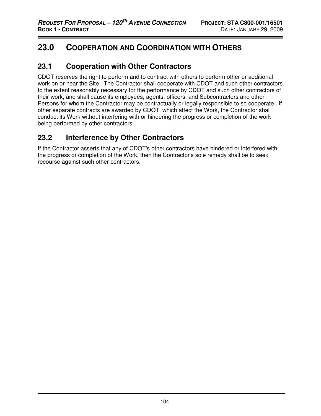# **23.0 COOPERATION AND COORDINATION WITH OTHERS**

### **23.1 Cooperation with Other Contractors**

CDOT reserves the right to perform and to contract with others to perform other or additional work on or near the Site. The Contractor shall cooperate with CDOT and such other contractors to the extent reasonably necessary for the performance by CDOT and such other contractors of their work, and shall cause its employees, agents, officers, and Subcontractors and other Persons for whom the Contractor may be contractually or legally responsible to so cooperate. If other separate contracts are awarded by CDOT, which affect the Work, the Contractor shall conduct its Work without interfering with or hindering the progress or completion of the work being performed by other contractors.

# **23.2 Interference by Other Contractors**

If the Contractor asserts that any of CDOT's other contractors have hindered or interfered with the progress or completion of the Work, then the Contractor's sole remedy shall be to seek recourse against such other contractors.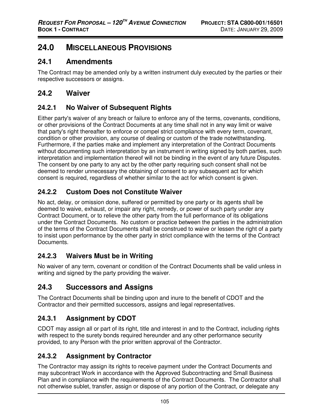# **24.0 MISCELLANEOUS PROVISIONS**

#### **24.1 Amendments**

The Contract may be amended only by a written instrument duly executed by the parties or their respective successors or assigns.

#### **24.2 Waiver**

#### **24.2.1 No Waiver of Subsequent Rights**

Either party's waiver of any breach or failure to enforce any of the terms, covenants, conditions, or other provisions of the Contract Documents at any time shall not in any way limit or waive that party's right thereafter to enforce or compel strict compliance with every term, covenant, condition or other provision, any course of dealing or custom of the trade notwithstanding. Furthermore, if the parties make and implement any interpretation of the Contract Documents without documenting such interpretation by an instrument in writing signed by both parties, such interpretation and implementation thereof will not be binding in the event of any future Disputes. The consent by one party to any act by the other party requiring such consent shall not be deemed to render unnecessary the obtaining of consent to any subsequent act for which consent is required, regardless of whether similar to the act for which consent is given.

### **24.2.2 Custom Does not Constitute Waiver**

No act, delay, or omission done, suffered or permitted by one party or its agents shall be deemed to waive, exhaust, or impair any right, remedy, or power of such party under any Contract Document, or to relieve the other party from the full performance of its obligations under the Contract Documents. No custom or practice between the parties in the administration of the terms of the Contract Documents shall be construed to waive or lessen the right of a party to insist upon performance by the other party in strict compliance with the terms of the Contract Documents.

### **24.2.3 Waivers Must be in Writing**

No waiver of any term, covenant or condition of the Contract Documents shall be valid unless in writing and signed by the party providing the waiver.

# **24.3 Successors and Assigns**

The Contract Documents shall be binding upon and inure to the benefit of CDOT and the Contractor and their permitted successors, assigns and legal representatives.

### **24.3.1 Assignment by CDOT**

CDOT may assign all or part of its right, title and interest in and to the Contract, including rights with respect to the surety bonds required hereunder and any other performance security provided, to any Person with the prior written approval of the Contractor.

### **24.3.2 Assignment by Contractor**

The Contractor may assign its rights to receive payment under the Contract Documents and may subcontract Work in accordance with the Approved Subcontracting and Small Business Plan and in compliance with the requirements of the Contract Documents. The Contractor shall not otherwise sublet, transfer, assign or dispose of any portion of the Contract, or delegate any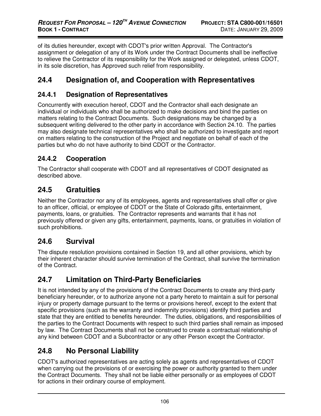of its duties hereunder, except with CDOT's prior written Approval. The Contractor's assignment or delegation of any of its Work under the Contract Documents shall be ineffective to relieve the Contractor of its responsibility for the Work assigned or delegated, unless CDOT, in its sole discretion, has Approved such relief from responsibility.

# **24.4 Designation of, and Cooperation with Representatives**

#### **24.4.1 Designation of Representatives**

Concurrently with execution hereof, CDOT and the Contractor shall each designate an individual or individuals who shall be authorized to make decisions and bind the parties on matters relating to the Contract Documents. Such designations may be changed by a subsequent writing delivered to the other party in accordance with Section 24.10. The parties may also designate technical representatives who shall be authorized to investigate and report on matters relating to the construction of the Project and negotiate on behalf of each of the parties but who do not have authority to bind CDOT or the Contractor.

### **24.4.2 Cooperation**

The Contractor shall cooperate with CDOT and all representatives of CDOT designated as described above.

# **24.5 Gratuities**

Neither the Contractor nor any of its employees, agents and representatives shall offer or give to an officer, official, or employee of CDOT or the State of Colorado gifts, entertainment, payments, loans, or gratuities. The Contractor represents and warrants that it has not previously offered or given any gifts, entertainment, payments, loans, or gratuities in violation of such prohibitions.

# **24.6 Survival**

The dispute resolution provisions contained in Section 19, and all other provisions, which by their inherent character should survive termination of the Contract, shall survive the termination of the Contract.

# **24.7 Limitation on Third-Party Beneficiaries**

It is not intended by any of the provisions of the Contract Documents to create any third-party beneficiary hereunder, or to authorize anyone not a party hereto to maintain a suit for personal injury or property damage pursuant to the terms or provisions hereof, except to the extent that specific provisions (such as the warranty and indemnity provisions) identify third parties and state that they are entitled to benefits hereunder. The duties, obligations, and responsibilities of the parties to the Contract Documents with respect to such third parties shall remain as imposed by law. The Contract Documents shall not be construed to create a contractual relationship of any kind between CDOT and a Subcontractor or any other Person except the Contractor.

# **24.8 No Personal Liability**

CDOT's authorized representatives are acting solely as agents and representatives of CDOT when carrying out the provisions of or exercising the power or authority granted to them under the Contract Documents. They shall not be liable either personally or as employees of CDOT for actions in their ordinary course of employment.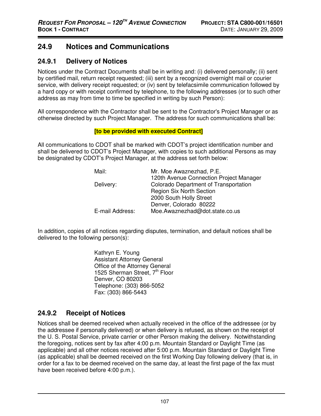# **24.9 Notices and Communications**

#### **24.9.1 Delivery of Notices**

Notices under the Contract Documents shall be in writing and: (i) delivered personally; (ii) sent by certified mail, return receipt requested; (iii) sent by a recognized overnight mail or courier service, with delivery receipt requested; or (iv) sent by telefacsimile communication followed by a hard copy or with receipt confirmed by telephone, to the following addresses (or to such other address as may from time to time be specified in writing by such Person):

All correspondence with the Contractor shall be sent to the Contractor's Project Manager or as otherwise directed by such Project Manager. The address for such communications shall be:

#### **[to be provided with executed Contract]**

All communications to CDOT shall be marked with CDOT's project identification number and shall be delivered to CDOT's Project Manager, with copies to such additional Persons as may be designated by CDOT's Project Manager, at the address set forth below:

| Mr. Moe Awaznezhad, P.E.                |
|-----------------------------------------|
| 120th Avenue Connection Project Manager |
| Colorado Department of Transportation   |
| <b>Region Six North Section</b>         |
| 2000 South Holly Street                 |
| Denver, Colorado 80222                  |
| Moe.Awaznezhad@dot.state.co.us          |
|                                         |

In addition, copies of all notices regarding disputes, termination, and default notices shall be delivered to the following person(s):

> Kathryn E. Young Assistant Attorney General Office of the Attorney General 1525 Sherman Street,  $7<sup>th</sup>$  Floor Denver, CO 80203 Telephone: (303) 866-5052 Fax: (303) 866-5443

# **24.9.2 Receipt of Notices**

Notices shall be deemed received when actually received in the office of the addressee (or by the addressee if personally delivered) or when delivery is refused, as shown on the receipt of the U. S. Postal Service, private carrier or other Person making the delivery. Notwithstanding the foregoing, notices sent by fax after 4:00 p.m. Mountain Standard or Daylight Time (as applicable) and all other notices received after 5:00 p.m. Mountain Standard or Daylight Time (as applicable) shall be deemed received on the first Working Day following delivery (that is, in order for a fax to be deemed received on the same day, at least the first page of the fax must have been received before 4:00 p.m.).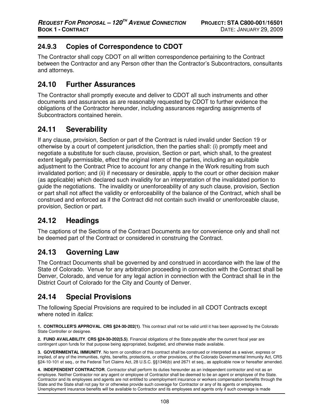### **24.9.3 Copies of Correspondence to CDOT**

The Contractor shall copy CDOT on all written correspondence pertaining to the Contract between the Contractor and any Person other than the Contractor's Subcontractors, consultants and attorneys.

# **24.10 Further Assurances**

The Contractor shall promptly execute and deliver to CDOT all such instruments and other documents and assurances as are reasonably requested by CDOT to further evidence the obligations of the Contractor hereunder, including assurances regarding assignments of Subcontractors contained herein.

# **24.11 Severability**

If any clause, provision, Section or part of the Contract is ruled invalid under Section 19 or otherwise by a court of competent jurisdiction, then the parties shall: (i) promptly meet and negotiate a substitute for such clause, provision, Section or part, which shall, to the greatest extent legally permissible, effect the original intent of the parties, including an equitable adjustment to the Contract Price to account for any change in the Work resulting from such invalidated portion; and (ii) if necessary or desirable, apply to the court or other decision maker (as applicable) which declared such invalidity for an interpretation of the invalidated portion to guide the negotiations. The invalidity or unenforceability of any such clause, provision, Section or part shall not affect the validity or enforceability of the balance of the Contract, which shall be construed and enforced as if the Contract did not contain such invalid or unenforceable clause, provision, Section or part.

# **24.12 Headings**

The captions of the Sections of the Contract Documents are for convenience only and shall not be deemed part of the Contract or considered in construing the Contract.

# **24.13 Governing Law**

The Contract Documents shall be governed by and construed in accordance with the law of the State of Colorado. Venue for any arbitration proceeding in connection with the Contract shall be Denver, Colorado, and venue for any legal action in connection with the Contract shall lie in the District Court of Colorado for the City and County of Denver.

# **24.14 Special Provisions**

The following Special Provisions are required to be included in all CDOT Contracts except where noted in *italics*:

**1. CONTROLLER'S APPROVAL**. **CRS §24-30-202(1)**. This contract shall not be valid until it has been approved by the Colorado State Controller or designee.

 **2. FUND AVAILABILITY**. **CRS §24-30-202(5.5)**. Financial obligations of the State payable after the current fiscal year are contingent upon funds for that purpose being appropriated, budgeted, and otherwise made available.

 **3. GOVERNMENTAL IMMUNITY**. No term or condition of this contract shall be construed or interpreted as a waiver, express or implied, of any of the immunities, rights, benefits, protections, or other provisions, of the Colorado Governmental Immunity Act, CRS §24-10-101 et seq., or the Federal Tort Claims Act, 28 U.S.C. §§1346(b) and 2671 et seq., as applicable now or hereafter amended.

 **4. INDEPENDENT CONTRACTOR**. Contractor shall perform its duties hereunder as an independent contractor and not as an employee. Neither Contractor nor any agent or employee of Contractor shall be deemed to be an agent or employee of the State. Contractor and its employees and agents are not entitled to unemployment insurance or workers compensation benefits through the State and the State shall not pay for or otherwise provide such coverage for Contractor or any of its agents or employees. Unemployment insurance benefits will be available to Contractor and its employees and agents only if such coverage is made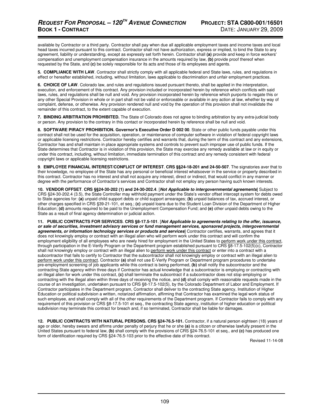available by Contractor or a third party. Contractor shall pay when due all applicable employment taxes and income taxes and local head taxes incurred pursuant to this contract. Contractor shall not have authorization, express or implied, to bind the State to any agreement, liability or understanding, except as expressly set forth herein. Contractor shall **(a)** provide and keep in force workers' compensation and unemployment compensation insurance in the amounts required by law, **(b)** provide proof thereof when requested by the State, and **(c)** be solely responsible for its acts and those of its employees and agents.

 **5. COMPLIANCE WITH LAW**. Contractor shall strictly comply with all applicable federal and State laws, rules, and regulations in effect or hereafter established, including, without limitation, laws applicable to discrimination and unfair employment practices.

 **6. CHOICE OF LAW**. Colorado law, and rules and regulations issued pursuant thereto, shall be applied in the interpretation, execution, and enforcement of this contract. Any provision included or incorporated herein by reference which conflicts with said laws, rules, and regulations shall be null and void. Any provision incorporated herein by reference which purports to negate this or any other Special Provision in whole or in part shall not be valid or enforceable or available in any action at law, whether by way of complaint, defense, or otherwise. Any provision rendered null and void by the operation of this provision shall not invalidate the remainder of this contract, to the extent capable of execution.

 **7. BINDING ARBITRATION PROHIBITED.** The State of Colorado does not agree to binding arbitration by any extra-judicial body or person. Any provision to the contrary in this contact or incorporated herein by reference shall be null and void.

 **8. SOFTWARE PIRACY PROHIBITION. Governor's Executive Order D 002 00**. State or other public funds payable under this contract shall not be used for the acquisition, operation, or maintenance of computer software in violation of federal copyright laws or applicable licensing restrictions. Contractor hereby certifies and warrants that, during the term of this contract and any extensions, Contractor has and shall maintain in place appropriate systems and controls to prevent such improper use of public funds. If the State determines that Contractor is in violation of this provision, the State may exercise any remedy available at law or in equity or under this contract, including, without limitation, immediate termination of this contract and any remedy consistent with federal copyright laws or applicable licensing restrictions.

**9**. **EMPLOYEE FINANCIAL INTEREST/CONFLICT OF INTEREST**. **CRS §§24-18-201 and 24-50-507**. The signatories aver that to their knowledge, no employee of the State has any personal or beneficial interest whatsoever in the service or property described in this contract. Contractor has no interest and shall not acquire any interest, direct or indirect, that would conflict in any manner or degree with the performance of Contractor's services and Contractor shall not employ any person having such known interests.

 **10. VENDOR OFFSET**. **CRS §§24-30-202 (1) and 24-30-202.4**. [**Not Applicable to intergovernmental agreements**] Subject to CRS §24-30-202.4 (3.5), the State Controller may withhold payment under the State's vendor offset intercept system for debts owed to State agencies for: **(a)** unpaid child support debts or child support arrearages; **(b)** unpaid balances of tax, accrued interest, or other charges specified in CRS §39-21-101, et seq.; **(c)** unpaid loans due to the Student Loan Division of the Department of Higher Education; **(d)** amounts required to be paid to the Unemployment Compensation Fund; and **(e)** other unpaid debts owing to the State as a result of final agency determination or judicial action.

**11. PUBLIC CONTRACTS FOR SERVICES**. **CRS §8-17.5-101**. [**Not Applicable to agreements relating to the offer, issuance, or sale of securities, investment advisory services or fund management services, sponsored projects, intergovernmental agreements, or information technology services or products and services**] Contractor certifies, warrants, and agrees that it does not knowingly employ or contract with an illegal alien who will perform work under this contract and will confirm the employment eligibility of all employees who are newly hired for employment in the United States to perform work under this contract, through participation in the E-Verify Program or the Department program established pursuant to CRS §8-17.5-102(5)(c), Contractor shall not knowingly employ or contract with an illegal alien to perform work under this contract or enter into a contract with a subcontractor that fails to certify to Contractor that the subcontractor shall not knowingly employ or contract with an illegal alien to perform work under this contract. Contractor **(a)** shall not use E-Verify Program or Department program procedures to undertake pre-employment screening of job applicants while this contract is being performed, **(b)** shall notify the subcontractor and the contracting State agency within three days if Contractor has actual knowledge that a subcontractor is employing or contracting with an illegal alien for work under this contract, **(c)** shall terminate the subcontract if a subcontractor does not stop employing or contracting with the illegal alien within three days of receiving the notice, and **(d)** shall comply with reasonable requests made in the course of an investigation, undertaken pursuant to CRS §8-17.5-102(5), by the Colorado Department of Labor and Employment. If Contractor participates in the Department program, Contractor shall deliver to the contracting State agency, Institution of Higher Education or political subdivision a written, notarized affirmation, affirming that Contractor has examined the legal work status of such employee, and shall comply with all of the other requirements of the Department program. If Contractor fails to comply with any requirement of this provision or CRS §8-17.5-101 et seq., the contracting State agency, institution of higher education or political subdivision may terminate this contract for breach and, if so terminated, Contractor shall be liable for damages.

**12. PUBLIC CONTRACTS WITH NATURAL PERSONS. CRS §24-76.5-101.** Contractor, if a natural person eighteen (18) years of age or older, hereby swears and affirms under penalty of perjury that he or she **(a)** is a citizen or otherwise lawfully present in the United States pursuant to federal law, **(b)** shall comply with the provisions of CRS §24-76.5-101 et seq., and **(c)** has produced one form of identification required by CRS §24-76.5-103 prior to the effective date of this contract.

Revised 11-14-08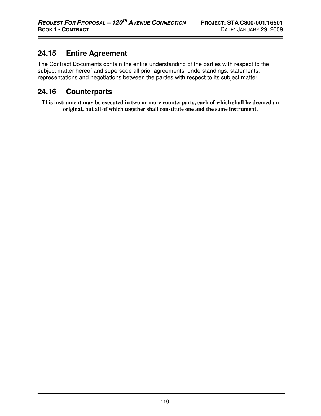# **24.15 Entire Agreement**

The Contract Documents contain the entire understanding of the parties with respect to the subject matter hereof and supersede all prior agreements, understandings, statements, representations and negotiations between the parties with respect to its subject matter.

# **24.16 Counterparts**

**This instrument may be executed in two or more counterparts, each of which shall be deemed an original, but all of which together shall constitute one and the same instrument.**